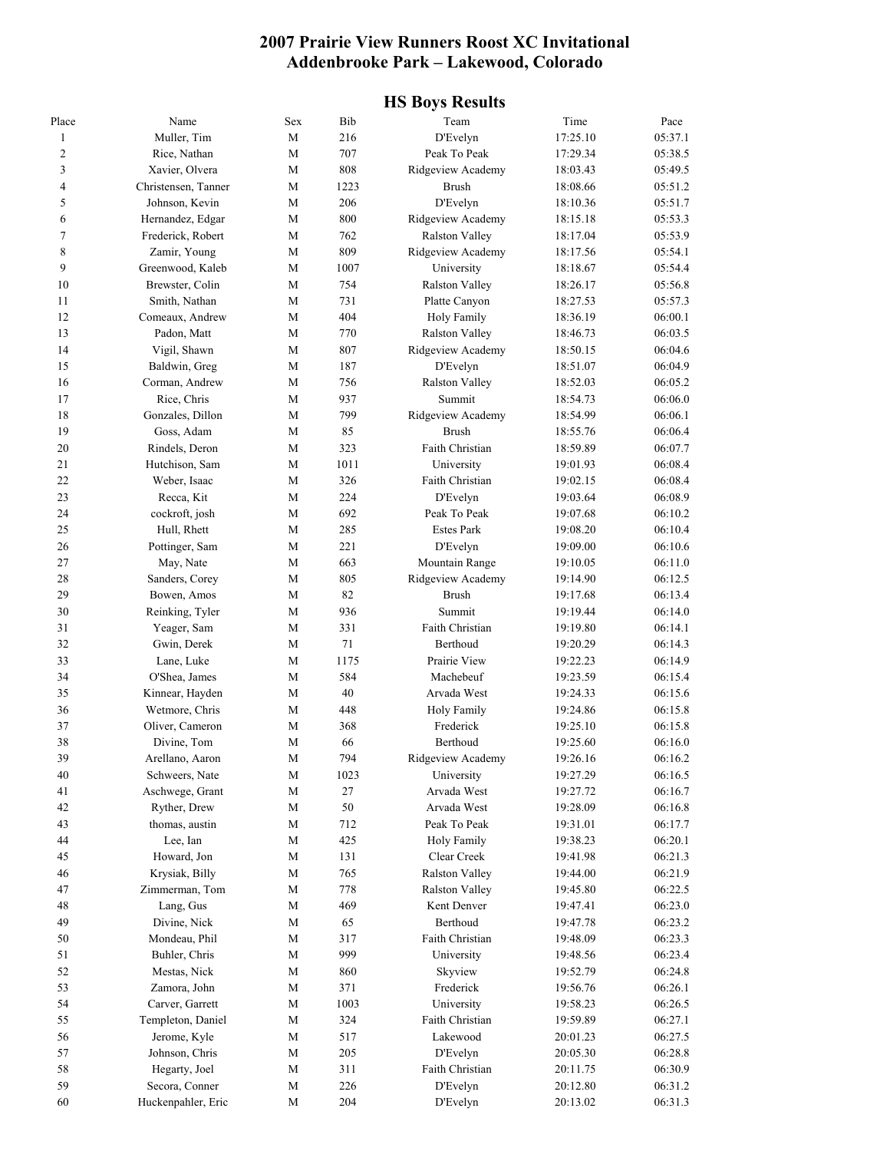#### **2007 Prairie View Runners Roost XC Invitational Addenbrooke Park – Lakewood, Colorado**

#### **HS Boys Results**

| Place          | Name                           | Sex         | Bib       | Team                       | Time                 | Pace               |
|----------------|--------------------------------|-------------|-----------|----------------------------|----------------------|--------------------|
| $\mathbf{1}$   | Muller, Tim                    | М           | 216       | D'Evelyn                   | 17:25.10             | 05:37.1            |
| $\mathfrak{2}$ | Rice, Nathan                   | M           | 707       | Peak To Peak               | 17:29.34             | 05:38.5            |
| 3              | Xavier, Olvera                 | М           | 808       | Ridgeview Academy          | 18:03.43             | 05:49.5            |
| 4              | Christensen, Tanner            | M           | 1223      | <b>Brush</b>               | 18:08.66             | 05:51.2            |
| 5              | Johnson, Kevin                 | M           | 206       | D'Evelyn                   | 18:10.36             | 05:51.7            |
| 6              | Hernandez, Edgar               | M           | 800       | Ridgeview Academy          | 18:15.18             | 05:53.3            |
| 7              | Frederick, Robert              | М           | 762       | Ralston Valley             | 18:17.04             | 05:53.9            |
| 8              | Zamir, Young                   | М           | 809       | Ridgeview Academy          | 18:17.56             | 05:54.1            |
| 9              | Greenwood, Kaleb               | М           | 1007      | University                 | 18:18.67             | 05:54.4            |
| 10             | Brewster, Colin                | M           | 754       | Ralston Valley             | 18:26.17             | 05:56.8            |
| 11             | Smith, Nathan                  | М           | 731       | Platte Canyon              | 18:27.53             | 05:57.3            |
| 12             | Comeaux, Andrew                | M           | 404       | Holy Family                | 18:36.19             | 06:00.1            |
| 13             | Padon, Matt                    | M           | 770       | Ralston Valley             | 18:46.73             | 06:03.5            |
| 14             | Vigil, Shawn                   | M           | 807       | Ridgeview Academy          | 18:50.15             | 06:04.6            |
| 15             | Baldwin, Greg                  | М           | 187       | D'Evelyn                   | 18:51.07             | 06:04.9            |
| 16             | Corman, Andrew                 | M           | 756       | Ralston Valley             | 18:52.03             | 06:05.2            |
| 17             | Rice, Chris                    | М           | 937       | Summit                     | 18:54.73             | 06:06.0            |
| 18             | Gonzales, Dillon               | M           | 799       | Ridgeview Academy          | 18:54.99             | 06:06.1            |
| 19             | Goss, Adam                     | М           | 85        | <b>Brush</b>               | 18:55.76             | 06:06.4            |
| 20             | Rindels, Deron                 | M           | 323       | Faith Christian            | 18:59.89             | 06:07.7            |
| 21             | Hutchison, Sam                 | М           | 1011      | University                 | 19:01.93             | 06:08.4            |
| 22             | Weber, Isaac                   | M           | 326       | Faith Christian            | 19:02.15             | 06:08.4            |
| 23             | Recca, Kit                     | М           | 224       | D'Evelyn                   | 19:03.64             | 06:08.9            |
| 24             | cockroft, josh                 | М           | 692       | Peak To Peak               | 19:07.68             | 06:10.2            |
| 25             | Hull, Rhett                    | М           | 285       | <b>Estes Park</b>          | 19:08.20             | 06:10.4            |
| 26             | Pottinger, Sam                 | M           | 221       | D'Evelyn                   | 19:09.00             | 06:10.6            |
| 27             | May, Nate                      | М           | 663       | Mountain Range             | 19:10.05             | 06:11.0            |
| 28             | Sanders, Corey                 | M           | 805       | Ridgeview Academy          | 19:14.90             | 06:12.5            |
| 29             | Bowen, Amos                    | М           | 82        | <b>Brush</b>               | 19:17.68             | 06:13.4            |
| 30             | Reinking, Tyler                | M           | 936       | Summit                     | 19:19.44             | 06:14.0            |
| 31             | Yeager, Sam                    | М           | 331       | Faith Christian            | 19:19.80             | 06:14.1            |
| 32             | Gwin, Derek                    | M           | 71        | Berthoud                   | 19:20.29             | 06:14.3            |
| 33             | Lane, Luke                     | М           | 1175      | Prairie View               | 19:22.23             | 06:14.9            |
| 34             | O'Shea, James                  | M           | 584       | Machebeuf                  | 19:23.59             | 06:15.4            |
| 35             | Kinnear, Hayden                | М           | 40        | Arvada West                | 19:24.33             | 06:15.6            |
| 36             | Wetmore, Chris                 | M           | 448       | <b>Holy Family</b>         | 19:24.86             | 06:15.8            |
| 37             | Oliver, Cameron                | М           | 368       | Frederick                  | 19:25.10             | 06:15.8            |
| 38             | Divine, Tom                    | M           | 66        | Berthoud                   | 19:25.60             | 06:16.0            |
| 39             | Arellano, Aaron                | М           | 794       | Ridgeview Academy          | 19:26.16             | 06:16.2            |
| 40             | Schweers, Nate                 | $\mathbf M$ | 1023      | University                 | 19:27.29             | 06:16.5            |
| 41             | Aschwege, Grant                | $\mathbf M$ | $27\,$    | Arvada West                | 19:27.72             | 06:16.7            |
| 42             |                                |             |           | Arvada West                |                      | 06:16.8            |
| 43             | Ryther, Drew<br>thomas, austin | M<br>M      | 50<br>712 | Peak To Peak               | 19:28.09             | 06:17.7            |
| 44             |                                | M           | 425       |                            | 19:31.01             |                    |
| 45             | Lee, Ian<br>Howard, Jon        | $\mathbf M$ | 131       | Holy Family<br>Clear Creek | 19:38.23<br>19:41.98 | 06:20.1<br>06:21.3 |
| 46             |                                | $\mathbf M$ |           |                            |                      | 06:21.9            |
| 47             | Krysiak, Billy                 |             | 765       | Ralston Valley             | 19:44.00             |                    |
|                | Zimmerman, Tom                 | М           | 778       | <b>Ralston Valley</b>      | 19:45.80             | 06:22.5            |
| 48             | Lang, Gus                      | М           | 469       | Kent Denver                | 19:47.41             | 06:23.0            |
| 49             | Divine, Nick                   | М           | 65        | Berthoud                   | 19:47.78             | 06:23.2            |
| 50             | Mondeau, Phil                  | $\mathbf M$ | 317       | Faith Christian            | 19:48.09             | 06:23.3            |
| 51             | Buhler, Chris                  | $\mathbf M$ | 999       | University                 | 19:48.56             | 06:23.4            |
| 52             | Mestas, Nick                   | M           | 860       | Skyview                    | 19:52.79             | 06:24.8            |
| 53             | Zamora, John                   | $\mathbf M$ | 371       | Frederick                  | 19:56.76             | 06:26.1            |
| 54             | Carver, Garrett                | $\mathbf M$ | 1003      | University                 | 19:58.23             | 06:26.5            |
| 55             | Templeton, Daniel              | М           | 324       | Faith Christian            | 19:59.89             | 06:27.1            |
| 56             | Jerome, Kyle                   | M           | 517       | Lakewood                   | 20:01.23             | 06:27.5            |
| 57             | Johnson, Chris                 | M           | 205       | D'Evelyn                   | 20:05.30             | 06:28.8            |
| 58             | Hegarty, Joel                  | M           | 311       | Faith Christian            | 20:11.75             | 06:30.9            |
| 59             | Secora, Conner                 | M           | 226       | D'Evelyn                   | 20:12.80             | 06:31.2            |
| 60             | Huckenpahler, Eric             | $\mathbf M$ | 204       | D'Evelyn                   | 20:13.02             | 06:31.3            |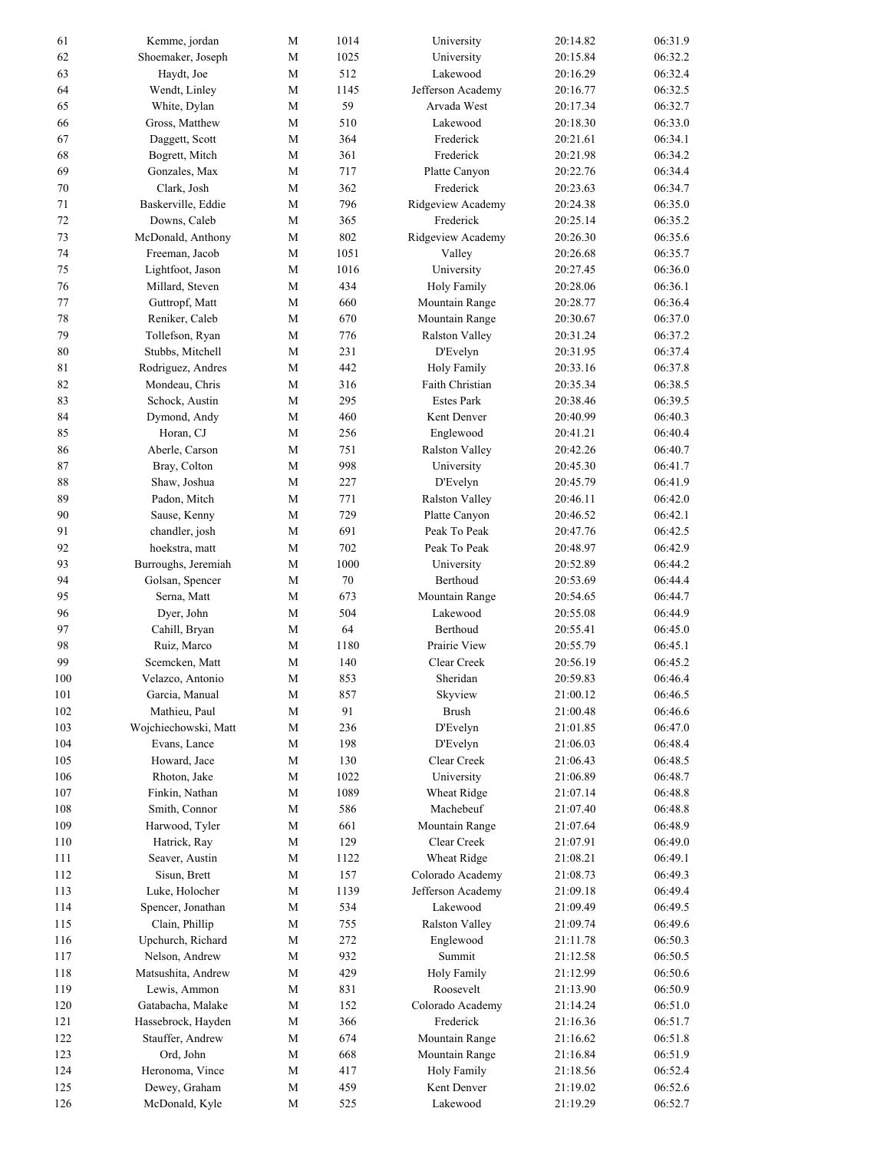| 61  | Kemme, jordan        | М           | 1014   | University        | 20:14.82 | 06:31.9 |
|-----|----------------------|-------------|--------|-------------------|----------|---------|
| 62  | Shoemaker, Joseph    | $\mathbf M$ | 1025   | University        | 20:15.84 | 06:32.2 |
| 63  | Haydt, Joe           | M           | 512    | Lakewood          | 20:16.29 | 06:32.4 |
| 64  | Wendt, Linley        | $\mathbf M$ | 1145   | Jefferson Academy | 20:16.77 | 06:32.5 |
| 65  | White, Dylan         | М           | 59     | Arvada West       | 20:17.34 | 06:32.7 |
| 66  | Gross, Matthew       | $\mathbf M$ | 510    | Lakewood          | 20:18.30 | 06:33.0 |
| 67  | Daggett, Scott       | $\mathbf M$ | 364    | Frederick         | 20:21.61 | 06:34.1 |
| 68  | Bogrett, Mitch       | $\mathbf M$ | 361    | Frederick         | 20:21.98 | 06:34.2 |
| 69  | Gonzales, Max        | М           | 717    | Platte Canyon     | 20:22.76 | 06:34.4 |
| 70  | Clark, Josh          | M           | 362    | Frederick         | 20:23.63 | 06:34.7 |
| 71  | Baskerville, Eddie   | М           | 796    | Ridgeview Academy | 20:24.38 | 06:35.0 |
| 72  | Downs, Caleb         | M           | 365    | Frederick         | 20:25.14 | 06:35.2 |
| 73  | McDonald, Anthony    | М           | 802    | Ridgeview Academy | 20:26.30 | 06:35.6 |
| 74  | Freeman, Jacob       | $\mathbf M$ | 1051   | Valley            | 20:26.68 | 06:35.7 |
| 75  | Lightfoot, Jason     | $\mathbf M$ | 1016   | University        | 20:27.45 | 06:36.0 |
| 76  | Millard, Steven      | $\mathbf M$ | 434    | Holy Family       | 20:28.06 | 06:36.1 |
| 77  | Guttropf, Matt       | М           | 660    | Mountain Range    | 20:28.77 | 06:36.4 |
| 78  | Reniker, Caleb       | M           | 670    | Mountain Range    | 20:30.67 | 06:37.0 |
| 79  | Tollefson, Ryan      | М           | 776    | Ralston Valley    | 20:31.24 | 06:37.2 |
| 80  | Stubbs, Mitchell     | M           | 231    | D'Evelyn          | 20:31.95 | 06:37.4 |
| 81  | Rodriguez, Andres    | М           | 442    | Holy Family       | 20:33.16 | 06:37.8 |
| 82  | Mondeau, Chris       | M           | 316    | Faith Christian   | 20:35.34 | 06:38.5 |
| 83  | Schock, Austin       | $\mathbf M$ | 295    | <b>Estes Park</b> | 20:38.46 | 06:39.5 |
| 84  | Dymond, Andy         | $\mathbf M$ | 460    | Kent Denver       | 20:40.99 | 06:40.3 |
| 85  | Horan, CJ            |             | 256    |                   |          | 06:40.4 |
|     |                      | М           |        | Englewood         | 20:41.21 |         |
| 86  | Aberle, Carson       | M           | 751    | Ralston Valley    | 20:42.26 | 06:40.7 |
| 87  | Bray, Colton         | М           | 998    | University        | 20:45.30 | 06:41.7 |
| 88  | Shaw, Joshua         | M           | 227    | D'Evelyn          | 20:45.79 | 06:41.9 |
| 89  | Padon, Mitch         | М           | 771    | Ralston Valley    | 20:46.11 | 06:42.0 |
| 90  | Sause, Kenny         | M           | 729    | Platte Canyon     | 20:46.52 | 06:42.1 |
| 91  | chandler, josh       | $\mathbf M$ | 691    | Peak To Peak      | 20:47.76 | 06:42.5 |
| 92  | hoekstra, matt       | $\mathbf M$ | 702    | Peak To Peak      | 20:48.97 | 06:42.9 |
| 93  | Burroughs, Jeremiah  | М           | 1000   | University        | 20:52.89 | 06:44.2 |
| 94  | Golsan, Spencer      | M           | $70\,$ | Berthoud          | 20:53.69 | 06:44.4 |
| 95  | Serna, Matt          | М           | 673    | Mountain Range    | 20:54.65 | 06:44.7 |
| 96  | Dyer, John           | M           | 504    | Lakewood          | 20:55.08 | 06:44.9 |
| 97  | Cahill, Bryan        | М           | 64     | Berthoud          | 20:55.41 | 06:45.0 |
| 98  | Ruiz, Marco          | $\mathbf M$ | 1180   | Prairie View      | 20:55.79 | 06:45.1 |
| 99  | Scemcken, Matt       | $\mathbf M$ | 140    | Clear Creek       | 20:56.19 | 06:45.2 |
| 100 | Velazco, Antonio     | М           | 853    | Sheridan          | 20:59.83 | 06:46.4 |
| 101 | Garcia, Manual       | $\mathbf M$ | 857    | Skyview           | 21:00.12 | 06:46.5 |
| 102 | Mathieu, Paul        | M           | 91     | <b>Brush</b>      | 21:00.48 | 06:46.6 |
| 103 | Wojchiechowski, Matt | $\mathbf M$ | 236    | D'Evelyn          | 21:01.85 | 06:47.0 |
| 104 | Evans, Lance         | $\mathbf M$ | 198    | D'Evelyn          | 21:06.03 | 06:48.4 |
| 105 | Howard, Jace         | M           | 130    | Clear Creek       | 21:06.43 | 06:48.5 |
| 106 | Rhoton, Jake         | $\mathbf M$ | 1022   | University        | 21:06.89 | 06:48.7 |
| 107 | Finkin, Nathan       | $\mathbf M$ | 1089   | Wheat Ridge       | 21:07.14 | 06:48.8 |
| 108 | Smith, Connor        | $\mathbf M$ | 586    | Machebeuf         | 21:07.40 | 06:48.8 |
| 109 | Harwood, Tyler       | M           | 661    | Mountain Range    | 21:07.64 | 06:48.9 |
| 110 | Hatrick, Ray         | M           | 129    | Clear Creek       | 21:07.91 | 06:49.0 |
| 111 | Seaver, Austin       | М           | 1122   | Wheat Ridge       | 21:08.21 | 06:49.1 |
| 112 | Sisun, Brett         | М           | 157    | Colorado Academy  | 21:08.73 | 06:49.3 |
| 113 | Luke, Holocher       | M           | 1139   | Jefferson Academy | 21:09.18 | 06:49.4 |
| 114 | Spencer, Jonathan    | ${\bf M}$   | 534    | Lakewood          | 21:09.49 | 06:49.5 |
| 115 | Clain, Phillip       | $\mathbf M$ | 755    | Ralston Valley    | 21:09.74 | 06:49.6 |
| 116 | Upchurch, Richard    | $\mathbf M$ | 272    | Englewood         | 21:11.78 | 06:50.3 |
| 117 | Nelson, Andrew       | М           | 932    | Summit            | 21:12.58 | 06:50.5 |
| 118 | Matsushita, Andrew   | М           | 429    | Holy Family       | 21:12.99 | 06:50.6 |
| 119 | Lewis, Ammon         | M           | 831    | Roosevelt         | 21:13.90 | 06:50.9 |
|     | Gatabacha, Malake    |             |        |                   |          |         |
| 120 |                      | М           | 152    | Colorado Academy  | 21:14.24 | 06:51.0 |
| 121 | Hassebrock, Hayden   | M           | 366    | Frederick         | 21:16.36 | 06:51.7 |
| 122 | Stauffer, Andrew     | ${\bf M}$   | 674    | Mountain Range    | 21:16.62 | 06:51.8 |
| 123 | Ord, John            | M           | 668    | Mountain Range    | 21:16.84 | 06:51.9 |
| 124 | Heronoma, Vince      | M           | 417    | Holy Family       | 21:18.56 | 06:52.4 |
| 125 | Dewey, Graham        | M           | 459    | Kent Denver       | 21:19.02 | 06:52.6 |
| 126 | McDonald, Kyle       | M           | 525    | Lakewood          | 21:19.29 | 06:52.7 |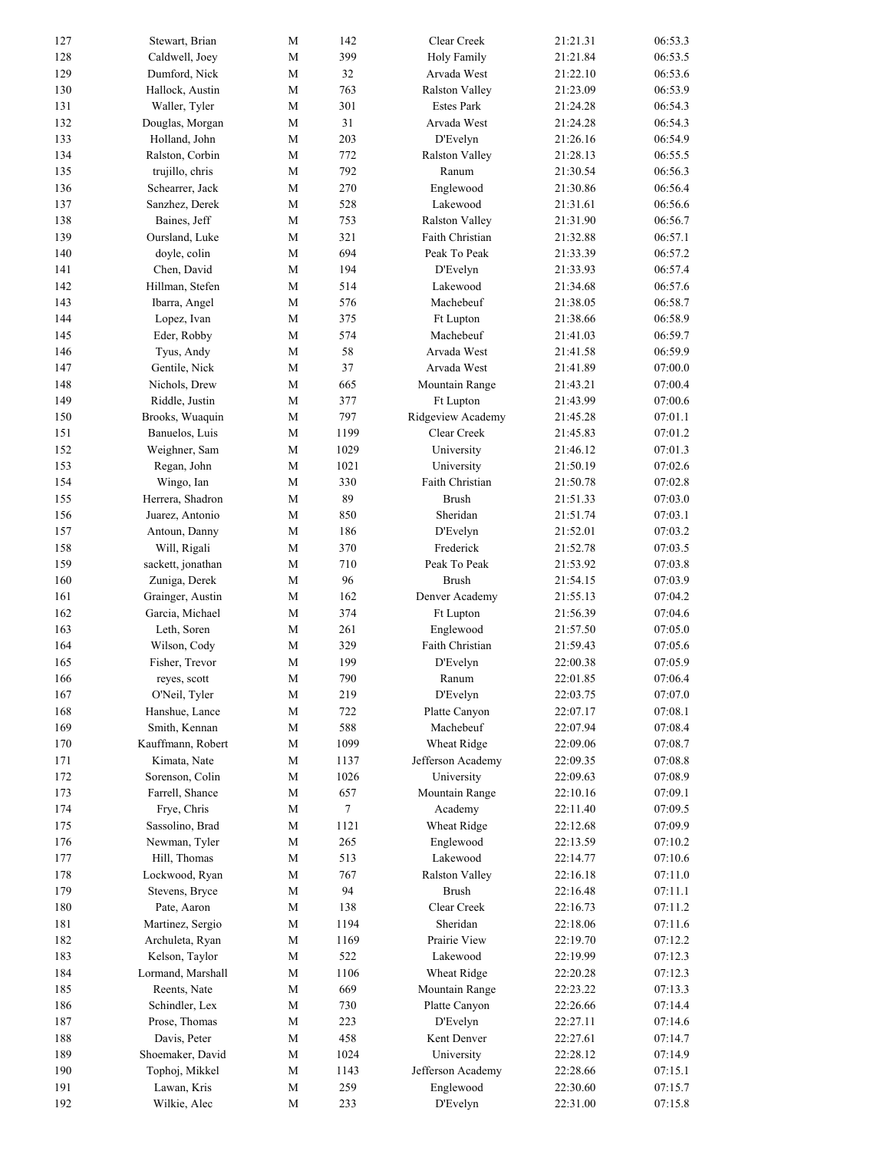| 399<br>128<br>Caldwell, Joey<br>M<br>Holy Family<br>21:21.84<br>129<br>Dumford, Nick<br>$\mathbf M$<br>32<br>Arvada West<br>21:22.10<br>130<br>M<br>763<br><b>Ralston Valley</b><br>21:23.09<br>Hallock, Austin<br>Waller, Tyler<br>301<br><b>Estes Park</b><br>131<br>М<br>21:24.28<br>31<br>132<br>Douglas, Morgan<br>$\mathbf M$<br>Arvada West<br>21:24.28<br>Holland, John<br>$\mathbf M$<br>203<br>133<br>D'Evelyn<br>21:26.16<br>134<br>Ralston, Corbin<br>M<br>772<br>Ralston Valley<br>21:28.13<br>135<br>792<br>trujillo, chris<br>М<br>Ranum<br>21:30.54<br>06:56.4<br>136<br>M<br>270<br>Schearrer, Jack<br>Englewood<br>21:30.86<br>06:56.6<br>137<br>Sanzhez, Derek<br>528<br>Lakewood<br>М<br>21:31.61<br>138<br>Baines, Jeff<br>M<br>753<br><b>Ralston Valley</b><br>21:31.90<br>06:56.7<br>139<br>Oursland, Luke<br>321<br>06:57.1<br>М<br><b>Faith Christian</b><br>21:32.88<br>694<br>140<br>doyle, colin<br>M<br>Peak To Peak<br>06:57.2<br>21:33.39<br>194<br>141<br>Chen, David<br>$\mathbf M$<br>06:57.4<br>D'Evelyn<br>21:33.93<br>06:57.6<br>142<br>Hillman, Stefen<br>$\mathbf M$<br>514<br>Lakewood<br>21:34.68<br>143<br>576<br>Machebeuf<br>21:38.05<br>06:58.7<br>Ibarra, Angel<br>М<br>144<br>Lopez, Ivan<br>$\mathbf M$<br>375<br>21:38.66<br>06:58.9<br>Ft Lupton<br>145<br>Eder, Robby<br>$\mathbf M$<br>574<br>Machebeuf<br>06:59.7<br>21:41.03<br>58<br>146<br>M<br>Arvada West<br>06:59.9<br>Tyus, Andy<br>21:41.58<br>37<br>147<br>Gentile, Nick<br>M<br>Arvada West<br>07:00.0<br>21:41.89<br>148<br>M<br>665<br>Mountain Range<br>07:00.4<br>Nichols, Drew<br>21:43.21<br>149<br>$\mathbf M$<br>377<br>07:00.6<br>Riddle, Justin<br>Ft Lupton<br>21:43.99<br>150<br>Brooks, Wuaquin<br>$\mathbf M$<br>797<br>Ridgeview Academy<br>07:01.1<br>21:45.28<br>1199<br>Clear Creek<br>07:01.2<br>151<br>Banuelos, Luis<br>М<br>21:45.83<br>152<br>M<br>1029<br>07:01.3<br>Weighner, Sam<br>University<br>21:46.12<br>153<br>1021<br>University<br>21:50.19<br>07:02.6<br>Regan, John<br>М<br>Faith Christian<br>154<br>Wingo, Ian<br>M<br>330<br>21:50.78<br>07:02.8<br>89<br>155<br><b>Brush</b><br>07:03.0<br>Herrera, Shadron<br>М<br>21:51.33<br>156<br>Juarez, Antonio<br>$\mathbf M$<br>850<br>Sheridan<br>21:51.74<br>157<br>Antoun, Danny<br>$\mathbf M$<br>186<br>D'Evelyn<br>21:52.01<br>158<br>Will, Rigali<br>$\mathbf M$<br>370<br>Frederick<br>21:52.78<br>159<br>710<br>Peak To Peak<br>sackett, jonathan<br>М<br>21:53.92<br>160<br>M<br>96<br><b>Brush</b><br>Zuniga, Derek<br>21:54.15<br>Denver Academy<br>161<br>Grainger, Austin<br>162<br>21:55.13<br>М<br>162<br>Garcia, Michael<br>M<br>374<br>21:56.39<br>Ft Lupton<br>261<br>Englewood<br>163<br>Leth, Soren<br>М<br>21:57.50<br>Faith Christian<br>164<br>Wilson, Cody<br>$\mathbf M$<br>329<br>21:59.43<br>165<br>Fisher, Trevor<br>$\mathbf M$<br>199<br>D'Evelyn<br>22:00.38<br>M<br>790<br>22:01.85<br>166<br>Ranum<br>reyes, scott<br>O'Neil, Tyler<br>$\mathbf M$<br>219<br>D'Evelyn<br>167<br>22:03.75<br>168<br>Hanshue, Lance<br>$\mathbf M$<br>722<br>Platte Canyon<br>22:07.17<br>Machebeuf<br>169<br>Smith, Kennan<br>$\mathbf M$<br>588<br>22:07.94<br>170<br>Kauffmann, Robert<br>1099<br>Wheat Ridge<br>M<br>22:09.06<br>Kimata, Nate<br>Jefferson Academy<br>171<br>M<br>1137<br>22:09.35<br>172<br>Sorenson, Colin<br>$\mathbf M$<br>1026<br>University<br>22:09.63<br>Farrell, Shance<br>$\mathbf M$<br>657<br>Mountain Range<br>173<br>22:10.16<br>174<br>Frye, Chris<br>$\mathbf M$<br>$\tau$<br>Academy<br>07:09.5<br>22:11.40<br>Sassolino, Brad<br>Wheat Ridge<br>175<br>M<br>1121<br>22:12.68<br>07:09.9<br>Newman, Tyler<br>265<br>Englewood<br>07:10.2<br>176<br>M<br>22:13.59<br>Hill, Thomas<br>Lakewood<br>07:10.6<br>177<br>M<br>513<br>22:14.77<br>178<br>Lockwood, Ryan<br>767<br>Ralston Valley<br>07:11.0<br>M<br>22:16.18<br>Stevens, Bryce<br><b>Brush</b><br>07:11.1<br>179<br>М<br>94<br>22:16.48<br>180<br>Pate, Aaron<br>$\mathbf M$<br>138<br>Clear Creek<br>07:11.2<br>22:16.73<br>181<br>Martinez, Sergio<br>$\mathbf M$<br>1194<br>Sheridan<br>07:11.6<br>22:18.06<br>182<br>Archuleta, Ryan<br>$\mathbf M$<br>1169<br>Prairie View<br>07:12.2<br>22:19.70<br>522<br>Lakewood<br>07:12.3<br>183<br>Kelson, Taylor<br>М<br>22:19.99<br>184<br>Lormand, Marshall<br>$\mathbf M$<br>1106<br>Wheat Ridge<br>07:12.3<br>22:20.28<br>185<br>Reents, Nate<br>669<br>Mountain Range<br>07:13.3<br>М<br>22:23.22<br>186<br>Schindler, Lex<br>730<br>Platte Canyon<br>22:26.66<br>07:14.4<br>M<br>Prose, Thomas<br>223<br>D'Evelyn<br>07:14.6<br>187<br>M<br>22:27.11<br>188<br>Davis, Peter<br>$\mathbf M$<br>458<br>Kent Denver<br>22:27.61<br>Shoemaker, David<br>University<br>189<br>M<br>1024<br>22:28.12<br>Tophoj, Mikkel<br>$\mathbf M$<br>Jefferson Academy<br>190<br>1143<br>22:28.66<br>Lawan, Kris<br>Englewood<br>191<br>М<br>259<br>22:30.60<br>192<br>Wilkie, Alec<br>233<br>D'Evelyn<br>22:31.00<br>М | 127 | Stewart, Brian | М | 142 | Clear Creek | 21:21.31 | 06:53.3 |
|-----------------------------------------------------------------------------------------------------------------------------------------------------------------------------------------------------------------------------------------------------------------------------------------------------------------------------------------------------------------------------------------------------------------------------------------------------------------------------------------------------------------------------------------------------------------------------------------------------------------------------------------------------------------------------------------------------------------------------------------------------------------------------------------------------------------------------------------------------------------------------------------------------------------------------------------------------------------------------------------------------------------------------------------------------------------------------------------------------------------------------------------------------------------------------------------------------------------------------------------------------------------------------------------------------------------------------------------------------------------------------------------------------------------------------------------------------------------------------------------------------------------------------------------------------------------------------------------------------------------------------------------------------------------------------------------------------------------------------------------------------------------------------------------------------------------------------------------------------------------------------------------------------------------------------------------------------------------------------------------------------------------------------------------------------------------------------------------------------------------------------------------------------------------------------------------------------------------------------------------------------------------------------------------------------------------------------------------------------------------------------------------------------------------------------------------------------------------------------------------------------------------------------------------------------------------------------------------------------------------------------------------------------------------------------------------------------------------------------------------------------------------------------------------------------------------------------------------------------------------------------------------------------------------------------------------------------------------------------------------------------------------------------------------------------------------------------------------------------------------------------------------------------------------------------------------------------------------------------------------------------------------------------------------------------------------------------------------------------------------------------------------------------------------------------------------------------------------------------------------------------------------------------------------------------------------------------------------------------------------------------------------------------------------------------------------------------------------------------------------------------------------------------------------------------------------------------------------------------------------------------------------------------------------------------------------------------------------------------------------------------------------------------------------------------------------------------------------------------------------------------------------------------------------------------------------------------------------------------------------------------------------------------------------------------------------------------------------------------------------------------------------------------------------------------------------------------------------------------------------------------------------------------------------------------------------------------------------------------------------------------------------------------------------------------------------------------------------------------------------------------------------------------------------------------------------------------------------------------------------------------------------------------------------------------------------------------------------------|-----|----------------|---|-----|-------------|----------|---------|
|                                                                                                                                                                                                                                                                                                                                                                                                                                                                                                                                                                                                                                                                                                                                                                                                                                                                                                                                                                                                                                                                                                                                                                                                                                                                                                                                                                                                                                                                                                                                                                                                                                                                                                                                                                                                                                                                                                                                                                                                                                                                                                                                                                                                                                                                                                                                                                                                                                                                                                                                                                                                                                                                                                                                                                                                                                                                                                                                                                                                                                                                                                                                                                                                                                                                                                                                                                                                                                                                                                                                                                                                                                                                                                                                                                                                                                                                                                                                                                                                                                                                                                                                                                                                                                                                                                                                                                                                                                                                                                                                                                                                                                                                                                                                                                                                                                                                                                                                                                       |     |                |   |     |             |          | 06:53.5 |
|                                                                                                                                                                                                                                                                                                                                                                                                                                                                                                                                                                                                                                                                                                                                                                                                                                                                                                                                                                                                                                                                                                                                                                                                                                                                                                                                                                                                                                                                                                                                                                                                                                                                                                                                                                                                                                                                                                                                                                                                                                                                                                                                                                                                                                                                                                                                                                                                                                                                                                                                                                                                                                                                                                                                                                                                                                                                                                                                                                                                                                                                                                                                                                                                                                                                                                                                                                                                                                                                                                                                                                                                                                                                                                                                                                                                                                                                                                                                                                                                                                                                                                                                                                                                                                                                                                                                                                                                                                                                                                                                                                                                                                                                                                                                                                                                                                                                                                                                                                       |     |                |   |     |             |          | 06:53.6 |
|                                                                                                                                                                                                                                                                                                                                                                                                                                                                                                                                                                                                                                                                                                                                                                                                                                                                                                                                                                                                                                                                                                                                                                                                                                                                                                                                                                                                                                                                                                                                                                                                                                                                                                                                                                                                                                                                                                                                                                                                                                                                                                                                                                                                                                                                                                                                                                                                                                                                                                                                                                                                                                                                                                                                                                                                                                                                                                                                                                                                                                                                                                                                                                                                                                                                                                                                                                                                                                                                                                                                                                                                                                                                                                                                                                                                                                                                                                                                                                                                                                                                                                                                                                                                                                                                                                                                                                                                                                                                                                                                                                                                                                                                                                                                                                                                                                                                                                                                                                       |     |                |   |     |             |          | 06:53.9 |
|                                                                                                                                                                                                                                                                                                                                                                                                                                                                                                                                                                                                                                                                                                                                                                                                                                                                                                                                                                                                                                                                                                                                                                                                                                                                                                                                                                                                                                                                                                                                                                                                                                                                                                                                                                                                                                                                                                                                                                                                                                                                                                                                                                                                                                                                                                                                                                                                                                                                                                                                                                                                                                                                                                                                                                                                                                                                                                                                                                                                                                                                                                                                                                                                                                                                                                                                                                                                                                                                                                                                                                                                                                                                                                                                                                                                                                                                                                                                                                                                                                                                                                                                                                                                                                                                                                                                                                                                                                                                                                                                                                                                                                                                                                                                                                                                                                                                                                                                                                       |     |                |   |     |             |          | 06:54.3 |
|                                                                                                                                                                                                                                                                                                                                                                                                                                                                                                                                                                                                                                                                                                                                                                                                                                                                                                                                                                                                                                                                                                                                                                                                                                                                                                                                                                                                                                                                                                                                                                                                                                                                                                                                                                                                                                                                                                                                                                                                                                                                                                                                                                                                                                                                                                                                                                                                                                                                                                                                                                                                                                                                                                                                                                                                                                                                                                                                                                                                                                                                                                                                                                                                                                                                                                                                                                                                                                                                                                                                                                                                                                                                                                                                                                                                                                                                                                                                                                                                                                                                                                                                                                                                                                                                                                                                                                                                                                                                                                                                                                                                                                                                                                                                                                                                                                                                                                                                                                       |     |                |   |     |             |          | 06:54.3 |
|                                                                                                                                                                                                                                                                                                                                                                                                                                                                                                                                                                                                                                                                                                                                                                                                                                                                                                                                                                                                                                                                                                                                                                                                                                                                                                                                                                                                                                                                                                                                                                                                                                                                                                                                                                                                                                                                                                                                                                                                                                                                                                                                                                                                                                                                                                                                                                                                                                                                                                                                                                                                                                                                                                                                                                                                                                                                                                                                                                                                                                                                                                                                                                                                                                                                                                                                                                                                                                                                                                                                                                                                                                                                                                                                                                                                                                                                                                                                                                                                                                                                                                                                                                                                                                                                                                                                                                                                                                                                                                                                                                                                                                                                                                                                                                                                                                                                                                                                                                       |     |                |   |     |             |          | 06:54.9 |
|                                                                                                                                                                                                                                                                                                                                                                                                                                                                                                                                                                                                                                                                                                                                                                                                                                                                                                                                                                                                                                                                                                                                                                                                                                                                                                                                                                                                                                                                                                                                                                                                                                                                                                                                                                                                                                                                                                                                                                                                                                                                                                                                                                                                                                                                                                                                                                                                                                                                                                                                                                                                                                                                                                                                                                                                                                                                                                                                                                                                                                                                                                                                                                                                                                                                                                                                                                                                                                                                                                                                                                                                                                                                                                                                                                                                                                                                                                                                                                                                                                                                                                                                                                                                                                                                                                                                                                                                                                                                                                                                                                                                                                                                                                                                                                                                                                                                                                                                                                       |     |                |   |     |             |          | 06:55.5 |
|                                                                                                                                                                                                                                                                                                                                                                                                                                                                                                                                                                                                                                                                                                                                                                                                                                                                                                                                                                                                                                                                                                                                                                                                                                                                                                                                                                                                                                                                                                                                                                                                                                                                                                                                                                                                                                                                                                                                                                                                                                                                                                                                                                                                                                                                                                                                                                                                                                                                                                                                                                                                                                                                                                                                                                                                                                                                                                                                                                                                                                                                                                                                                                                                                                                                                                                                                                                                                                                                                                                                                                                                                                                                                                                                                                                                                                                                                                                                                                                                                                                                                                                                                                                                                                                                                                                                                                                                                                                                                                                                                                                                                                                                                                                                                                                                                                                                                                                                                                       |     |                |   |     |             |          | 06:56.3 |
|                                                                                                                                                                                                                                                                                                                                                                                                                                                                                                                                                                                                                                                                                                                                                                                                                                                                                                                                                                                                                                                                                                                                                                                                                                                                                                                                                                                                                                                                                                                                                                                                                                                                                                                                                                                                                                                                                                                                                                                                                                                                                                                                                                                                                                                                                                                                                                                                                                                                                                                                                                                                                                                                                                                                                                                                                                                                                                                                                                                                                                                                                                                                                                                                                                                                                                                                                                                                                                                                                                                                                                                                                                                                                                                                                                                                                                                                                                                                                                                                                                                                                                                                                                                                                                                                                                                                                                                                                                                                                                                                                                                                                                                                                                                                                                                                                                                                                                                                                                       |     |                |   |     |             |          |         |
|                                                                                                                                                                                                                                                                                                                                                                                                                                                                                                                                                                                                                                                                                                                                                                                                                                                                                                                                                                                                                                                                                                                                                                                                                                                                                                                                                                                                                                                                                                                                                                                                                                                                                                                                                                                                                                                                                                                                                                                                                                                                                                                                                                                                                                                                                                                                                                                                                                                                                                                                                                                                                                                                                                                                                                                                                                                                                                                                                                                                                                                                                                                                                                                                                                                                                                                                                                                                                                                                                                                                                                                                                                                                                                                                                                                                                                                                                                                                                                                                                                                                                                                                                                                                                                                                                                                                                                                                                                                                                                                                                                                                                                                                                                                                                                                                                                                                                                                                                                       |     |                |   |     |             |          |         |
|                                                                                                                                                                                                                                                                                                                                                                                                                                                                                                                                                                                                                                                                                                                                                                                                                                                                                                                                                                                                                                                                                                                                                                                                                                                                                                                                                                                                                                                                                                                                                                                                                                                                                                                                                                                                                                                                                                                                                                                                                                                                                                                                                                                                                                                                                                                                                                                                                                                                                                                                                                                                                                                                                                                                                                                                                                                                                                                                                                                                                                                                                                                                                                                                                                                                                                                                                                                                                                                                                                                                                                                                                                                                                                                                                                                                                                                                                                                                                                                                                                                                                                                                                                                                                                                                                                                                                                                                                                                                                                                                                                                                                                                                                                                                                                                                                                                                                                                                                                       |     |                |   |     |             |          |         |
|                                                                                                                                                                                                                                                                                                                                                                                                                                                                                                                                                                                                                                                                                                                                                                                                                                                                                                                                                                                                                                                                                                                                                                                                                                                                                                                                                                                                                                                                                                                                                                                                                                                                                                                                                                                                                                                                                                                                                                                                                                                                                                                                                                                                                                                                                                                                                                                                                                                                                                                                                                                                                                                                                                                                                                                                                                                                                                                                                                                                                                                                                                                                                                                                                                                                                                                                                                                                                                                                                                                                                                                                                                                                                                                                                                                                                                                                                                                                                                                                                                                                                                                                                                                                                                                                                                                                                                                                                                                                                                                                                                                                                                                                                                                                                                                                                                                                                                                                                                       |     |                |   |     |             |          |         |
|                                                                                                                                                                                                                                                                                                                                                                                                                                                                                                                                                                                                                                                                                                                                                                                                                                                                                                                                                                                                                                                                                                                                                                                                                                                                                                                                                                                                                                                                                                                                                                                                                                                                                                                                                                                                                                                                                                                                                                                                                                                                                                                                                                                                                                                                                                                                                                                                                                                                                                                                                                                                                                                                                                                                                                                                                                                                                                                                                                                                                                                                                                                                                                                                                                                                                                                                                                                                                                                                                                                                                                                                                                                                                                                                                                                                                                                                                                                                                                                                                                                                                                                                                                                                                                                                                                                                                                                                                                                                                                                                                                                                                                                                                                                                                                                                                                                                                                                                                                       |     |                |   |     |             |          |         |
|                                                                                                                                                                                                                                                                                                                                                                                                                                                                                                                                                                                                                                                                                                                                                                                                                                                                                                                                                                                                                                                                                                                                                                                                                                                                                                                                                                                                                                                                                                                                                                                                                                                                                                                                                                                                                                                                                                                                                                                                                                                                                                                                                                                                                                                                                                                                                                                                                                                                                                                                                                                                                                                                                                                                                                                                                                                                                                                                                                                                                                                                                                                                                                                                                                                                                                                                                                                                                                                                                                                                                                                                                                                                                                                                                                                                                                                                                                                                                                                                                                                                                                                                                                                                                                                                                                                                                                                                                                                                                                                                                                                                                                                                                                                                                                                                                                                                                                                                                                       |     |                |   |     |             |          |         |
|                                                                                                                                                                                                                                                                                                                                                                                                                                                                                                                                                                                                                                                                                                                                                                                                                                                                                                                                                                                                                                                                                                                                                                                                                                                                                                                                                                                                                                                                                                                                                                                                                                                                                                                                                                                                                                                                                                                                                                                                                                                                                                                                                                                                                                                                                                                                                                                                                                                                                                                                                                                                                                                                                                                                                                                                                                                                                                                                                                                                                                                                                                                                                                                                                                                                                                                                                                                                                                                                                                                                                                                                                                                                                                                                                                                                                                                                                                                                                                                                                                                                                                                                                                                                                                                                                                                                                                                                                                                                                                                                                                                                                                                                                                                                                                                                                                                                                                                                                                       |     |                |   |     |             |          |         |
|                                                                                                                                                                                                                                                                                                                                                                                                                                                                                                                                                                                                                                                                                                                                                                                                                                                                                                                                                                                                                                                                                                                                                                                                                                                                                                                                                                                                                                                                                                                                                                                                                                                                                                                                                                                                                                                                                                                                                                                                                                                                                                                                                                                                                                                                                                                                                                                                                                                                                                                                                                                                                                                                                                                                                                                                                                                                                                                                                                                                                                                                                                                                                                                                                                                                                                                                                                                                                                                                                                                                                                                                                                                                                                                                                                                                                                                                                                                                                                                                                                                                                                                                                                                                                                                                                                                                                                                                                                                                                                                                                                                                                                                                                                                                                                                                                                                                                                                                                                       |     |                |   |     |             |          |         |
|                                                                                                                                                                                                                                                                                                                                                                                                                                                                                                                                                                                                                                                                                                                                                                                                                                                                                                                                                                                                                                                                                                                                                                                                                                                                                                                                                                                                                                                                                                                                                                                                                                                                                                                                                                                                                                                                                                                                                                                                                                                                                                                                                                                                                                                                                                                                                                                                                                                                                                                                                                                                                                                                                                                                                                                                                                                                                                                                                                                                                                                                                                                                                                                                                                                                                                                                                                                                                                                                                                                                                                                                                                                                                                                                                                                                                                                                                                                                                                                                                                                                                                                                                                                                                                                                                                                                                                                                                                                                                                                                                                                                                                                                                                                                                                                                                                                                                                                                                                       |     |                |   |     |             |          |         |
|                                                                                                                                                                                                                                                                                                                                                                                                                                                                                                                                                                                                                                                                                                                                                                                                                                                                                                                                                                                                                                                                                                                                                                                                                                                                                                                                                                                                                                                                                                                                                                                                                                                                                                                                                                                                                                                                                                                                                                                                                                                                                                                                                                                                                                                                                                                                                                                                                                                                                                                                                                                                                                                                                                                                                                                                                                                                                                                                                                                                                                                                                                                                                                                                                                                                                                                                                                                                                                                                                                                                                                                                                                                                                                                                                                                                                                                                                                                                                                                                                                                                                                                                                                                                                                                                                                                                                                                                                                                                                                                                                                                                                                                                                                                                                                                                                                                                                                                                                                       |     |                |   |     |             |          |         |
|                                                                                                                                                                                                                                                                                                                                                                                                                                                                                                                                                                                                                                                                                                                                                                                                                                                                                                                                                                                                                                                                                                                                                                                                                                                                                                                                                                                                                                                                                                                                                                                                                                                                                                                                                                                                                                                                                                                                                                                                                                                                                                                                                                                                                                                                                                                                                                                                                                                                                                                                                                                                                                                                                                                                                                                                                                                                                                                                                                                                                                                                                                                                                                                                                                                                                                                                                                                                                                                                                                                                                                                                                                                                                                                                                                                                                                                                                                                                                                                                                                                                                                                                                                                                                                                                                                                                                                                                                                                                                                                                                                                                                                                                                                                                                                                                                                                                                                                                                                       |     |                |   |     |             |          |         |
|                                                                                                                                                                                                                                                                                                                                                                                                                                                                                                                                                                                                                                                                                                                                                                                                                                                                                                                                                                                                                                                                                                                                                                                                                                                                                                                                                                                                                                                                                                                                                                                                                                                                                                                                                                                                                                                                                                                                                                                                                                                                                                                                                                                                                                                                                                                                                                                                                                                                                                                                                                                                                                                                                                                                                                                                                                                                                                                                                                                                                                                                                                                                                                                                                                                                                                                                                                                                                                                                                                                                                                                                                                                                                                                                                                                                                                                                                                                                                                                                                                                                                                                                                                                                                                                                                                                                                                                                                                                                                                                                                                                                                                                                                                                                                                                                                                                                                                                                                                       |     |                |   |     |             |          |         |
|                                                                                                                                                                                                                                                                                                                                                                                                                                                                                                                                                                                                                                                                                                                                                                                                                                                                                                                                                                                                                                                                                                                                                                                                                                                                                                                                                                                                                                                                                                                                                                                                                                                                                                                                                                                                                                                                                                                                                                                                                                                                                                                                                                                                                                                                                                                                                                                                                                                                                                                                                                                                                                                                                                                                                                                                                                                                                                                                                                                                                                                                                                                                                                                                                                                                                                                                                                                                                                                                                                                                                                                                                                                                                                                                                                                                                                                                                                                                                                                                                                                                                                                                                                                                                                                                                                                                                                                                                                                                                                                                                                                                                                                                                                                                                                                                                                                                                                                                                                       |     |                |   |     |             |          |         |
|                                                                                                                                                                                                                                                                                                                                                                                                                                                                                                                                                                                                                                                                                                                                                                                                                                                                                                                                                                                                                                                                                                                                                                                                                                                                                                                                                                                                                                                                                                                                                                                                                                                                                                                                                                                                                                                                                                                                                                                                                                                                                                                                                                                                                                                                                                                                                                                                                                                                                                                                                                                                                                                                                                                                                                                                                                                                                                                                                                                                                                                                                                                                                                                                                                                                                                                                                                                                                                                                                                                                                                                                                                                                                                                                                                                                                                                                                                                                                                                                                                                                                                                                                                                                                                                                                                                                                                                                                                                                                                                                                                                                                                                                                                                                                                                                                                                                                                                                                                       |     |                |   |     |             |          |         |
|                                                                                                                                                                                                                                                                                                                                                                                                                                                                                                                                                                                                                                                                                                                                                                                                                                                                                                                                                                                                                                                                                                                                                                                                                                                                                                                                                                                                                                                                                                                                                                                                                                                                                                                                                                                                                                                                                                                                                                                                                                                                                                                                                                                                                                                                                                                                                                                                                                                                                                                                                                                                                                                                                                                                                                                                                                                                                                                                                                                                                                                                                                                                                                                                                                                                                                                                                                                                                                                                                                                                                                                                                                                                                                                                                                                                                                                                                                                                                                                                                                                                                                                                                                                                                                                                                                                                                                                                                                                                                                                                                                                                                                                                                                                                                                                                                                                                                                                                                                       |     |                |   |     |             |          |         |
|                                                                                                                                                                                                                                                                                                                                                                                                                                                                                                                                                                                                                                                                                                                                                                                                                                                                                                                                                                                                                                                                                                                                                                                                                                                                                                                                                                                                                                                                                                                                                                                                                                                                                                                                                                                                                                                                                                                                                                                                                                                                                                                                                                                                                                                                                                                                                                                                                                                                                                                                                                                                                                                                                                                                                                                                                                                                                                                                                                                                                                                                                                                                                                                                                                                                                                                                                                                                                                                                                                                                                                                                                                                                                                                                                                                                                                                                                                                                                                                                                                                                                                                                                                                                                                                                                                                                                                                                                                                                                                                                                                                                                                                                                                                                                                                                                                                                                                                                                                       |     |                |   |     |             |          |         |
|                                                                                                                                                                                                                                                                                                                                                                                                                                                                                                                                                                                                                                                                                                                                                                                                                                                                                                                                                                                                                                                                                                                                                                                                                                                                                                                                                                                                                                                                                                                                                                                                                                                                                                                                                                                                                                                                                                                                                                                                                                                                                                                                                                                                                                                                                                                                                                                                                                                                                                                                                                                                                                                                                                                                                                                                                                                                                                                                                                                                                                                                                                                                                                                                                                                                                                                                                                                                                                                                                                                                                                                                                                                                                                                                                                                                                                                                                                                                                                                                                                                                                                                                                                                                                                                                                                                                                                                                                                                                                                                                                                                                                                                                                                                                                                                                                                                                                                                                                                       |     |                |   |     |             |          |         |
|                                                                                                                                                                                                                                                                                                                                                                                                                                                                                                                                                                                                                                                                                                                                                                                                                                                                                                                                                                                                                                                                                                                                                                                                                                                                                                                                                                                                                                                                                                                                                                                                                                                                                                                                                                                                                                                                                                                                                                                                                                                                                                                                                                                                                                                                                                                                                                                                                                                                                                                                                                                                                                                                                                                                                                                                                                                                                                                                                                                                                                                                                                                                                                                                                                                                                                                                                                                                                                                                                                                                                                                                                                                                                                                                                                                                                                                                                                                                                                                                                                                                                                                                                                                                                                                                                                                                                                                                                                                                                                                                                                                                                                                                                                                                                                                                                                                                                                                                                                       |     |                |   |     |             |          |         |
|                                                                                                                                                                                                                                                                                                                                                                                                                                                                                                                                                                                                                                                                                                                                                                                                                                                                                                                                                                                                                                                                                                                                                                                                                                                                                                                                                                                                                                                                                                                                                                                                                                                                                                                                                                                                                                                                                                                                                                                                                                                                                                                                                                                                                                                                                                                                                                                                                                                                                                                                                                                                                                                                                                                                                                                                                                                                                                                                                                                                                                                                                                                                                                                                                                                                                                                                                                                                                                                                                                                                                                                                                                                                                                                                                                                                                                                                                                                                                                                                                                                                                                                                                                                                                                                                                                                                                                                                                                                                                                                                                                                                                                                                                                                                                                                                                                                                                                                                                                       |     |                |   |     |             |          |         |
|                                                                                                                                                                                                                                                                                                                                                                                                                                                                                                                                                                                                                                                                                                                                                                                                                                                                                                                                                                                                                                                                                                                                                                                                                                                                                                                                                                                                                                                                                                                                                                                                                                                                                                                                                                                                                                                                                                                                                                                                                                                                                                                                                                                                                                                                                                                                                                                                                                                                                                                                                                                                                                                                                                                                                                                                                                                                                                                                                                                                                                                                                                                                                                                                                                                                                                                                                                                                                                                                                                                                                                                                                                                                                                                                                                                                                                                                                                                                                                                                                                                                                                                                                                                                                                                                                                                                                                                                                                                                                                                                                                                                                                                                                                                                                                                                                                                                                                                                                                       |     |                |   |     |             |          | 07:03.1 |
|                                                                                                                                                                                                                                                                                                                                                                                                                                                                                                                                                                                                                                                                                                                                                                                                                                                                                                                                                                                                                                                                                                                                                                                                                                                                                                                                                                                                                                                                                                                                                                                                                                                                                                                                                                                                                                                                                                                                                                                                                                                                                                                                                                                                                                                                                                                                                                                                                                                                                                                                                                                                                                                                                                                                                                                                                                                                                                                                                                                                                                                                                                                                                                                                                                                                                                                                                                                                                                                                                                                                                                                                                                                                                                                                                                                                                                                                                                                                                                                                                                                                                                                                                                                                                                                                                                                                                                                                                                                                                                                                                                                                                                                                                                                                                                                                                                                                                                                                                                       |     |                |   |     |             |          | 07:03.2 |
|                                                                                                                                                                                                                                                                                                                                                                                                                                                                                                                                                                                                                                                                                                                                                                                                                                                                                                                                                                                                                                                                                                                                                                                                                                                                                                                                                                                                                                                                                                                                                                                                                                                                                                                                                                                                                                                                                                                                                                                                                                                                                                                                                                                                                                                                                                                                                                                                                                                                                                                                                                                                                                                                                                                                                                                                                                                                                                                                                                                                                                                                                                                                                                                                                                                                                                                                                                                                                                                                                                                                                                                                                                                                                                                                                                                                                                                                                                                                                                                                                                                                                                                                                                                                                                                                                                                                                                                                                                                                                                                                                                                                                                                                                                                                                                                                                                                                                                                                                                       |     |                |   |     |             |          | 07:03.5 |
|                                                                                                                                                                                                                                                                                                                                                                                                                                                                                                                                                                                                                                                                                                                                                                                                                                                                                                                                                                                                                                                                                                                                                                                                                                                                                                                                                                                                                                                                                                                                                                                                                                                                                                                                                                                                                                                                                                                                                                                                                                                                                                                                                                                                                                                                                                                                                                                                                                                                                                                                                                                                                                                                                                                                                                                                                                                                                                                                                                                                                                                                                                                                                                                                                                                                                                                                                                                                                                                                                                                                                                                                                                                                                                                                                                                                                                                                                                                                                                                                                                                                                                                                                                                                                                                                                                                                                                                                                                                                                                                                                                                                                                                                                                                                                                                                                                                                                                                                                                       |     |                |   |     |             |          | 07:03.8 |
|                                                                                                                                                                                                                                                                                                                                                                                                                                                                                                                                                                                                                                                                                                                                                                                                                                                                                                                                                                                                                                                                                                                                                                                                                                                                                                                                                                                                                                                                                                                                                                                                                                                                                                                                                                                                                                                                                                                                                                                                                                                                                                                                                                                                                                                                                                                                                                                                                                                                                                                                                                                                                                                                                                                                                                                                                                                                                                                                                                                                                                                                                                                                                                                                                                                                                                                                                                                                                                                                                                                                                                                                                                                                                                                                                                                                                                                                                                                                                                                                                                                                                                                                                                                                                                                                                                                                                                                                                                                                                                                                                                                                                                                                                                                                                                                                                                                                                                                                                                       |     |                |   |     |             |          | 07:03.9 |
|                                                                                                                                                                                                                                                                                                                                                                                                                                                                                                                                                                                                                                                                                                                                                                                                                                                                                                                                                                                                                                                                                                                                                                                                                                                                                                                                                                                                                                                                                                                                                                                                                                                                                                                                                                                                                                                                                                                                                                                                                                                                                                                                                                                                                                                                                                                                                                                                                                                                                                                                                                                                                                                                                                                                                                                                                                                                                                                                                                                                                                                                                                                                                                                                                                                                                                                                                                                                                                                                                                                                                                                                                                                                                                                                                                                                                                                                                                                                                                                                                                                                                                                                                                                                                                                                                                                                                                                                                                                                                                                                                                                                                                                                                                                                                                                                                                                                                                                                                                       |     |                |   |     |             |          | 07:04.2 |
|                                                                                                                                                                                                                                                                                                                                                                                                                                                                                                                                                                                                                                                                                                                                                                                                                                                                                                                                                                                                                                                                                                                                                                                                                                                                                                                                                                                                                                                                                                                                                                                                                                                                                                                                                                                                                                                                                                                                                                                                                                                                                                                                                                                                                                                                                                                                                                                                                                                                                                                                                                                                                                                                                                                                                                                                                                                                                                                                                                                                                                                                                                                                                                                                                                                                                                                                                                                                                                                                                                                                                                                                                                                                                                                                                                                                                                                                                                                                                                                                                                                                                                                                                                                                                                                                                                                                                                                                                                                                                                                                                                                                                                                                                                                                                                                                                                                                                                                                                                       |     |                |   |     |             |          | 07:04.6 |
|                                                                                                                                                                                                                                                                                                                                                                                                                                                                                                                                                                                                                                                                                                                                                                                                                                                                                                                                                                                                                                                                                                                                                                                                                                                                                                                                                                                                                                                                                                                                                                                                                                                                                                                                                                                                                                                                                                                                                                                                                                                                                                                                                                                                                                                                                                                                                                                                                                                                                                                                                                                                                                                                                                                                                                                                                                                                                                                                                                                                                                                                                                                                                                                                                                                                                                                                                                                                                                                                                                                                                                                                                                                                                                                                                                                                                                                                                                                                                                                                                                                                                                                                                                                                                                                                                                                                                                                                                                                                                                                                                                                                                                                                                                                                                                                                                                                                                                                                                                       |     |                |   |     |             |          | 07:05.0 |
|                                                                                                                                                                                                                                                                                                                                                                                                                                                                                                                                                                                                                                                                                                                                                                                                                                                                                                                                                                                                                                                                                                                                                                                                                                                                                                                                                                                                                                                                                                                                                                                                                                                                                                                                                                                                                                                                                                                                                                                                                                                                                                                                                                                                                                                                                                                                                                                                                                                                                                                                                                                                                                                                                                                                                                                                                                                                                                                                                                                                                                                                                                                                                                                                                                                                                                                                                                                                                                                                                                                                                                                                                                                                                                                                                                                                                                                                                                                                                                                                                                                                                                                                                                                                                                                                                                                                                                                                                                                                                                                                                                                                                                                                                                                                                                                                                                                                                                                                                                       |     |                |   |     |             |          | 07:05.6 |
|                                                                                                                                                                                                                                                                                                                                                                                                                                                                                                                                                                                                                                                                                                                                                                                                                                                                                                                                                                                                                                                                                                                                                                                                                                                                                                                                                                                                                                                                                                                                                                                                                                                                                                                                                                                                                                                                                                                                                                                                                                                                                                                                                                                                                                                                                                                                                                                                                                                                                                                                                                                                                                                                                                                                                                                                                                                                                                                                                                                                                                                                                                                                                                                                                                                                                                                                                                                                                                                                                                                                                                                                                                                                                                                                                                                                                                                                                                                                                                                                                                                                                                                                                                                                                                                                                                                                                                                                                                                                                                                                                                                                                                                                                                                                                                                                                                                                                                                                                                       |     |                |   |     |             |          | 07:05.9 |
|                                                                                                                                                                                                                                                                                                                                                                                                                                                                                                                                                                                                                                                                                                                                                                                                                                                                                                                                                                                                                                                                                                                                                                                                                                                                                                                                                                                                                                                                                                                                                                                                                                                                                                                                                                                                                                                                                                                                                                                                                                                                                                                                                                                                                                                                                                                                                                                                                                                                                                                                                                                                                                                                                                                                                                                                                                                                                                                                                                                                                                                                                                                                                                                                                                                                                                                                                                                                                                                                                                                                                                                                                                                                                                                                                                                                                                                                                                                                                                                                                                                                                                                                                                                                                                                                                                                                                                                                                                                                                                                                                                                                                                                                                                                                                                                                                                                                                                                                                                       |     |                |   |     |             |          | 07:06.4 |
|                                                                                                                                                                                                                                                                                                                                                                                                                                                                                                                                                                                                                                                                                                                                                                                                                                                                                                                                                                                                                                                                                                                                                                                                                                                                                                                                                                                                                                                                                                                                                                                                                                                                                                                                                                                                                                                                                                                                                                                                                                                                                                                                                                                                                                                                                                                                                                                                                                                                                                                                                                                                                                                                                                                                                                                                                                                                                                                                                                                                                                                                                                                                                                                                                                                                                                                                                                                                                                                                                                                                                                                                                                                                                                                                                                                                                                                                                                                                                                                                                                                                                                                                                                                                                                                                                                                                                                                                                                                                                                                                                                                                                                                                                                                                                                                                                                                                                                                                                                       |     |                |   |     |             |          | 07:07.0 |
|                                                                                                                                                                                                                                                                                                                                                                                                                                                                                                                                                                                                                                                                                                                                                                                                                                                                                                                                                                                                                                                                                                                                                                                                                                                                                                                                                                                                                                                                                                                                                                                                                                                                                                                                                                                                                                                                                                                                                                                                                                                                                                                                                                                                                                                                                                                                                                                                                                                                                                                                                                                                                                                                                                                                                                                                                                                                                                                                                                                                                                                                                                                                                                                                                                                                                                                                                                                                                                                                                                                                                                                                                                                                                                                                                                                                                                                                                                                                                                                                                                                                                                                                                                                                                                                                                                                                                                                                                                                                                                                                                                                                                                                                                                                                                                                                                                                                                                                                                                       |     |                |   |     |             |          | 07:08.1 |
|                                                                                                                                                                                                                                                                                                                                                                                                                                                                                                                                                                                                                                                                                                                                                                                                                                                                                                                                                                                                                                                                                                                                                                                                                                                                                                                                                                                                                                                                                                                                                                                                                                                                                                                                                                                                                                                                                                                                                                                                                                                                                                                                                                                                                                                                                                                                                                                                                                                                                                                                                                                                                                                                                                                                                                                                                                                                                                                                                                                                                                                                                                                                                                                                                                                                                                                                                                                                                                                                                                                                                                                                                                                                                                                                                                                                                                                                                                                                                                                                                                                                                                                                                                                                                                                                                                                                                                                                                                                                                                                                                                                                                                                                                                                                                                                                                                                                                                                                                                       |     |                |   |     |             |          | 07:08.4 |
|                                                                                                                                                                                                                                                                                                                                                                                                                                                                                                                                                                                                                                                                                                                                                                                                                                                                                                                                                                                                                                                                                                                                                                                                                                                                                                                                                                                                                                                                                                                                                                                                                                                                                                                                                                                                                                                                                                                                                                                                                                                                                                                                                                                                                                                                                                                                                                                                                                                                                                                                                                                                                                                                                                                                                                                                                                                                                                                                                                                                                                                                                                                                                                                                                                                                                                                                                                                                                                                                                                                                                                                                                                                                                                                                                                                                                                                                                                                                                                                                                                                                                                                                                                                                                                                                                                                                                                                                                                                                                                                                                                                                                                                                                                                                                                                                                                                                                                                                                                       |     |                |   |     |             |          | 07:08.7 |
|                                                                                                                                                                                                                                                                                                                                                                                                                                                                                                                                                                                                                                                                                                                                                                                                                                                                                                                                                                                                                                                                                                                                                                                                                                                                                                                                                                                                                                                                                                                                                                                                                                                                                                                                                                                                                                                                                                                                                                                                                                                                                                                                                                                                                                                                                                                                                                                                                                                                                                                                                                                                                                                                                                                                                                                                                                                                                                                                                                                                                                                                                                                                                                                                                                                                                                                                                                                                                                                                                                                                                                                                                                                                                                                                                                                                                                                                                                                                                                                                                                                                                                                                                                                                                                                                                                                                                                                                                                                                                                                                                                                                                                                                                                                                                                                                                                                                                                                                                                       |     |                |   |     |             |          | 07:08.8 |
|                                                                                                                                                                                                                                                                                                                                                                                                                                                                                                                                                                                                                                                                                                                                                                                                                                                                                                                                                                                                                                                                                                                                                                                                                                                                                                                                                                                                                                                                                                                                                                                                                                                                                                                                                                                                                                                                                                                                                                                                                                                                                                                                                                                                                                                                                                                                                                                                                                                                                                                                                                                                                                                                                                                                                                                                                                                                                                                                                                                                                                                                                                                                                                                                                                                                                                                                                                                                                                                                                                                                                                                                                                                                                                                                                                                                                                                                                                                                                                                                                                                                                                                                                                                                                                                                                                                                                                                                                                                                                                                                                                                                                                                                                                                                                                                                                                                                                                                                                                       |     |                |   |     |             |          | 07:08.9 |
|                                                                                                                                                                                                                                                                                                                                                                                                                                                                                                                                                                                                                                                                                                                                                                                                                                                                                                                                                                                                                                                                                                                                                                                                                                                                                                                                                                                                                                                                                                                                                                                                                                                                                                                                                                                                                                                                                                                                                                                                                                                                                                                                                                                                                                                                                                                                                                                                                                                                                                                                                                                                                                                                                                                                                                                                                                                                                                                                                                                                                                                                                                                                                                                                                                                                                                                                                                                                                                                                                                                                                                                                                                                                                                                                                                                                                                                                                                                                                                                                                                                                                                                                                                                                                                                                                                                                                                                                                                                                                                                                                                                                                                                                                                                                                                                                                                                                                                                                                                       |     |                |   |     |             |          | 07:09.1 |
|                                                                                                                                                                                                                                                                                                                                                                                                                                                                                                                                                                                                                                                                                                                                                                                                                                                                                                                                                                                                                                                                                                                                                                                                                                                                                                                                                                                                                                                                                                                                                                                                                                                                                                                                                                                                                                                                                                                                                                                                                                                                                                                                                                                                                                                                                                                                                                                                                                                                                                                                                                                                                                                                                                                                                                                                                                                                                                                                                                                                                                                                                                                                                                                                                                                                                                                                                                                                                                                                                                                                                                                                                                                                                                                                                                                                                                                                                                                                                                                                                                                                                                                                                                                                                                                                                                                                                                                                                                                                                                                                                                                                                                                                                                                                                                                                                                                                                                                                                                       |     |                |   |     |             |          |         |
|                                                                                                                                                                                                                                                                                                                                                                                                                                                                                                                                                                                                                                                                                                                                                                                                                                                                                                                                                                                                                                                                                                                                                                                                                                                                                                                                                                                                                                                                                                                                                                                                                                                                                                                                                                                                                                                                                                                                                                                                                                                                                                                                                                                                                                                                                                                                                                                                                                                                                                                                                                                                                                                                                                                                                                                                                                                                                                                                                                                                                                                                                                                                                                                                                                                                                                                                                                                                                                                                                                                                                                                                                                                                                                                                                                                                                                                                                                                                                                                                                                                                                                                                                                                                                                                                                                                                                                                                                                                                                                                                                                                                                                                                                                                                                                                                                                                                                                                                                                       |     |                |   |     |             |          |         |
|                                                                                                                                                                                                                                                                                                                                                                                                                                                                                                                                                                                                                                                                                                                                                                                                                                                                                                                                                                                                                                                                                                                                                                                                                                                                                                                                                                                                                                                                                                                                                                                                                                                                                                                                                                                                                                                                                                                                                                                                                                                                                                                                                                                                                                                                                                                                                                                                                                                                                                                                                                                                                                                                                                                                                                                                                                                                                                                                                                                                                                                                                                                                                                                                                                                                                                                                                                                                                                                                                                                                                                                                                                                                                                                                                                                                                                                                                                                                                                                                                                                                                                                                                                                                                                                                                                                                                                                                                                                                                                                                                                                                                                                                                                                                                                                                                                                                                                                                                                       |     |                |   |     |             |          |         |
|                                                                                                                                                                                                                                                                                                                                                                                                                                                                                                                                                                                                                                                                                                                                                                                                                                                                                                                                                                                                                                                                                                                                                                                                                                                                                                                                                                                                                                                                                                                                                                                                                                                                                                                                                                                                                                                                                                                                                                                                                                                                                                                                                                                                                                                                                                                                                                                                                                                                                                                                                                                                                                                                                                                                                                                                                                                                                                                                                                                                                                                                                                                                                                                                                                                                                                                                                                                                                                                                                                                                                                                                                                                                                                                                                                                                                                                                                                                                                                                                                                                                                                                                                                                                                                                                                                                                                                                                                                                                                                                                                                                                                                                                                                                                                                                                                                                                                                                                                                       |     |                |   |     |             |          |         |
|                                                                                                                                                                                                                                                                                                                                                                                                                                                                                                                                                                                                                                                                                                                                                                                                                                                                                                                                                                                                                                                                                                                                                                                                                                                                                                                                                                                                                                                                                                                                                                                                                                                                                                                                                                                                                                                                                                                                                                                                                                                                                                                                                                                                                                                                                                                                                                                                                                                                                                                                                                                                                                                                                                                                                                                                                                                                                                                                                                                                                                                                                                                                                                                                                                                                                                                                                                                                                                                                                                                                                                                                                                                                                                                                                                                                                                                                                                                                                                                                                                                                                                                                                                                                                                                                                                                                                                                                                                                                                                                                                                                                                                                                                                                                                                                                                                                                                                                                                                       |     |                |   |     |             |          |         |
|                                                                                                                                                                                                                                                                                                                                                                                                                                                                                                                                                                                                                                                                                                                                                                                                                                                                                                                                                                                                                                                                                                                                                                                                                                                                                                                                                                                                                                                                                                                                                                                                                                                                                                                                                                                                                                                                                                                                                                                                                                                                                                                                                                                                                                                                                                                                                                                                                                                                                                                                                                                                                                                                                                                                                                                                                                                                                                                                                                                                                                                                                                                                                                                                                                                                                                                                                                                                                                                                                                                                                                                                                                                                                                                                                                                                                                                                                                                                                                                                                                                                                                                                                                                                                                                                                                                                                                                                                                                                                                                                                                                                                                                                                                                                                                                                                                                                                                                                                                       |     |                |   |     |             |          |         |
|                                                                                                                                                                                                                                                                                                                                                                                                                                                                                                                                                                                                                                                                                                                                                                                                                                                                                                                                                                                                                                                                                                                                                                                                                                                                                                                                                                                                                                                                                                                                                                                                                                                                                                                                                                                                                                                                                                                                                                                                                                                                                                                                                                                                                                                                                                                                                                                                                                                                                                                                                                                                                                                                                                                                                                                                                                                                                                                                                                                                                                                                                                                                                                                                                                                                                                                                                                                                                                                                                                                                                                                                                                                                                                                                                                                                                                                                                                                                                                                                                                                                                                                                                                                                                                                                                                                                                                                                                                                                                                                                                                                                                                                                                                                                                                                                                                                                                                                                                                       |     |                |   |     |             |          |         |
|                                                                                                                                                                                                                                                                                                                                                                                                                                                                                                                                                                                                                                                                                                                                                                                                                                                                                                                                                                                                                                                                                                                                                                                                                                                                                                                                                                                                                                                                                                                                                                                                                                                                                                                                                                                                                                                                                                                                                                                                                                                                                                                                                                                                                                                                                                                                                                                                                                                                                                                                                                                                                                                                                                                                                                                                                                                                                                                                                                                                                                                                                                                                                                                                                                                                                                                                                                                                                                                                                                                                                                                                                                                                                                                                                                                                                                                                                                                                                                                                                                                                                                                                                                                                                                                                                                                                                                                                                                                                                                                                                                                                                                                                                                                                                                                                                                                                                                                                                                       |     |                |   |     |             |          |         |
|                                                                                                                                                                                                                                                                                                                                                                                                                                                                                                                                                                                                                                                                                                                                                                                                                                                                                                                                                                                                                                                                                                                                                                                                                                                                                                                                                                                                                                                                                                                                                                                                                                                                                                                                                                                                                                                                                                                                                                                                                                                                                                                                                                                                                                                                                                                                                                                                                                                                                                                                                                                                                                                                                                                                                                                                                                                                                                                                                                                                                                                                                                                                                                                                                                                                                                                                                                                                                                                                                                                                                                                                                                                                                                                                                                                                                                                                                                                                                                                                                                                                                                                                                                                                                                                                                                                                                                                                                                                                                                                                                                                                                                                                                                                                                                                                                                                                                                                                                                       |     |                |   |     |             |          |         |
|                                                                                                                                                                                                                                                                                                                                                                                                                                                                                                                                                                                                                                                                                                                                                                                                                                                                                                                                                                                                                                                                                                                                                                                                                                                                                                                                                                                                                                                                                                                                                                                                                                                                                                                                                                                                                                                                                                                                                                                                                                                                                                                                                                                                                                                                                                                                                                                                                                                                                                                                                                                                                                                                                                                                                                                                                                                                                                                                                                                                                                                                                                                                                                                                                                                                                                                                                                                                                                                                                                                                                                                                                                                                                                                                                                                                                                                                                                                                                                                                                                                                                                                                                                                                                                                                                                                                                                                                                                                                                                                                                                                                                                                                                                                                                                                                                                                                                                                                                                       |     |                |   |     |             |          |         |
|                                                                                                                                                                                                                                                                                                                                                                                                                                                                                                                                                                                                                                                                                                                                                                                                                                                                                                                                                                                                                                                                                                                                                                                                                                                                                                                                                                                                                                                                                                                                                                                                                                                                                                                                                                                                                                                                                                                                                                                                                                                                                                                                                                                                                                                                                                                                                                                                                                                                                                                                                                                                                                                                                                                                                                                                                                                                                                                                                                                                                                                                                                                                                                                                                                                                                                                                                                                                                                                                                                                                                                                                                                                                                                                                                                                                                                                                                                                                                                                                                                                                                                                                                                                                                                                                                                                                                                                                                                                                                                                                                                                                                                                                                                                                                                                                                                                                                                                                                                       |     |                |   |     |             |          |         |
|                                                                                                                                                                                                                                                                                                                                                                                                                                                                                                                                                                                                                                                                                                                                                                                                                                                                                                                                                                                                                                                                                                                                                                                                                                                                                                                                                                                                                                                                                                                                                                                                                                                                                                                                                                                                                                                                                                                                                                                                                                                                                                                                                                                                                                                                                                                                                                                                                                                                                                                                                                                                                                                                                                                                                                                                                                                                                                                                                                                                                                                                                                                                                                                                                                                                                                                                                                                                                                                                                                                                                                                                                                                                                                                                                                                                                                                                                                                                                                                                                                                                                                                                                                                                                                                                                                                                                                                                                                                                                                                                                                                                                                                                                                                                                                                                                                                                                                                                                                       |     |                |   |     |             |          |         |
|                                                                                                                                                                                                                                                                                                                                                                                                                                                                                                                                                                                                                                                                                                                                                                                                                                                                                                                                                                                                                                                                                                                                                                                                                                                                                                                                                                                                                                                                                                                                                                                                                                                                                                                                                                                                                                                                                                                                                                                                                                                                                                                                                                                                                                                                                                                                                                                                                                                                                                                                                                                                                                                                                                                                                                                                                                                                                                                                                                                                                                                                                                                                                                                                                                                                                                                                                                                                                                                                                                                                                                                                                                                                                                                                                                                                                                                                                                                                                                                                                                                                                                                                                                                                                                                                                                                                                                                                                                                                                                                                                                                                                                                                                                                                                                                                                                                                                                                                                                       |     |                |   |     |             |          |         |
|                                                                                                                                                                                                                                                                                                                                                                                                                                                                                                                                                                                                                                                                                                                                                                                                                                                                                                                                                                                                                                                                                                                                                                                                                                                                                                                                                                                                                                                                                                                                                                                                                                                                                                                                                                                                                                                                                                                                                                                                                                                                                                                                                                                                                                                                                                                                                                                                                                                                                                                                                                                                                                                                                                                                                                                                                                                                                                                                                                                                                                                                                                                                                                                                                                                                                                                                                                                                                                                                                                                                                                                                                                                                                                                                                                                                                                                                                                                                                                                                                                                                                                                                                                                                                                                                                                                                                                                                                                                                                                                                                                                                                                                                                                                                                                                                                                                                                                                                                                       |     |                |   |     |             |          | 07:14.7 |
|                                                                                                                                                                                                                                                                                                                                                                                                                                                                                                                                                                                                                                                                                                                                                                                                                                                                                                                                                                                                                                                                                                                                                                                                                                                                                                                                                                                                                                                                                                                                                                                                                                                                                                                                                                                                                                                                                                                                                                                                                                                                                                                                                                                                                                                                                                                                                                                                                                                                                                                                                                                                                                                                                                                                                                                                                                                                                                                                                                                                                                                                                                                                                                                                                                                                                                                                                                                                                                                                                                                                                                                                                                                                                                                                                                                                                                                                                                                                                                                                                                                                                                                                                                                                                                                                                                                                                                                                                                                                                                                                                                                                                                                                                                                                                                                                                                                                                                                                                                       |     |                |   |     |             |          | 07:14.9 |
|                                                                                                                                                                                                                                                                                                                                                                                                                                                                                                                                                                                                                                                                                                                                                                                                                                                                                                                                                                                                                                                                                                                                                                                                                                                                                                                                                                                                                                                                                                                                                                                                                                                                                                                                                                                                                                                                                                                                                                                                                                                                                                                                                                                                                                                                                                                                                                                                                                                                                                                                                                                                                                                                                                                                                                                                                                                                                                                                                                                                                                                                                                                                                                                                                                                                                                                                                                                                                                                                                                                                                                                                                                                                                                                                                                                                                                                                                                                                                                                                                                                                                                                                                                                                                                                                                                                                                                                                                                                                                                                                                                                                                                                                                                                                                                                                                                                                                                                                                                       |     |                |   |     |             |          | 07:15.1 |
|                                                                                                                                                                                                                                                                                                                                                                                                                                                                                                                                                                                                                                                                                                                                                                                                                                                                                                                                                                                                                                                                                                                                                                                                                                                                                                                                                                                                                                                                                                                                                                                                                                                                                                                                                                                                                                                                                                                                                                                                                                                                                                                                                                                                                                                                                                                                                                                                                                                                                                                                                                                                                                                                                                                                                                                                                                                                                                                                                                                                                                                                                                                                                                                                                                                                                                                                                                                                                                                                                                                                                                                                                                                                                                                                                                                                                                                                                                                                                                                                                                                                                                                                                                                                                                                                                                                                                                                                                                                                                                                                                                                                                                                                                                                                                                                                                                                                                                                                                                       |     |                |   |     |             |          | 07:15.7 |
|                                                                                                                                                                                                                                                                                                                                                                                                                                                                                                                                                                                                                                                                                                                                                                                                                                                                                                                                                                                                                                                                                                                                                                                                                                                                                                                                                                                                                                                                                                                                                                                                                                                                                                                                                                                                                                                                                                                                                                                                                                                                                                                                                                                                                                                                                                                                                                                                                                                                                                                                                                                                                                                                                                                                                                                                                                                                                                                                                                                                                                                                                                                                                                                                                                                                                                                                                                                                                                                                                                                                                                                                                                                                                                                                                                                                                                                                                                                                                                                                                                                                                                                                                                                                                                                                                                                                                                                                                                                                                                                                                                                                                                                                                                                                                                                                                                                                                                                                                                       |     |                |   |     |             |          | 07:15.8 |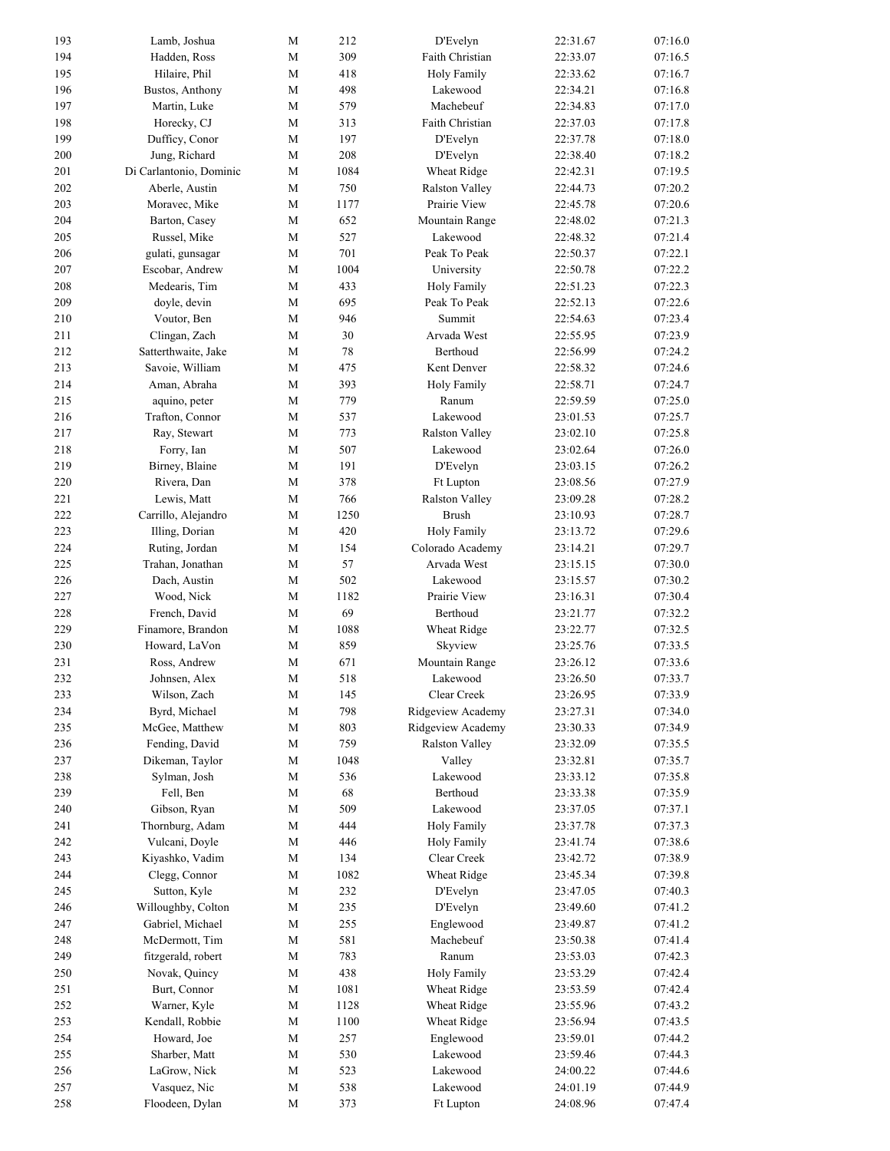| 193 | Lamb, Joshua            | M           | 212  | D'Evelyn              | 22:31.67 | 07:16.0 |
|-----|-------------------------|-------------|------|-----------------------|----------|---------|
| 194 | Hadden, Ross            | М           | 309  | Faith Christian       | 22:33.07 | 07:16.5 |
| 195 | Hilaire, Phil           | M           | 418  | Holy Family           | 22:33.62 | 07:16.7 |
| 196 | Bustos, Anthony         | М           | 498  | Lakewood              | 22:34.21 | 07:16.8 |
| 197 | Martin, Luke            | М           | 579  | Machebeuf             | 22:34.83 | 07:17.0 |
| 198 | Horecky, CJ             | M           | 313  | Faith Christian       | 22:37.03 | 07:17.8 |
| 199 | Dufficy, Conor          | М           | 197  | D'Evelyn              | 22:37.78 | 07:18.0 |
| 200 | Jung, Richard           | $\mathbf M$ | 208  | D'Evelyn              | 22:38.40 | 07:18.2 |
| 201 | Di Carlantonio, Dominic | М           | 1084 | Wheat Ridge           | 22:42.31 | 07:19.5 |
| 202 | Aberle, Austin          | М           | 750  | <b>Ralston Valley</b> | 22:44.73 | 07:20.2 |
| 203 | Moravec, Mike           | M           | 1177 | Prairie View          | 22:45.78 | 07:20.6 |
| 204 | Barton, Casey           | M           | 652  | Mountain Range        | 22:48.02 | 07:21.3 |
| 205 | Russel, Mike            | М           | 527  | Lakewood              | 22:48.32 | 07:21.4 |
| 206 | gulati, gunsagar        | M           | 701  | Peak To Peak          | 22:50.37 | 07:22.1 |
| 207 | Escobar, Andrew         | M           | 1004 | University            | 22:50.78 | 07:22.2 |
| 208 | Medearis, Tim           | $\mathbf M$ | 433  | Holy Family           | 22:51.23 | 07:22.3 |
| 209 | doyle, devin            | М           | 695  | Peak To Peak          | 22:52.13 | 07:22.6 |
| 210 | Voutor, Ben             | М           | 946  | Summit                | 22:54.63 | 07:23.4 |
| 211 | Clingan, Zach           | M           | 30   | Arvada West           | 22:55.95 | 07:23.9 |
| 212 | Satterthwaite, Jake     | М           | 78   | Berthoud              | 22:56.99 | 07:24.2 |
| 213 | Savoie, William         | М           | 475  | Kent Denver           | 22:58.32 | 07:24.6 |
| 214 | Aman, Abraha            | M           | 393  |                       |          | 07:24.7 |
|     |                         |             |      | Holy Family<br>Ranum  | 22:58.71 |         |
| 215 | aquino, peter           | М           | 779  |                       | 22:59.59 | 07:25.0 |
| 216 | Trafton, Connor         | $\mathbf M$ | 537  | Lakewood              | 23:01.53 | 07:25.7 |
| 217 | Ray, Stewart            | М           | 773  | Ralston Valley        | 23:02.10 | 07:25.8 |
| 218 | Forry, Ian              | М           | 507  | Lakewood              | 23:02.64 | 07:26.0 |
| 219 | Birney, Blaine          | М           | 191  | D'Evelyn              | 23:03.15 | 07:26.2 |
| 220 | Rivera, Dan             | М           | 378  | Ft Lupton             | 23:08.56 | 07:27.9 |
| 221 | Lewis, Matt             | М           | 766  | Ralston Valley        | 23:09.28 | 07:28.2 |
| 222 | Carrillo, Alejandro     | $\mathbf M$ | 1250 | <b>Brush</b>          | 23:10.93 | 07:28.7 |
| 223 | Illing, Dorian          | М           | 420  | Holy Family           | 23:13.72 | 07:29.6 |
| 224 | Ruting, Jordan          | $\mathbf M$ | 154  | Colorado Academy      | 23:14.21 | 07:29.7 |
| 225 | Trahan, Jonathan        | М           | 57   | Arvada West           | 23:15.15 | 07:30.0 |
| 226 | Dach, Austin            | М           | 502  | Lakewood              | 23:15.57 | 07:30.2 |
| 227 | Wood, Nick              | М           | 1182 | Prairie View          | 23:16.31 | 07:30.4 |
| 228 | French, David           | M           | 69   | Berthoud              | 23:21.77 | 07:32.2 |
| 229 | Finamore, Brandon       | М           | 1088 | Wheat Ridge           | 23:22.77 | 07:32.5 |
| 230 | Howard, LaVon           | M           | 859  | Skyview               | 23:25.76 | 07:33.5 |
| 231 | Ross, Andrew            | М           | 671  | Mountain Range        | 23:26.12 | 07:33.6 |
| 232 | Johnsen, Alex           | M           | 518  | Lakewood              | 23:26.50 | 07:33.7 |
| 233 | Wilson, Zach            | $\mathbf M$ | 145  | Clear Creek           | 23:26.95 | 07:33.9 |
| 234 | Byrd, Michael           | $\mathbf M$ | 798  | Ridgeview Academy     | 23:27.31 | 07:34.0 |
| 235 | McGee, Matthew          | $\mathbf M$ | 803  | Ridgeview Academy     | 23:30.33 | 07:34.9 |
| 236 | Fending, David          | $\mathbf M$ | 759  | Ralston Valley        | 23:32.09 | 07:35.5 |
| 237 | Dikeman, Taylor         | $\mathbf M$ | 1048 | Valley                | 23:32.81 | 07:35.7 |
| 238 | Sylman, Josh            | $\mathbf M$ | 536  | Lakewood              | 23:33.12 | 07:35.8 |
| 239 | Fell, Ben               | $\mathbf M$ | 68   | Berthoud              | 23:33.38 | 07:35.9 |
| 240 | Gibson, Ryan            | $\mathbf M$ | 509  | Lakewood              | 23:37.05 | 07:37.1 |
| 241 | Thornburg, Adam         | М           | 444  | Holy Family           | 23:37.78 | 07:37.3 |
| 242 | Vulcani, Doyle          | М           | 446  | Holy Family           | 23:41.74 | 07:38.6 |
| 243 | Kiyashko, Vadim         | М           | 134  | Clear Creek           | 23:42.72 | 07:38.9 |
| 244 | Clegg, Connor           | М           | 1082 | Wheat Ridge           | 23:45.34 | 07:39.8 |
| 245 | Sutton, Kyle            | М           | 232  | D'Evelyn              | 23:47.05 | 07:40.3 |
| 246 | Willoughby, Colton      | $\mathbf M$ | 235  | D'Evelyn              | 23:49.60 | 07:41.2 |
| 247 | Gabriel, Michael        | $\mathbf M$ | 255  | Englewood             | 23:49.87 | 07:41.2 |
|     |                         |             | 581  | Machebeuf             |          |         |
| 248 | McDermott, Tim          | M           |      |                       | 23:50.38 | 07:41.4 |
| 249 | fitzgerald, robert      | М           | 783  | Ranum                 | 23:53.03 | 07:42.3 |
| 250 | Novak, Quincy           | М           | 438  | Holy Family           | 23:53.29 | 07:42.4 |
| 251 | Burt, Connor            | M           | 1081 | Wheat Ridge           | 23:53.59 | 07:42.4 |
| 252 | Warner, Kyle            | M           | 1128 | Wheat Ridge           | 23:55.96 | 07:43.2 |
| 253 | Kendall, Robbie         | М           | 1100 | Wheat Ridge           | 23:56.94 | 07:43.5 |
| 254 | Howard, Joe             | $\mathbf M$ | 257  | Englewood             | 23:59.01 | 07:44.2 |
| 255 | Sharber, Matt           | $\mathbf M$ | 530  | Lakewood              | 23:59.46 | 07:44.3 |
| 256 | LaGrow, Nick            | $\mathbf M$ | 523  | Lakewood              | 24:00.22 | 07:44.6 |
| 257 | Vasquez, Nic            | М           | 538  | Lakewood              | 24:01.19 | 07:44.9 |
| 258 | Floodeen, Dylan         | M           | 373  | Ft Lupton             | 24:08.96 | 07:47.4 |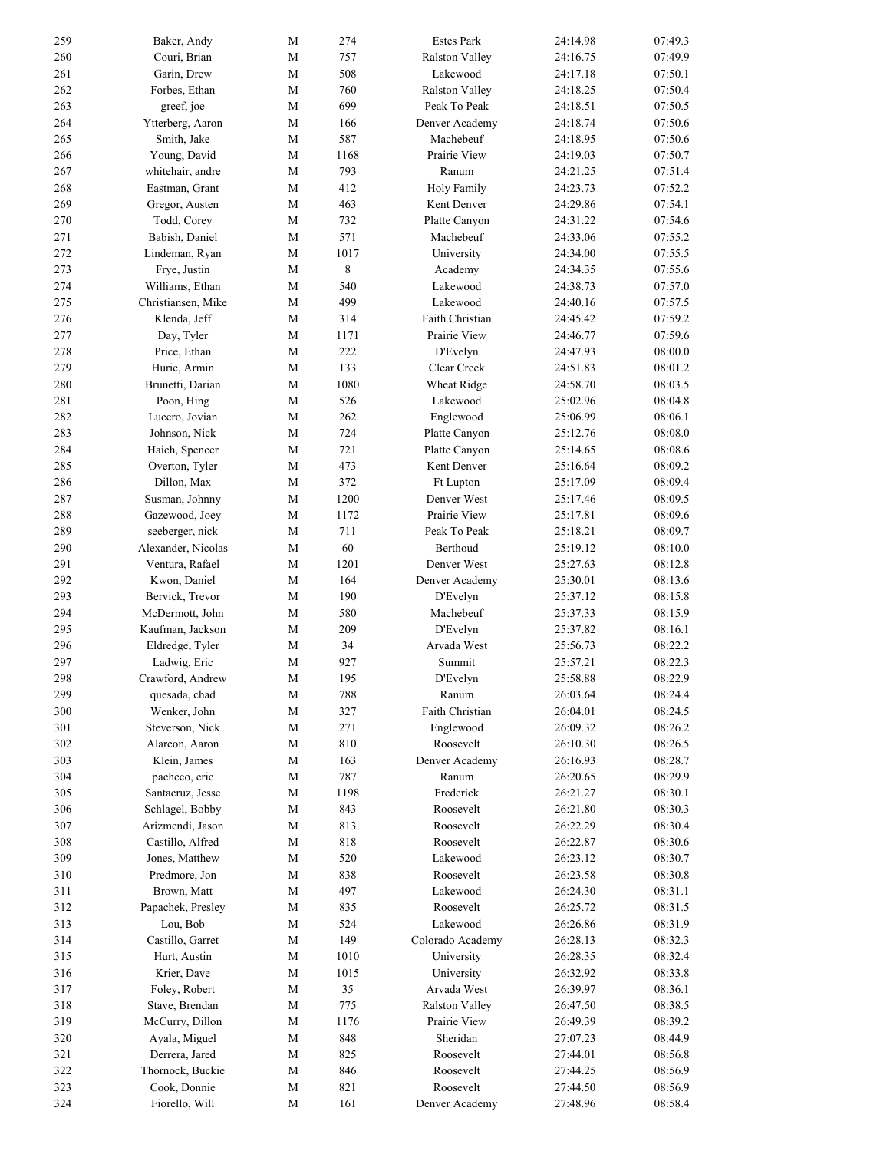| 259        | Baker, Andy        | M                | 274        | <b>Estes Park</b>     | 24:14.98 | 07:49.3 |
|------------|--------------------|------------------|------------|-----------------------|----------|---------|
| 260        | Couri, Brian       | M                | 757        | Ralston Valley        | 24:16.75 | 07:49.9 |
| 261        | Garin, Drew        | $\mathbf M$      | 508        | Lakewood              | 24:17.18 | 07:50.1 |
| 262        | Forbes, Ethan      | $\mathbf M$      | 760        | Ralston Valley        | 24:18.25 | 07:50.4 |
| 263        | greef, joe         | M                | 699        | Peak To Peak          | 24:18.51 | 07:50.5 |
| 264        | Ytterberg, Aaron   | $\mathbf M$      | 166        | Denver Academy        | 24:18.74 | 07:50.6 |
| 265        | Smith, Jake        | M                | 587        | Machebeuf             | 24:18.95 | 07:50.6 |
| 266        | Young, David       | $\mathbf M$      | 1168       | Prairie View          | 24:19.03 | 07:50.7 |
| 267        | whitehair, andre   | M                | 793        | Ranum                 | 24:21.25 | 07:51.4 |
| 268        | Eastman, Grant     | M                | 412        | <b>Holy Family</b>    | 24:23.73 | 07:52.2 |
| 269        | Gregor, Austen     | $\mathbf M$      | 463        | Kent Denver           | 24:29.86 | 07:54.1 |
| 270        | Todd, Corey        | M                | 732        | Platte Canyon         | 24:31.22 | 07:54.6 |
| 271        | Babish, Daniel     | M                | 571        | Machebeuf             | 24:33.06 | 07:55.2 |
| 272        | Lindeman, Ryan     | M                | 1017       | University            | 24:34.00 | 07:55.5 |
| 273        | Frye, Justin       | M                | 8          | Academy               | 24:34.35 | 07:55.6 |
| 274        | Williams, Ethan    | $\mathbf M$      | 540        | Lakewood              | 24:38.73 | 07:57.0 |
| 275        | Christiansen, Mike | M                | 499        | Lakewood              | 24:40.16 | 07:57.5 |
| 276        | Klenda, Jeff       | M                | 314        | Faith Christian       | 24:45.42 | 07:59.2 |
| 277        | Day, Tyler         | $\mathbf M$      | 1171       | Prairie View          | 24:46.77 | 07:59.6 |
| 278        | Price, Ethan       | $\mathbf M$      | 222        | D'Evelyn              | 24:47.93 | 08:00.0 |
| 279        | Huric, Armin       | M                | 133        | Clear Creek           | 24:51.83 | 08:01.2 |
| 280        | Brunetti, Darian   | $\mathbf M$      | 1080       | Wheat Ridge           | 24:58.70 | 08:03.5 |
| 281        | Poon, Hing         | $\mathbf M$      | 526        | Lakewood              | 25:02.96 | 08:04.8 |
| 282        | Lucero, Jovian     | $\mathbf M$      | 262        | Englewood             | 25:06.99 | 08:06.1 |
| 283        | Johnson, Nick      | M                | 724        | Platte Canyon         | 25:12.76 | 08:08.0 |
| 284        | Haich, Spencer     | М                | 721        | Platte Canyon         | 25:14.65 | 08:08.6 |
| 285        | Overton, Tyler     | M                | 473        | Kent Denver           | 25:16.64 | 08:09.2 |
| 286        | Dillon, Max        | M                | 372        | <b>Ft Lupton</b>      | 25:17.09 | 08:09.4 |
| 287        | Susman, Johnny     | M                | 1200       | Denver West           | 25:17.46 | 08:09.5 |
| 288        | Gazewood, Joey     | $\mathbf M$      | 1172       | Prairie View          | 25:17.81 | 08:09.6 |
| 289        | seeberger, nick    | $\mathbf M$      | 711        | Peak To Peak          | 25:18.21 | 08:09.7 |
| 290        | Alexander, Nicolas | ${\bf M}$        | 60         | Berthoud              | 25:19.12 | 08:10.0 |
| 291        | Ventura, Rafael    | M                | 1201       | Denver West           | 25:27.63 | 08:12.8 |
| 292        | Kwon, Daniel       | $\mathbf M$      | 164        | Denver Academy        | 25:30.01 | 08:13.6 |
| 293        | Bervick, Trevor    | $\mathbf M$      | 190        | D'Evelyn              | 25:37.12 | 08:15.8 |
| 294        | McDermott, John    | $\mathbf M$      | 580        | Machebeuf             | 25:37.33 | 08:15.9 |
| 295        | Kaufman, Jackson   | M                | 209        | D'Evelyn              | 25:37.82 | 08:16.1 |
| 296        | Eldredge, Tyler    | $\mathbf M$      | 34         | Arvada West           | 25:56.73 | 08:22.2 |
| 297        | Ladwig, Eric       | M                | 927        | Summit                | 25:57.21 | 08:22.3 |
| 298        | Crawford, Andrew   | M                | 195        | D'Evelyn              | 25:58.88 | 08:22.9 |
| 299        | quesada, chad      | $\mathbf M$      | 788        | Ranum                 | 26:03.64 | 08:24.4 |
| 300        | Wenker, John       | $\mathbf M$      | 327        | Faith Christian       | 26:04.01 | 08:24.5 |
| 301        | Steverson, Nick    | $\mathbf M$      | 271        | Englewood             | 26:09.32 | 08:26.2 |
| 302        | Alarcon, Aaron     | $\mathbf M$      | 810        | Roosevelt             | 26:10.30 | 08:26.5 |
| 303        | Klein, James       | $\mathbf M$      | 163        | Denver Academy        | 26:16.93 | 08:28.7 |
| 304        | pacheco, eric      | ${\bf M}$        | 787        | Ranum                 | 26:20.65 | 08:29.9 |
| 305        | Santacruz, Jesse   | $\mathbf M$      | 1198       | Frederick             | 26:21.27 | 08:30.1 |
| 306        | Schlagel, Bobby    | $\mathbf M$      | 843        | Roosevelt             | 26:21.80 | 08:30.3 |
| 307        | Arizmendi, Jason   | $\mathbf M$      | 813        | Roosevelt             | 26:22.29 | 08:30.4 |
| 308        | Castillo, Alfred   | M                | 818        | Roosevelt             | 26:22.87 | 08:30.6 |
| 309        | Jones, Matthew     | М                | 520        | Lakewood              | 26:23.12 | 08:30.7 |
|            | Predmore, Jon      |                  |            | Roosevelt             |          |         |
| 310        | Brown, Matt        | M                | 838<br>497 | Lakewood              | 26:23.58 | 08:30.8 |
| 311<br>312 |                    | M<br>$\mathbf M$ |            |                       | 26:24.30 | 08:31.1 |
|            | Papachek, Presley  |                  | 835        | Roosevelt             | 26:25.72 | 08:31.5 |
| 313        | Lou, Bob           | $\mathbf M$      | 524        | Lakewood              | 26:26.86 | 08:31.9 |
| 314        | Castillo, Garret   | $\mathbf M$      | 149        | Colorado Academy      | 26:28.13 | 08:32.3 |
| 315        | Hurt, Austin       | $\mathbf M$      | 1010       | University            | 26:28.35 | 08:32.4 |
| 316        | Krier, Dave        | M                | 1015       | University            | 26:32.92 | 08:33.8 |
| 317        | Foley, Robert      | $\mathbf M$      | 35         | Arvada West           | 26:39.97 | 08:36.1 |
| 318        | Stave, Brendan     | M                | 775        | <b>Ralston Valley</b> | 26:47.50 | 08:38.5 |
| 319        | McCurry, Dillon    | M                | 1176       | Prairie View          | 26:49.39 | 08:39.2 |
| 320        | Ayala, Miguel      | $\mathbf M$      | 848        | Sheridan              | 27:07.23 | 08:44.9 |
| 321        | Derrera, Jared     | $\mathbf M$      | 825        | Roosevelt             | 27:44.01 | 08:56.8 |
| 322        | Thornock, Buckie   | $\mathbf M$      | 846        | Roosevelt             | 27:44.25 | 08:56.9 |
| 323        | Cook, Donnie       | M                | 821        | Roosevelt             | 27:44.50 | 08:56.9 |
| 324        | Fiorello, Will     | M                | 161        | Denver Academy        | 27:48.96 | 08:58.4 |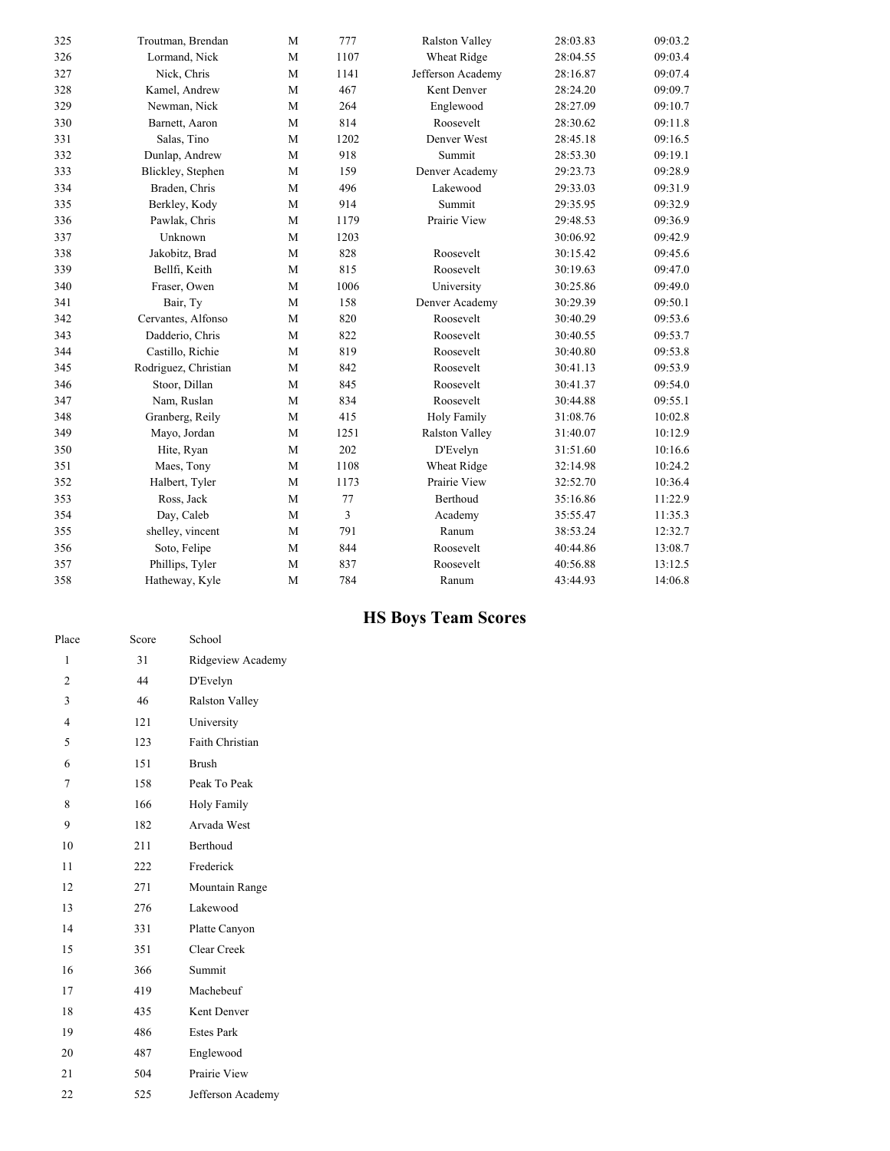| 325 | Troutman, Brendan    | M           | 777  | <b>Ralston Valley</b> | 28:03.83 | 09:03.2 |
|-----|----------------------|-------------|------|-----------------------|----------|---------|
| 326 | Lormand, Nick        | M           | 1107 | Wheat Ridge           | 28:04.55 | 09:03.4 |
| 327 | Nick, Chris          | M           | 1141 | Jefferson Academy     | 28:16.87 | 09:07.4 |
| 328 | Kamel, Andrew        | M           | 467  | Kent Denver           | 28:24.20 | 09:09.7 |
| 329 | Newman, Nick         | M           | 264  | Englewood             | 28:27.09 | 09:10.7 |
| 330 | Barnett, Aaron       | M           | 814  | Roosevelt             | 28:30.62 | 09:11.8 |
| 331 | Salas, Tino          | M           | 1202 | Denver West           | 28:45.18 | 09:16.5 |
| 332 | Dunlap, Andrew       | $\mathbf M$ | 918  | Summit                | 28:53.30 | 09:19.1 |
| 333 | Blickley, Stephen    | M           | 159  | Denver Academy        | 29:23.73 | 09:28.9 |
| 334 | Braden, Chris        | M           | 496  | Lakewood              | 29:33.03 | 09:31.9 |
| 335 | Berkley, Kody        | M           | 914  | Summit                | 29:35.95 | 09:32.9 |
| 336 | Pawlak, Chris        | M           | 1179 | Prairie View          | 29:48.53 | 09:36.9 |
| 337 | Unknown              | M           | 1203 |                       | 30:06.92 | 09:42.9 |
| 338 | Jakobitz, Brad       | M           | 828  | Roosevelt             | 30:15.42 | 09:45.6 |
| 339 | Bellfi, Keith        | M           | 815  | Roosevelt             | 30:19.63 | 09:47.0 |
| 340 | Fraser, Owen         | M           | 1006 | University            | 30:25.86 | 09:49.0 |
| 341 | Bair, Ty             | M           | 158  | Denver Academy        | 30:29.39 | 09:50.1 |
| 342 | Cervantes, Alfonso   | M           | 820  | Roosevelt             | 30:40.29 | 09:53.6 |
| 343 | Dadderio, Chris      | M           | 822  | Roosevelt             | 30:40.55 | 09:53.7 |
| 344 | Castillo, Richie     | M           | 819  | Roosevelt             | 30:40.80 | 09:53.8 |
| 345 | Rodriguez, Christian | M           | 842  | Roosevelt             | 30:41.13 | 09:53.9 |
| 346 | Stoor, Dillan        | M           | 845  | Roosevelt             | 30:41.37 | 09:54.0 |
| 347 | Nam, Ruslan          | M           | 834  | Roosevelt             | 30:44.88 | 09:55.1 |
| 348 | Granberg, Reily      | M           | 415  | Holy Family           | 31:08.76 | 10:02.8 |
| 349 | Mayo, Jordan         | M           | 1251 | <b>Ralston Valley</b> | 31:40.07 | 10:12.9 |
| 350 | Hite, Ryan           | M           | 202  | D'Evelyn              | 31:51.60 | 10:16.6 |
| 351 | Maes, Tony           | M           | 1108 | Wheat Ridge           | 32:14.98 | 10:24.2 |
| 352 | Halbert, Tyler       | M           | 1173 | Prairie View          | 32:52.70 | 10:36.4 |
| 353 | Ross, Jack           | M           | 77   | Berthoud              | 35:16.86 | 11:22.9 |
| 354 | Day, Caleb           | ${\bf M}$   | 3    | Academy               | 35:55.47 | 11:35.3 |
| 355 | shelley, vincent     | M           | 791  | Ranum                 | 38:53.24 | 12:32.7 |
| 356 | Soto, Felipe         | M           | 844  | Roosevelt             | 40:44.86 | 13:08.7 |
| 357 | Phillips, Tyler      | M           | 837  | Roosevelt             | 40:56.88 | 13:12.5 |
| 358 | Hatheway, Kyle       | M           | 784  | Ranum                 | 43:44.93 | 14:06.8 |

## **HS Boys Team Scores**

| Place          | Score | School                |
|----------------|-------|-----------------------|
| 1              | 31    | Ridgeview Academy     |
| $\overline{2}$ | 44    | D'Evelyn              |
| 3              | 46    | <b>Ralston Valley</b> |
| 4              | 121   | University            |
| 5              | 123   | Faith Christian       |
| 6              | 151   | <b>Brush</b>          |
| 7              | 158   | Peak To Peak          |
| 8              | 166   | <b>Holy Family</b>    |
| 9              | 182   | Arvada West           |
| 10             | 211   | Berthoud              |
| 11             | 222   | Frederick             |
| 12             | 271   | Mountain Range        |
| 13             | 276   | Lakewood              |
| 14             | 331   | Platte Canyon         |
| 15             | 351   | Clear Creek           |
| 16             | 366   | Summit                |
| 17             | 419   | Machebeuf             |
| 18             | 435   | Kent Denver           |
| 19             | 486   | <b>Estes Park</b>     |
| 20             | 487   | Englewood             |
| 21             | 504   | Prairie View          |
| 22             | 525   | Jefferson Academy     |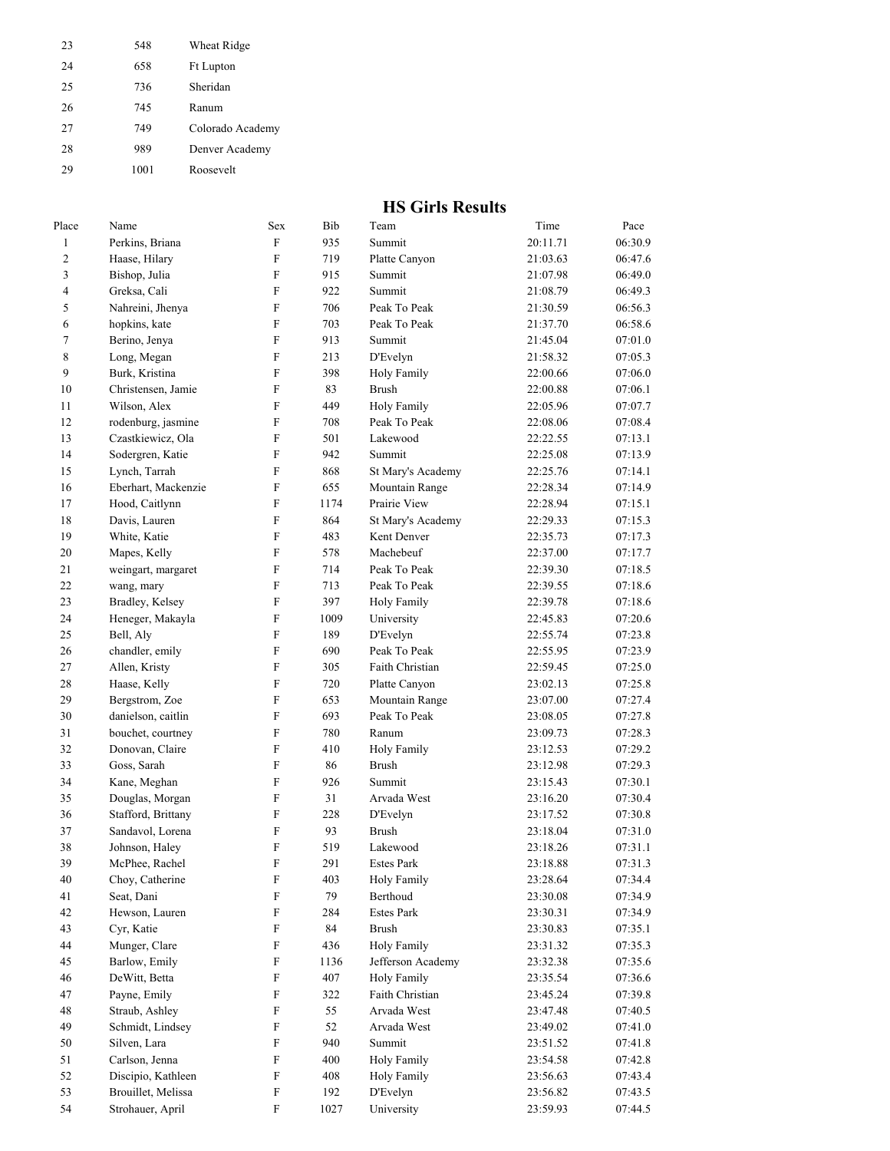| 23 | 548  | Wheat Ridge      |
|----|------|------------------|
| 24 | 658  | <b>Ft Lupton</b> |
| 25 | 736  | Sheridan         |
| 26 | 745  | Ranum            |
| 27 | 749  | Colorado Academy |
| 28 | 989  | Denver Academy   |
| 29 | 1001 | Roosevelt        |

#### **HS Girls Results**

| Place                   | Name                | Sex                       | Bib  | Team               | Time     | Pace    |
|-------------------------|---------------------|---------------------------|------|--------------------|----------|---------|
| $\mathbf{1}$            | Perkins, Briana     | F                         | 935  | Summit             | 20:11.71 | 06:30.9 |
| 2                       | Haase, Hilary       | F                         | 719  | Platte Canyon      | 21:03.63 | 06:47.6 |
| 3                       | Bishop, Julia       | F                         | 915  | Summit             | 21:07.98 | 06:49.0 |
| $\overline{\mathbf{4}}$ | Greksa, Cali        | F                         | 922  | Summit             | 21:08.79 | 06:49.3 |
| 5                       | Nahreini, Jhenya    | F                         | 706  | Peak To Peak       | 21:30.59 | 06:56.3 |
| 6                       | hopkins, kate       | F                         | 703  | Peak To Peak       | 21:37.70 | 06:58.6 |
| 7                       | Berino, Jenya       | F                         | 913  | Summit             | 21:45.04 | 07:01.0 |
| 8                       | Long, Megan         | F                         | 213  | D'Evelyn           | 21:58.32 | 07:05.3 |
| 9                       | Burk, Kristina      | F                         | 398  | <b>Holy Family</b> | 22:00.66 | 07:06.0 |
| 10                      | Christensen, Jamie  | F                         | 83   | <b>Brush</b>       | 22:00.88 | 07:06.1 |
| 11                      | Wilson, Alex        | F                         | 449  | Holy Family        | 22:05.96 | 07:07.7 |
| 12                      | rodenburg, jasmine  | $\rm F$                   | 708  | Peak To Peak       | 22:08.06 | 07:08.4 |
| 13                      | Czastkiewicz, Ola   | F                         | 501  | Lakewood           | 22:22.55 | 07:13.1 |
| 14                      | Sodergren, Katie    | $\rm F$                   | 942  | Summit             | 22:25.08 | 07:13.9 |
| 15                      | Lynch, Tarrah       | $\rm F$                   | 868  | St Mary's Academy  | 22:25.76 | 07:14.1 |
| 16                      | Eberhart, Mackenzie | F                         | 655  | Mountain Range     | 22:28.34 | 07:14.9 |
| 17                      | Hood, Caitlynn      | F                         | 1174 | Prairie View       | 22:28.94 | 07:15.1 |
| 18                      | Davis, Lauren       | F                         | 864  | St Mary's Academy  | 22:29.33 | 07:15.3 |
| 19                      | White, Katie        | F                         | 483  | Kent Denver        | 22:35.73 | 07:17.3 |
| $20\,$                  | Mapes, Kelly        | $\rm F$                   | 578  | Machebeuf          | 22:37.00 | 07:17.7 |
| 21                      | weingart, margaret  | $\rm F$                   | 714  | Peak To Peak       | 22:39.30 | 07:18.5 |
| 22                      | wang, mary          | $\rm F$                   | 713  | Peak To Peak       | 22:39.55 | 07:18.6 |
| 23                      | Bradley, Kelsey     | $\rm F$                   | 397  | Holy Family        | 22:39.78 | 07:18.6 |
| 24                      | Heneger, Makayla    | F                         | 1009 | University         | 22:45.83 | 07:20.6 |
| 25                      | Bell, Aly           | F                         | 189  | D'Evelyn           | 22:55.74 | 07:23.8 |
| 26                      | chandler, emily     | F                         | 690  | Peak To Peak       | 22:55.95 | 07:23.9 |
| 27                      | Allen, Kristy       | F                         | 305  | Faith Christian    | 22:59.45 | 07:25.0 |
| $28\,$                  | Haase, Kelly        | $\rm F$                   | 720  | Platte Canyon      | 23:02.13 | 07:25.8 |
| 29                      | Bergstrom, Zoe      | F                         | 653  | Mountain Range     | 23:07.00 | 07:27.4 |
| 30                      | danielson, caitlin  | $\rm F$                   | 693  | Peak To Peak       | 23:08.05 | 07:27.8 |
| 31                      | bouchet, courtney   | $\rm F$                   | 780  | Ranum              | 23:09.73 | 07:28.3 |
| 32                      | Donovan, Claire     | F                         | 410  | Holy Family        | 23:12.53 | 07:29.2 |
| 33                      | Goss, Sarah         | F                         | 86   | <b>Brush</b>       | 23:12.98 | 07:29.3 |
| 34                      | Kane, Meghan        | F                         | 926  | Summit             | 23:15.43 | 07:30.1 |
| 35                      | Douglas, Morgan     | F                         | 31   | Arvada West        | 23:16.20 | 07:30.4 |
| 36                      | Stafford, Brittany  | $\rm F$                   | 228  | D'Evelyn           | 23:17.52 | 07:30.8 |
| 37                      | Sandavol, Lorena    | F                         | 93   | <b>Brush</b>       | 23:18.04 | 07:31.0 |
| 38                      | Johnson, Haley      | F                         | 519  | Lakewood           | 23:18.26 | 07:31.1 |
| 39                      | McPhee, Rachel      | F                         | 291  | <b>Estes Park</b>  | 23:18.88 | 07:31.3 |
| $40\,$                  | Choy, Catherine     | $\boldsymbol{\mathrm{F}}$ | 403  | Holy Family        | 23:28.64 | 07:34.4 |
| 41                      | Seat, Dani          | $\rm F$                   | 79   | Berthoud           | 23:30.08 | 07:34.9 |
| 42                      | Hewson, Lauren      | $\mathbf F$               | 284  | <b>Estes Park</b>  | 23:30.31 | 07:34.9 |
| 43                      | Cyr, Katie          | $\rm F$                   | 84   | <b>Brush</b>       | 23:30.83 | 07:35.1 |
| $44\,$                  | Munger, Clare       | $\mathbf F$               | 436  | Holy Family        | 23:31.32 | 07:35.3 |
| 45                      | Barlow, Emily       | $\rm F$                   | 1136 | Jefferson Academy  | 23:32.38 | 07:35.6 |
| 46                      | DeWitt, Betta       | $\mathbf F$               | 407  | Holy Family        | 23:35.54 | 07:36.6 |
|                         |                     |                           |      | Faith Christian    |          |         |
| 47                      | Payne, Emily        | $\mathbf F$               | 322  |                    | 23:45.24 | 07:39.8 |
| 48                      | Straub, Ashley      | $\boldsymbol{\mathrm{F}}$ | 55   | Arvada West        | 23:47.48 | 07:40.5 |
| 49                      | Schmidt, Lindsey    | $\rm F$                   | 52   | Arvada West        | 23:49.02 | 07:41.0 |
| 50                      | Silven, Lara        | $\rm F$                   | 940  | Summit             | 23:51.52 | 07:41.8 |
| 51                      | Carlson, Jenna      | $\rm F$                   | 400  | <b>Holy Family</b> | 23:54.58 | 07:42.8 |
| 52                      | Discipio, Kathleen  | $\mathbf F$               | 408  | <b>Holy Family</b> | 23:56.63 | 07:43.4 |
| 53                      | Brouillet, Melissa  | $\rm F$                   | 192  | D'Evelyn           | 23:56.82 | 07:43.5 |
| 54                      | Strohauer, April    | $\boldsymbol{\mathrm{F}}$ | 1027 | University         | 23:59.93 | 07:44.5 |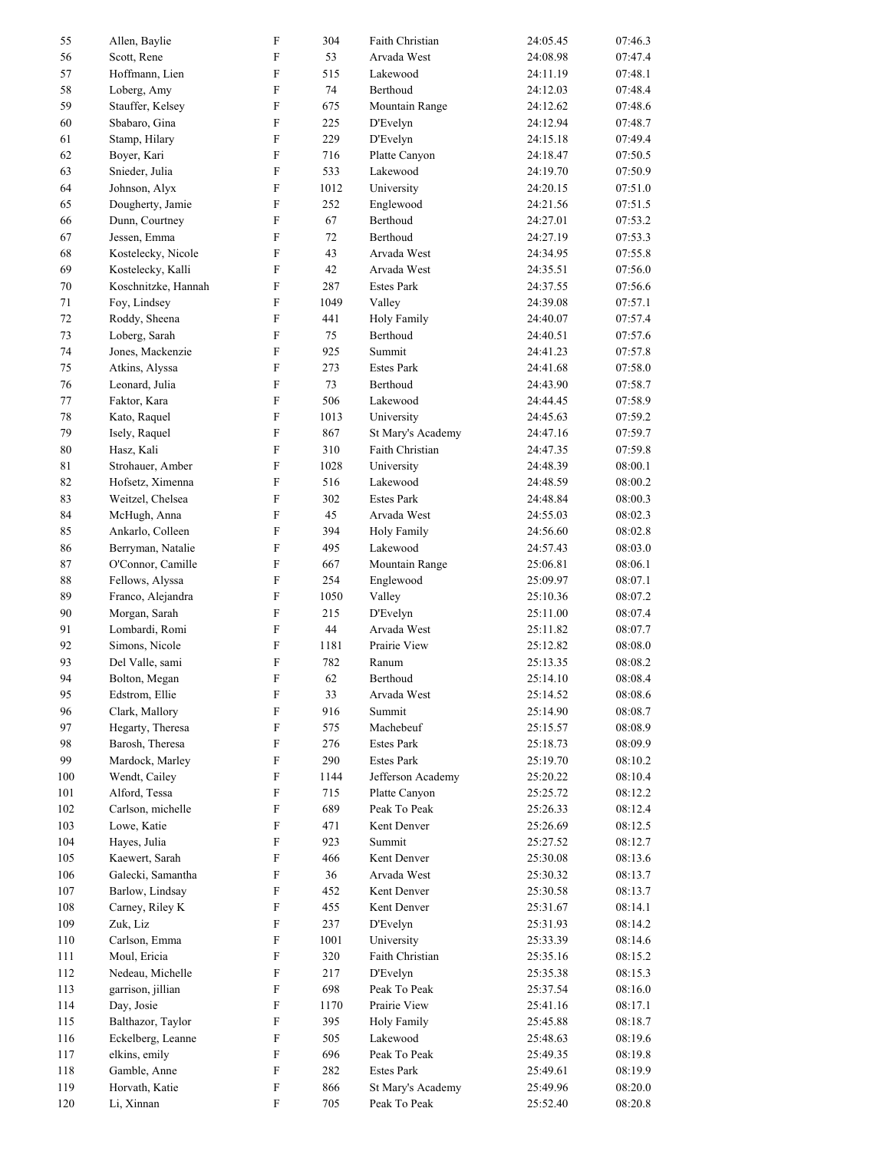| 55     | Allen, Baylie       | $\rm F$                   | 304  | Faith Christian   | 24:05.45 | 07:46.3 |
|--------|---------------------|---------------------------|------|-------------------|----------|---------|
| 56     | Scott, Rene         | $\mathbf F$               | 53   | Arvada West       | 24:08.98 | 07:47.4 |
| 57     | Hoffmann, Lien      | $\rm F$                   | 515  | Lakewood          | 24:11.19 | 07:48.1 |
| 58     | Loberg, Amy         | $\rm F$                   | 74   | Berthoud          | 24:12.03 | 07:48.4 |
| 59     | Stauffer, Kelsey    | $\mathbf F$               | 675  | Mountain Range    | 24:12.62 | 07:48.6 |
| 60     | Sbabaro, Gina       | $\rm F$                   | 225  | D'Evelyn          | 24:12.94 | 07:48.7 |
| 61     | Stamp, Hilary       | $\rm F$                   | 229  | D'Evelyn          | 24:15.18 | 07:49.4 |
| 62     | Boyer, Kari         | $\rm F$                   | 716  | Platte Canyon     | 24:18.47 | 07:50.5 |
| 63     | Snieder, Julia      | $\mathbf F$               | 533  | Lakewood          | 24:19.70 | 07:50.9 |
| 64     | Johnson, Alyx       | $\rm F$                   | 1012 | University        | 24:20.15 | 07:51.0 |
| 65     | Dougherty, Jamie    | $\rm F$                   | 252  | Englewood         | 24:21.56 | 07:51.5 |
| 66     | Dunn, Courtney      | $\rm F$                   | 67   | Berthoud          | 24:27.01 | 07:53.2 |
|        |                     | $\rm F$                   |      |                   |          |         |
| 67     | Jessen, Emma        |                           | 72   | Berthoud          | 24:27.19 | 07:53.3 |
| 68     | Kostelecky, Nicole  | F                         | 43   | Arvada West       | 24:34.95 | 07:55.8 |
| 69     | Kostelecky, Kalli   | $\rm F$                   | 42   | Arvada West       | 24:35.51 | 07:56.0 |
| $70\,$ | Koschnitzke, Hannah | $\mathbf F$               | 287  | <b>Estes Park</b> | 24:37.55 | 07:56.6 |
| 71     | Foy, Lindsey        | $\rm F$                   | 1049 | Valley            | 24:39.08 | 07:57.1 |
| 72     | Roddy, Sheena       | $\mathbf F$               | 441  | Holy Family       | 24:40.07 | 07:57.4 |
| 73     | Loberg, Sarah       | $\rm F$                   | 75   | Berthoud          | 24:40.51 | 07:57.6 |
| 74     | Jones, Mackenzie    | $\rm F$                   | 925  | Summit            | 24:41.23 | 07:57.8 |
| 75     | Atkins, Alyssa      | $\rm F$                   | 273  | <b>Estes Park</b> | 24:41.68 | 07:58.0 |
| 76     | Leonard, Julia      | $\rm F$                   | 73   | Berthoud          | 24:43.90 | 07:58.7 |
| 77     | Faktor, Kara        | $\rm F$                   | 506  | Lakewood          | 24:44.45 | 07:58.9 |
| 78     | Kato, Raquel        | $\rm F$                   | 1013 | University        | 24:45.63 | 07:59.2 |
| 79     | Isely, Raquel       | $\rm F$                   | 867  | St Mary's Academy | 24:47.16 | 07:59.7 |
| $80\,$ | Hasz, Kali          | $\rm F$                   | 310  | Faith Christian   | 24:47.35 | 07:59.8 |
| 81     | Strohauer, Amber    | $\rm F$                   | 1028 | University        | 24:48.39 | 08:00.1 |
| 82     | Hofsetz, Ximenna    | $\rm F$                   | 516  | Lakewood          | 24:48.59 | 08:00.2 |
| 83     | Weitzel, Chelsea    | $\rm F$                   | 302  | <b>Estes Park</b> | 24:48.84 | 08:00.3 |
| 84     | McHugh, Anna        | $\mathbf F$               | 45   | Arvada West       | 24:55.03 | 08:02.3 |
| 85     | Ankarlo, Colleen    | $\rm F$                   | 394  |                   |          | 08:02.8 |
|        |                     | $\mathbf F$               |      | Holy Family       | 24:56.60 |         |
| 86     | Berryman, Natalie   |                           | 495  | Lakewood          | 24:57.43 | 08:03.0 |
| 87     | O'Connor, Camille   | $\rm F$                   | 667  | Mountain Range    | 25:06.81 | 08:06.1 |
| 88     | Fellows, Alyssa     | $\rm F$                   | 254  | Englewood         | 25:09.97 | 08:07.1 |
| 89     | Franco, Alejandra   | $\rm F$                   | 1050 | Valley            | 25:10.36 | 08:07.2 |
| 90     | Morgan, Sarah       | $\rm F$                   | 215  | D'Evelyn          | 25:11.00 | 08:07.4 |
| 91     | Lombardi, Romi      | $\mathbf F$               | 44   | Arvada West       | 25:11.82 | 08:07.7 |
| 92     | Simons, Nicole      | $\rm F$                   | 1181 | Prairie View      | 25:12.82 | 08:08.0 |
| 93     | Del Valle, sami     | $\rm F$                   | 782  | Ranum             | 25:13.35 | 08:08.2 |
| 94     | Bolton, Megan       | $\mathbf F$               | 62   | Berthoud          | 25:14.10 | 08:08.4 |
| 95     | Edstrom, Ellie      | $\mathbf F$               | 33   | Arvada West       | 25:14.52 | 08:08.6 |
| 96     | Clark, Mallory      | $\rm F$                   | 916  | Summit            | 25:14.90 | 08:08.7 |
| 97     | Hegarty, Theresa    | $\mathbf F$               | 575  | Machebeuf         | 25:15.57 | 08:08.9 |
| 98     | Barosh, Theresa     | $\mathbf F$               | 276  | <b>Estes Park</b> | 25:18.73 | 08:09.9 |
| 99     | Mardock, Marley     | $\boldsymbol{\mathrm{F}}$ | 290  | <b>Estes Park</b> | 25:19.70 | 08:10.2 |
| 100    | Wendt, Cailey       | $\boldsymbol{\mathrm{F}}$ | 1144 | Jefferson Academy | 25:20.22 | 08:10.4 |
| 101    | Alford, Tessa       | $\mathbf F$               | 715  | Platte Canyon     | 25:25.72 | 08:12.2 |
| 102    | Carlson, michelle   | $\rm F$                   | 689  | Peak To Peak      | 25:26.33 | 08:12.4 |
| 103    | Lowe, Katie         | $\mathbf F$               | 471  | Kent Denver       | 25:26.69 | 08:12.5 |
| 104    | Hayes, Julia        | $\rm F$                   | 923  | Summit            | 25:27.52 | 08:12.7 |
| 105    | Kaewert, Sarah      | $\boldsymbol{\mathrm{F}}$ | 466  | Kent Denver       | 25:30.08 | 08:13.6 |
|        | Galecki, Samantha   | $\mathbf F$               |      | Arvada West       |          |         |
| 106    |                     |                           | 36   |                   | 25:30.32 | 08:13.7 |
| 107    | Barlow, Lindsay     | $\boldsymbol{\mathrm{F}}$ | 452  | Kent Denver       | 25:30.58 | 08:13.7 |
| 108    | Carney, Riley K     | F                         | 455  | Kent Denver       | 25:31.67 | 08:14.1 |
| 109    | Zuk, Liz            | $\boldsymbol{\mathrm{F}}$ | 237  | D'Evelyn          | 25:31.93 | 08:14.2 |
| 110    | Carlson, Emma       | $\rm F$                   | 1001 | University        | 25:33.39 | 08:14.6 |
| 111    | Moul, Ericia        | $\mathbf F$               | 320  | Faith Christian   | 25:35.16 | 08:15.2 |
| 112    | Nedeau, Michelle    | $\rm F$                   | 217  | D'Evelyn          | 25:35.38 | 08:15.3 |
| 113    | garrison, jillian   | $\mathbf F$               | 698  | Peak To Peak      | 25:37.54 | 08:16.0 |
| 114    | Day, Josie          | $\mathbf F$               | 1170 | Prairie View      | 25:41.16 | 08:17.1 |
| 115    | Balthazor, Taylor   | $\boldsymbol{\mathrm{F}}$ | 395  | Holy Family       | 25:45.88 | 08:18.7 |
| 116    | Eckelberg, Leanne   | F                         | 505  | Lakewood          | 25:48.63 | 08:19.6 |
| 117    | elkins, emily       | $\boldsymbol{\mathrm{F}}$ | 696  | Peak To Peak      | 25:49.35 | 08:19.8 |
| 118    | Gamble, Anne        | $\mathbf F$               | 282  | <b>Estes Park</b> | 25:49.61 | 08:19.9 |
| 119    | Horvath, Katie      | $\mathbf F$               | 866  | St Mary's Academy | 25:49.96 | 08:20.0 |
| 120    | Li, Xinnan          | $\rm F$                   | 705  | Peak To Peak      | 25:52.40 | 08:20.8 |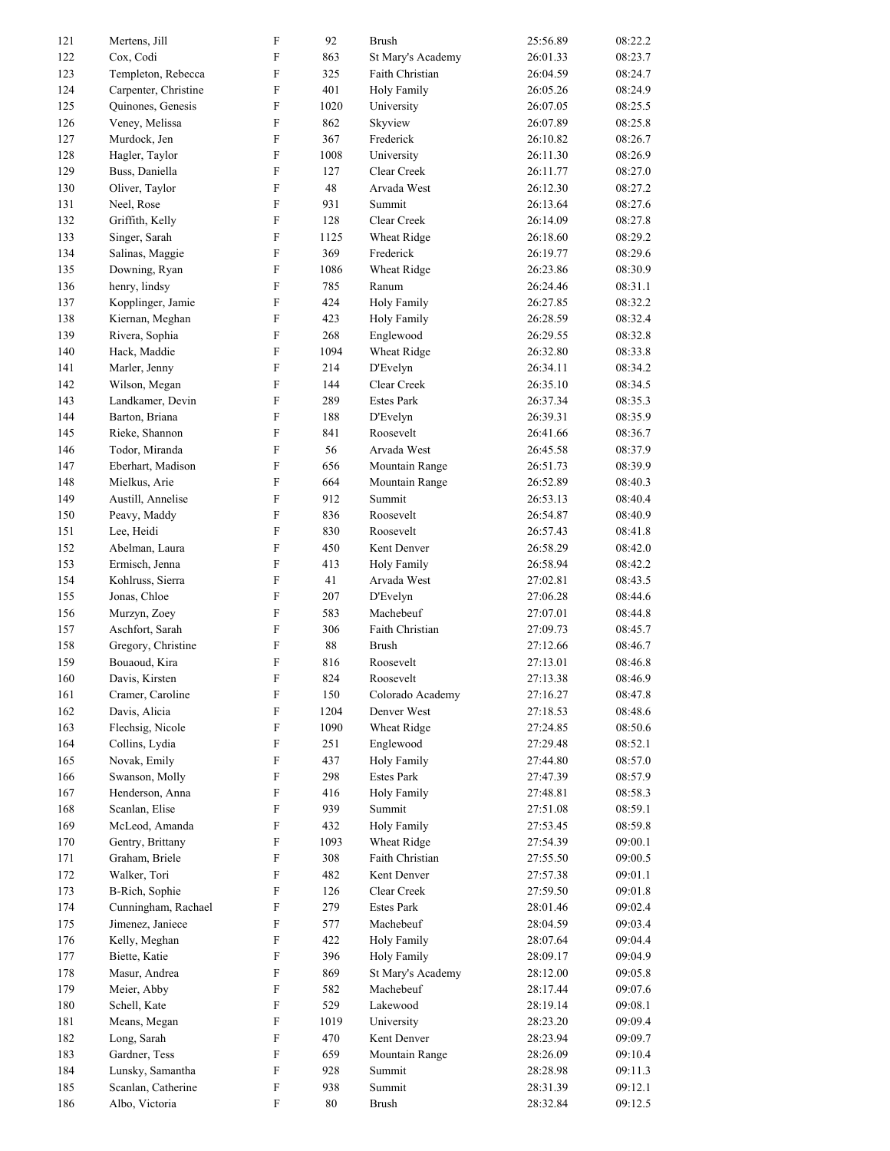| 121        | Mertens, Jill               | $\mathbf F$                | 92          | <b>Brush</b>              | 25:56.89             | 08:22.2            |
|------------|-----------------------------|----------------------------|-------------|---------------------------|----------------------|--------------------|
| 122        | Cox, Codi                   | $\mathbf F$                | 863         | St Mary's Academy         | 26:01.33             | 08:23.7            |
| 123        | Templeton, Rebecca          | $\rm F$                    | 325         | Faith Christian           | 26:04.59             | 08:24.7            |
| 124        | Carpenter, Christine        | $\mathbf F$                | 401         | <b>Holy Family</b>        | 26:05.26             | 08:24.9            |
| 125        | Quinones, Genesis           | $\boldsymbol{\mathrm{F}}$  | 1020        | University                | 26:07.05             | 08:25.5            |
| 126        | Veney, Melissa              | $\rm F$                    | 862         | Skyview                   | 26:07.89             | 08:25.8            |
| 127        | Murdock, Jen                | F                          | 367         | Frederick                 | 26:10.82             | 08:26.7            |
| 128        | Hagler, Taylor              | $\rm F$                    | 1008        | University                | 26:11.30             | 08:26.9            |
| 129        | Buss, Daniella              | $\mathbf F$                | 127         | Clear Creek               | 26:11.77             | 08:27.0            |
| 130        | Oliver, Taylor              | $\rm F$                    | 48          | Arvada West               | 26:12.30             | 08:27.2            |
| 131        | Neel, Rose                  | $\rm F$                    | 931         | Summit                    | 26:13.64             | 08:27.6            |
| 132        | Griffith, Kelly             | $\rm F$                    | 128         | Clear Creek               | 26:14.09             | 08:27.8            |
| 133        | Singer, Sarah               | $\boldsymbol{\mathrm{F}}$  | 1125        | Wheat Ridge               | 26:18.60             | 08:29.2            |
| 134        | Salinas, Maggie             | $\rm F$                    | 369         | Frederick                 | 26:19.77             | 08:29.6            |
| 135        | Downing, Ryan               | F                          | 1086        | Wheat Ridge               | 26:23.86             | 08:30.9            |
| 136        | henry, lindsy               | $\rm F$                    | 785         | Ranum                     | 26:24.46             | 08:31.1            |
| 137        | Kopplinger, Jamie           | $\rm F$                    | 424         | <b>Holy Family</b>        | 26:27.85             | 08:32.2            |
| 138        | Kiernan, Meghan             | $\rm F$                    | 423         | <b>Holy Family</b>        | 26:28.59             | 08:32.4            |
| 139        | Rivera, Sophia              | $\rm F$                    | 268         | Englewood                 | 26:29.55             | 08:32.8            |
| 140        | Hack, Maddie                | $\rm F$                    | 1094        | Wheat Ridge               | 26:32.80             | 08:33.8            |
| 141        | Marler, Jenny               | $\mathbf F$                | 214         | D'Evelyn                  | 26:34.11             | 08:34.2            |
| 142        | Wilson, Megan               | $\rm F$                    | 144         | Clear Creek               | 26:35.10             | 08:34.5            |
| 143        | Landkamer, Devin            | F                          | 289         | <b>Estes Park</b>         | 26:37.34             | 08:35.3            |
| 144        | Barton, Briana              | $\rm F$                    | 188         | D'Evelyn                  | 26:39.31             | 08:35.9            |
| 145        | Rieke, Shannon              | $\mathbf F$                | 841         | Roosevelt                 | 26:41.66             | 08:36.7            |
| 146        | Todor, Miranda              | $\rm F$                    | 56          | Arvada West               | 26:45.58             | 08:37.9            |
| 147        | Eberhart, Madison           | $\rm F$                    | 656         | Mountain Range            | 26:51.73             | 08:39.9            |
| 148        | Mielkus, Arie               | $\rm F$                    | 664         | Mountain Range            | 26:52.89             | 08:40.3            |
| 149        | Austill, Annelise           | $\boldsymbol{\mathrm{F}}$  | 912         | Summit                    | 26:53.13             | 08:40.4            |
| 150        | Peavy, Maddy                | $\rm F$                    | 836         | Roosevelt                 | 26:54.87             | 08:40.9            |
| 151        | Lee, Heidi                  | F                          | 830         | Roosevelt                 | 26:57.43             | 08:41.8            |
| 152        | Abelman, Laura              | $\boldsymbol{\mathrm{F}}$  | 450         | Kent Denver               | 26:58.29             | 08:42.0            |
| 153        | Ermisch, Jenna              | $\mathbf F$                | 413         | Holy Family               | 26:58.94             | 08:42.2            |
| 154        | Kohlruss, Sierra            | $\rm F$                    | 41          | Arvada West               | 27:02.81             | 08:43.5            |
| 155        | Jonas, Chloe                | $\rm F$                    | 207         | D'Evelyn                  | 27:06.28             | 08:44.6            |
| 156        | Murzyn, Zoey                | $\boldsymbol{\mathrm{F}}$  | 583         | Machebeuf                 | 27:07.01             | 08:44.8            |
| 157        | Aschfort, Sarah             | $\boldsymbol{\mathrm{F}}$  | 306         | Faith Christian           | 27:09.73             | 08:45.7            |
| 158        | Gregory, Christine          | F                          | 88          | <b>Brush</b>              | 27:12.66             | 08:46.7            |
| 159        | Bouaoud, Kira               | $\rm F$                    | 816         | Roosevelt                 | 27:13.01             | 08:46.8            |
| 160        | Davis, Kirsten              | $\mathbf{F}$               | 824         | Roosevelt                 | 27:13.38             | 08:46.9            |
| 161        | Cramer, Caroline            | $\mathbf F$                | 150         | Colorado Academy          | 27:16.27             | 08:47.8            |
| 162        | Davis, Alicia               | $\rm F$                    | 1204        | Denver West               | 27:18.53             | 08:48.6            |
| 163        | Flechsig, Nicole            | $\mathbf F$                | 1090        | Wheat Ridge               | 27:24.85             | 08:50.6            |
| 164        | Collins, Lydia              | $\mathbf F$                | 251         | Englewood                 | 27:29.48             | 08:52.1            |
| 165        | Novak, Emily                | $\boldsymbol{\mathrm{F}}$  | 437         | Holy Family               | 27:44.80             | 08:57.0            |
| 166        | Swanson, Molly              | $\mathbf F$                | 298         | <b>Estes Park</b>         | 27:47.39             | 08:57.9            |
| 167        | Henderson, Anna             | $\boldsymbol{\mathrm{F}}$  | 416         | Holy Family               | 27:48.81             | 08:58.3            |
| 168        | Scanlan, Elise              | $\rm F$                    | 939         | Summit                    | 27:51.08             | 08:59.1            |
| 169        | McLeod, Amanda              | $\mathbf F$                | 432         | <b>Holy Family</b>        | 27:53.45             | 08:59.8            |
| 170        | Gentry, Brittany            | $\mathbf F$                | 1093        | Wheat Ridge               | 27:54.39             | 09:00.1            |
| 171        | Graham, Briele              | $\mathbf F$                | 308         | Faith Christian           | 27:55.50             | 09:00.5            |
| 172        | Walker, Tori                | $\mathbf F$                | 482         | Kent Denver               | 27:57.38             | 09:01.1            |
| 173        | B-Rich, Sophie              | $\boldsymbol{\mathrm{F}}$  | 126         | Clear Creek               | 27:59.50             | 09:01.8            |
| 174        | Cunningham, Rachael         | $\mathbf F$                | 279         | <b>Estes Park</b>         | 28:01.46             | 09:02.4            |
| 175        | Jimenez, Janiece            | $\boldsymbol{\mathrm{F}}$  | 577         | Machebeuf                 | 28:04.59             | 09:03.4            |
| 176        | Kelly, Meghan               | $\mathbf F$                | 422         | Holy Family               | 28:07.64             | 09:04.4            |
| 177        | Biette, Katie               | $\mathbf F$                | 396         | Holy Family               | 28:09.17             | 09:04.9            |
| 178        | Masur, Andrea               | $\mathbf F$                | 869         | St Mary's Academy         | 28:12.00             | 09:05.8            |
| 179        | Meier, Abby                 | $\mathbf F$<br>$\mathbf F$ | 582         | Machebeuf<br>Lakewood     | 28:17.44             | 09:07.6            |
| 180        | Schell, Kate                | $\boldsymbol{\mathrm{F}}$  | 529         |                           | 28:19.14             | 09:08.1<br>09:09.4 |
| 181        | Means, Megan<br>Long, Sarah | $\rm F$                    | 1019<br>470 | University<br>Kent Denver | 28:23.20             | 09:09.7            |
| 182<br>183 | Gardner, Tess               | $\boldsymbol{\mathrm{F}}$  | 659         | Mountain Range            | 28:23.94<br>28:26.09 | 09:10.4            |
| 184        | Lunsky, Samantha            | $\mathbf F$                | 928         | Summit                    | 28:28.98             | 09:11.3            |
| 185        | Scanlan, Catherine          | $\mathbf F$                | 938         | Summit                    | 28:31.39             | 09:12.1            |
| 186        | Albo, Victoria              | $\mathbf F$                | $80\,$      | Brush                     | 28:32.84             | 09:12.5            |
|            |                             |                            |             |                           |                      |                    |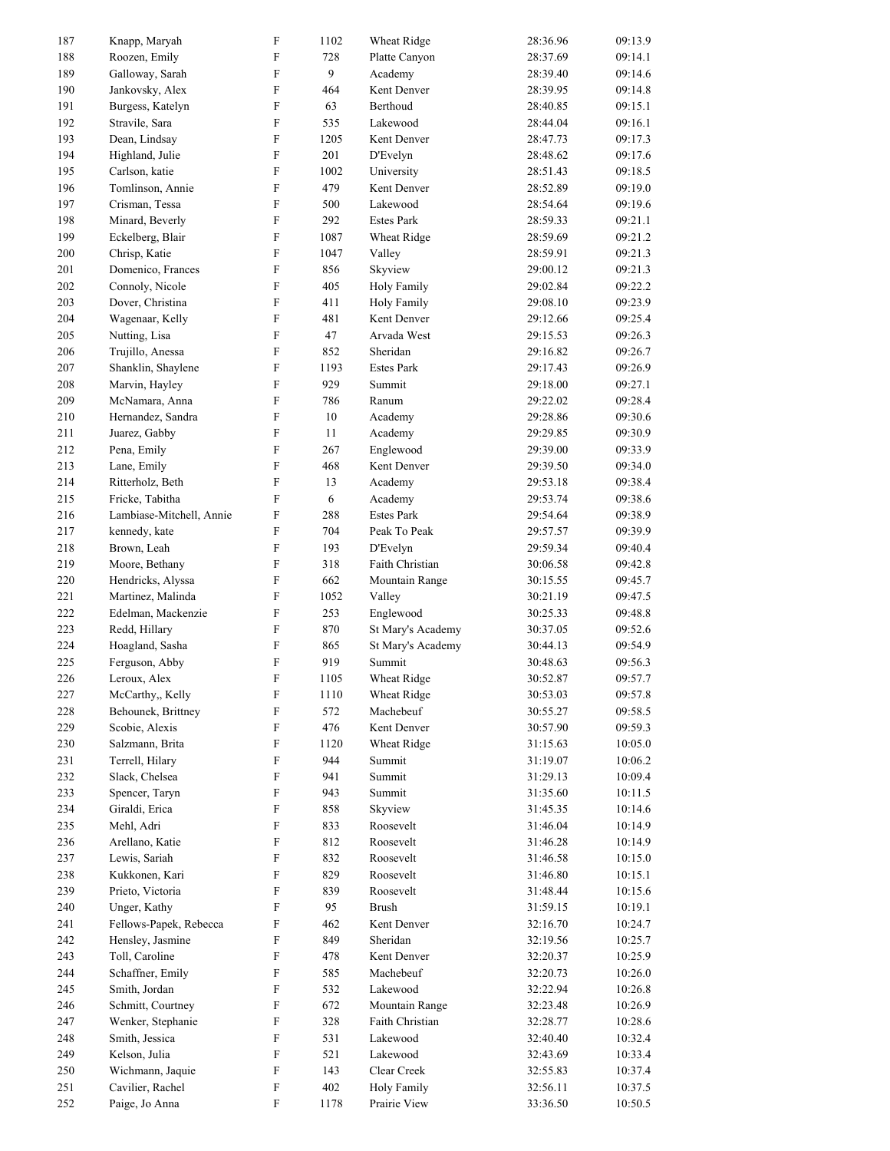| 187 | Knapp, Maryah            | $\boldsymbol{\mathrm{F}}$ | 1102 | Wheat Ridge        | 28:36.96 | 09:13.9 |
|-----|--------------------------|---------------------------|------|--------------------|----------|---------|
| 188 | Roozen, Emily            | $\boldsymbol{\mathrm{F}}$ | 728  | Platte Canyon      | 28:37.69 | 09:14.1 |
| 189 | Galloway, Sarah          | $\boldsymbol{\mathrm{F}}$ | 9    | Academy            | 28:39.40 | 09:14.6 |
| 190 | Jankovsky, Alex          | $\mathbf F$               | 464  | Kent Denver        | 28:39.95 | 09:14.8 |
| 191 | Burgess, Katelyn         | $\boldsymbol{\mathrm{F}}$ | 63   | Berthoud           | 28:40.85 | 09:15.1 |
| 192 | Stravile, Sara           | $\mathbf F$               | 535  | Lakewood           | 28:44.04 | 09:16.1 |
| 193 | Dean, Lindsay            | $\boldsymbol{\mathrm{F}}$ | 1205 | Kent Denver        | 28:47.73 | 09:17.3 |
| 194 | Highland, Julie          | $\boldsymbol{\mathrm{F}}$ | 201  | D'Evelyn           | 28:48.62 | 09:17.6 |
| 195 | Carlson, katie           | $\boldsymbol{\mathrm{F}}$ | 1002 | University         | 28:51.43 | 09:18.5 |
| 196 | Tomlinson, Annie         | $\boldsymbol{\mathrm{F}}$ | 479  | Kent Denver        | 28:52.89 | 09:19.0 |
| 197 | Crisman, Tessa           | $\boldsymbol{\mathrm{F}}$ | 500  | Lakewood           | 28:54.64 | 09:19.6 |
| 198 | Minard, Beverly          | $\mathbf F$               | 292  | <b>Estes Park</b>  | 28:59.33 | 09:21.1 |
|     |                          | $\boldsymbol{\mathrm{F}}$ |      |                    |          |         |
| 199 | Eckelberg, Blair         |                           | 1087 | Wheat Ridge        | 28:59.69 | 09:21.2 |
| 200 | Chrisp, Katie            | $\boldsymbol{\mathrm{F}}$ | 1047 | Valley             | 28:59.91 | 09:21.3 |
| 201 | Domenico, Frances        | $\boldsymbol{\mathrm{F}}$ | 856  | Skyview            | 29:00.12 | 09:21.3 |
| 202 | Connoly, Nicole          | $\boldsymbol{\mathrm{F}}$ | 405  | <b>Holy Family</b> | 29:02.84 | 09:22.2 |
| 203 | Dover, Christina         | $\boldsymbol{\mathrm{F}}$ | 411  | Holy Family        | 29:08.10 | 09:23.9 |
| 204 | Wagenaar, Kelly          | $\boldsymbol{\mathrm{F}}$ | 481  | Kent Denver        | 29:12.66 | 09:25.4 |
| 205 | Nutting, Lisa            | $\boldsymbol{\mathrm{F}}$ | 47   | Arvada West        | 29:15.53 | 09:26.3 |
| 206 | Trujillo, Anessa         | $\mathbf F$               | 852  | Sheridan           | 29:16.82 | 09:26.7 |
| 207 | Shanklin, Shaylene       | $\boldsymbol{\mathrm{F}}$ | 1193 | <b>Estes Park</b>  | 29:17.43 | 09:26.9 |
| 208 | Marvin, Hayley           | $\boldsymbol{\mathrm{F}}$ | 929  | Summit             | 29:18.00 | 09:27.1 |
| 209 | McNamara, Anna           | $\boldsymbol{\mathrm{F}}$ | 786  | Ranum              | 29:22.02 | 09:28.4 |
| 210 | Hernandez, Sandra        | $\boldsymbol{\mathrm{F}}$ | 10   | Academy            | 29:28.86 | 09:30.6 |
| 211 | Juarez, Gabby            | $\boldsymbol{\mathrm{F}}$ | 11   | Academy            | 29:29.85 | 09:30.9 |
| 212 | Pena, Emily              | ${\rm F}$                 | 267  | Englewood          | 29:39.00 | 09:33.9 |
| 213 |                          | $\boldsymbol{\mathrm{F}}$ | 468  | Kent Denver        |          | 09:34.0 |
|     | Lane, Emily              |                           |      |                    | 29:39.50 |         |
| 214 | Ritterholz, Beth         | $\mathbf F$               | 13   | Academy            | 29:53.18 | 09:38.4 |
| 215 | Fricke, Tabitha          | $\boldsymbol{F}$          | 6    | Academy            | 29:53.74 | 09:38.6 |
| 216 | Lambiase-Mitchell, Annie | ${\rm F}$                 | 288  | <b>Estes Park</b>  | 29:54.64 | 09:38.9 |
| 217 | kennedy, kate            | ${\rm F}$                 | 704  | Peak To Peak       | 29:57.57 | 09:39.9 |
| 218 | Brown, Leah              | ${\rm F}$                 | 193  | D'Evelyn           | 29:59.34 | 09:40.4 |
| 219 | Moore, Bethany           | ${\rm F}$                 | 318  | Faith Christian    | 30:06.58 | 09:42.8 |
| 220 | Hendricks, Alyssa        | $\mathbf F$               | 662  | Mountain Range     | 30:15.55 | 09:45.7 |
| 221 | Martinez, Malinda        | ${\rm F}$                 | 1052 | Valley             | 30:21.19 | 09:47.5 |
| 222 | Edelman, Mackenzie       | $\mathbf F$               | 253  | Englewood          | 30:25.33 | 09:48.8 |
| 223 | Redd, Hillary            | $\boldsymbol{\mathrm{F}}$ | 870  | St Mary's Academy  | 30:37.05 | 09:52.6 |
| 224 | Hoagland, Sasha          | ${\rm F}$                 | 865  | St Mary's Academy  | 30:44.13 | 09:54.9 |
| 225 | Ferguson, Abby           | $\boldsymbol{\mathrm{F}}$ | 919  | Summit             | 30:48.63 | 09:56.3 |
| 226 | Leroux, Alex             | F                         | 1105 | Wheat Ridge        | 30:52.87 | 09:57.7 |
| 227 | McCarthy,, Kelly         | $\mathbf F$               | 1110 | Wheat Ridge        | 30:53.03 | 09:57.8 |
| 228 | Behounek, Brittney       | $\mathbf F$               | 572  | Machebeuf          | 30:55.27 | 09:58.5 |
|     |                          |                           |      |                    |          |         |
| 229 | Scobie, Alexis           | $\mathbf F$               | 476  | Kent Denver        | 30:57.90 | 09:59.3 |
| 230 | Salzmann, Brita          | ${\bf F}$                 | 1120 | Wheat Ridge        | 31:15.63 | 10:05.0 |
| 231 | Terrell, Hilary          | $\mathbf F$               | 944  | Summit             | 31:19.07 | 10:06.2 |
| 232 | Slack, Chelsea           | $\boldsymbol{\mathrm{F}}$ | 941  | Summit             | 31:29.13 | 10:09.4 |
| 233 | Spencer, Taryn           | $\mathbf F$               | 943  | Summit             | 31:35.60 | 10:11.5 |
| 234 | Giraldi, Erica           | $\mathbf F$               | 858  | Skyview            | 31:45.35 | 10:14.6 |
| 235 | Mehl, Adri               | $\mathbf F$               | 833  | Roosevelt          | 31:46.04 | 10:14.9 |
| 236 | Arellano, Katie          | $\mathbf F$               | 812  | Roosevelt          | 31:46.28 | 10:14.9 |
| 237 | Lewis, Sariah            | $\mathbf F$               | 832  | Roosevelt          | 31:46.58 | 10:15.0 |
| 238 | Kukkonen, Kari           | $\boldsymbol{\mathrm{F}}$ | 829  | Roosevelt          | 31:46.80 | 10:15.1 |
| 239 | Prieto, Victoria         | F                         | 839  | Roosevelt          | 31:48.44 | 10:15.6 |
| 240 | Unger, Kathy             | $\boldsymbol{\mathrm{F}}$ | 95   | <b>Brush</b>       | 31:59.15 | 10:19.1 |
| 241 | Fellows-Papek, Rebecca   | $\mathbf F$               | 462  | Kent Denver        | 32:16.70 | 10:24.7 |
| 242 | Hensley, Jasmine         | $\mathbf F$               | 849  | Sheridan           | 32:19.56 | 10:25.7 |
| 243 | Toll, Caroline           | $\mathbf F$               | 478  | Kent Denver        | 32:20.37 | 10:25.9 |
| 244 | Schaffner, Emily         | $\mathbf F$               | 585  | Machebeuf          | 32:20.73 | 10:26.0 |
| 245 | Smith, Jordan            | $\mathbf F$               | 532  | Lakewood           | 32:22.94 | 10:26.8 |
|     |                          |                           |      |                    |          |         |
| 246 | Schmitt, Courtney        | $\boldsymbol{\mathrm{F}}$ | 672  | Mountain Range     | 32:23.48 | 10:26.9 |
| 247 | Wenker, Stephanie        | $\boldsymbol{\mathrm{F}}$ | 328  | Faith Christian    | 32:28.77 | 10:28.6 |
| 248 | Smith, Jessica           | $\boldsymbol{\mathrm{F}}$ | 531  | Lakewood           | 32:40.40 | 10:32.4 |
| 249 | Kelson, Julia            | ${\bf F}$                 | 521  | Lakewood           | 32:43.69 | 10:33.4 |
| 250 | Wichmann, Jaquie         | $\mathbf F$               | 143  | Clear Creek        | 32:55.83 | 10:37.4 |
| 251 | Cavilier, Rachel         | $\mathbf F$               | 402  | <b>Holy Family</b> | 32:56.11 | 10:37.5 |
| 252 | Paige, Jo Anna           | ${\bf F}$                 | 1178 | Prairie View       | 33:36.50 | 10:50.5 |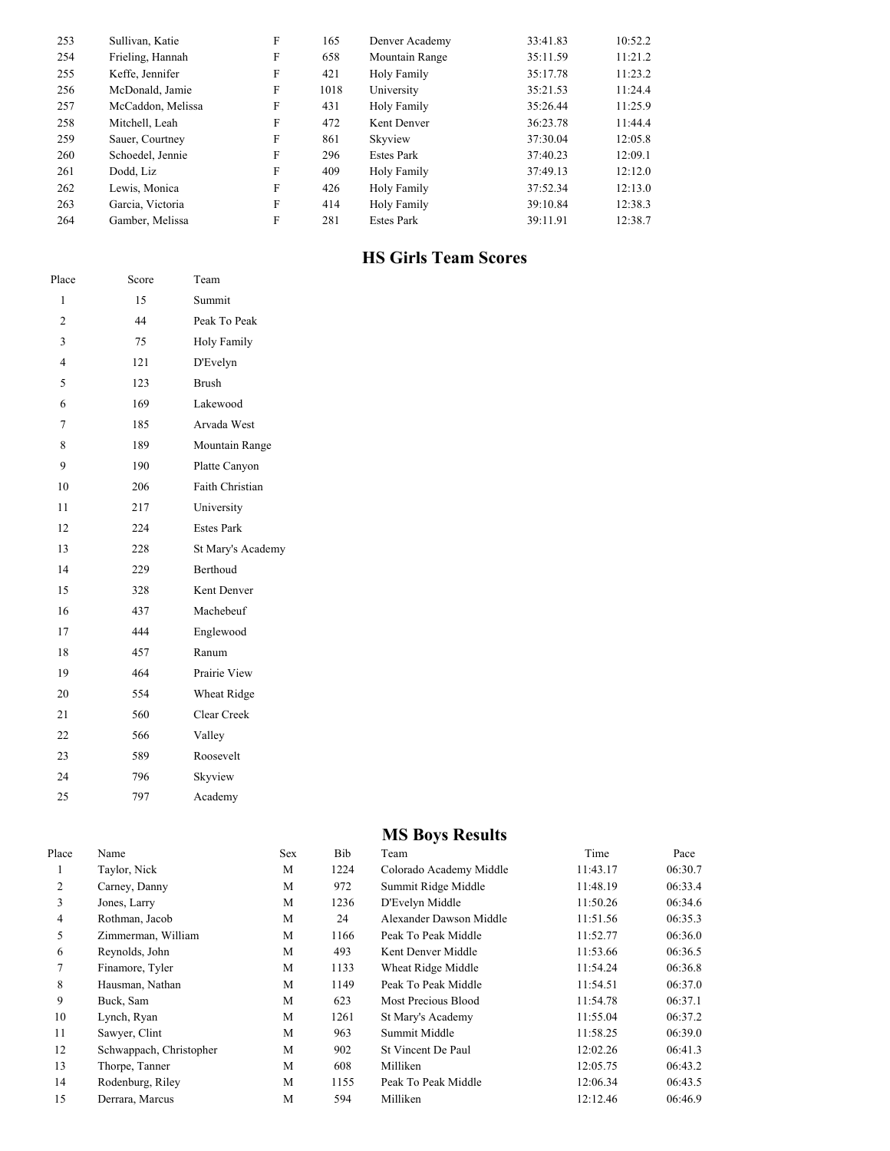| 253 | Sullivan, Katie   | F | 165  | Denver Academy    | 33:41.83 | 10:52.2 |
|-----|-------------------|---|------|-------------------|----------|---------|
| 254 | Frieling, Hannah  | F | 658  | Mountain Range    | 35:11.59 | 11:21.2 |
| 255 | Keffe, Jennifer   | F | 421  | Holy Family       | 35:17.78 | 11:23.2 |
| 256 | McDonald, Jamie   | F | 1018 | University        | 35:21.53 | 11:24.4 |
| 257 | McCaddon, Melissa | F | 431  | Holy Family       | 35:26.44 | 11:25.9 |
| 258 | Mitchell, Leah    | F | 472  | Kent Denver       | 36:23.78 | 11:44.4 |
| 259 | Sauer, Courtney   | F | 861  | Skyview           | 37:30.04 | 12:05.8 |
| 260 | Schoedel, Jennie  | F | 296  | <b>Estes Park</b> | 37:40.23 | 12:09.1 |
| 261 | Dodd, Liz         | F | 409  | Holy Family       | 37:49.13 | 12:12.0 |
| 262 | Lewis, Monica     | F | 426  | Holy Family       | 37:52.34 | 12:13.0 |
| 263 | Garcia, Victoria  | F | 414  | Holy Family       | 39:10.84 | 12:38.3 |
| 264 | Gamber, Melissa   | F | 281  | <b>Estes Park</b> | 39:11.91 | 12:38.7 |

### **HS Girls Team Scores**

| Place          | Score | Team                   |
|----------------|-------|------------------------|
| 1              | 15    | Summit                 |
| $\overline{2}$ | 44    | Peak To Peak           |
| 3              | 75    | <b>Holy Family</b>     |
| $\overline{4}$ | 121   | D'Evelyn               |
| 5              | 123   | <b>Brush</b>           |
| 6              | 169   | Lakewood               |
| 7              | 185   | Arvada West            |
| 8              | 189   | Mountain Range         |
| 9              | 190   | Platte Canyon          |
| 10             | 206   | <b>Faith Christian</b> |
| 11             | 217   | University             |
| 12             | 224   | <b>Estes Park</b>      |
| 13             | 228   | St Mary's Academy      |
| 14             | 229   | <b>Berthoud</b>        |
| 15             | 328   | Kent Denver            |
| 16             | 437   | Machebeuf              |
| 17             | 444   | Englewood              |
| 18             | 457   | Ranum                  |
| 19             | 464   | Prairie View           |
| 20             | 554   | Wheat Ridge            |
| 21             | 560   | Clear Creek            |
| 22             | 566   | Valley                 |
| 23             | 589   | Roosevelt              |
| 24             | 796   | Skyview                |
| 25             | 797   | Academy                |

## **MS Boys Results**

| Place | Name                    | Sex | Bib  | Team                    | Time     | Pace    |
|-------|-------------------------|-----|------|-------------------------|----------|---------|
|       | Taylor, Nick            | M   | 1224 | Colorado Academy Middle | 11:43.17 | 06:30.7 |
| 2     | Carney, Danny           | M   | 972  | Summit Ridge Middle     | 11:48.19 | 06:33.4 |
| 3     | Jones, Larry            | M   | 1236 | D'Evelyn Middle         | 11:50.26 | 06:34.6 |
| 4     | Rothman, Jacob          | M   | 24   | Alexander Dawson Middle | 11:51.56 | 06:35.3 |
| 5     | Zimmerman, William      | M   | 1166 | Peak To Peak Middle     | 11:52.77 | 06:36.0 |
| 6     | Reynolds, John          | M   | 493  | Kent Denver Middle      | 11:53.66 | 06:36.5 |
| 7     | Finamore, Tyler         | M   | 1133 | Wheat Ridge Middle      | 11:54.24 | 06:36.8 |
| 8     | Hausman, Nathan         | M   | 1149 | Peak To Peak Middle     | 11:54.51 | 06:37.0 |
| 9     | Buck, Sam               | M   | 623  | Most Precious Blood     | 11:54.78 | 06:37.1 |
| 10    | Lynch, Ryan             | M   | 1261 | St Mary's Academy       | 11:55.04 | 06:37.2 |
| 11    | Sawyer, Clint           | M   | 963  | Summit Middle           | 11:58.25 | 06:39.0 |
| 12    | Schwappach, Christopher | M   | 902  | St Vincent De Paul      | 12:02.26 | 06:41.3 |
| 13    | Thorpe, Tanner          | M   | 608  | Milliken                | 12:05.75 | 06:43.2 |
| 14    | Rodenburg, Riley        | M   | 1155 | Peak To Peak Middle     | 12:06.34 | 06:43.5 |
| 15    | Derrara, Marcus         | M   | 594  | Milliken                | 12:12.46 | 06:46.9 |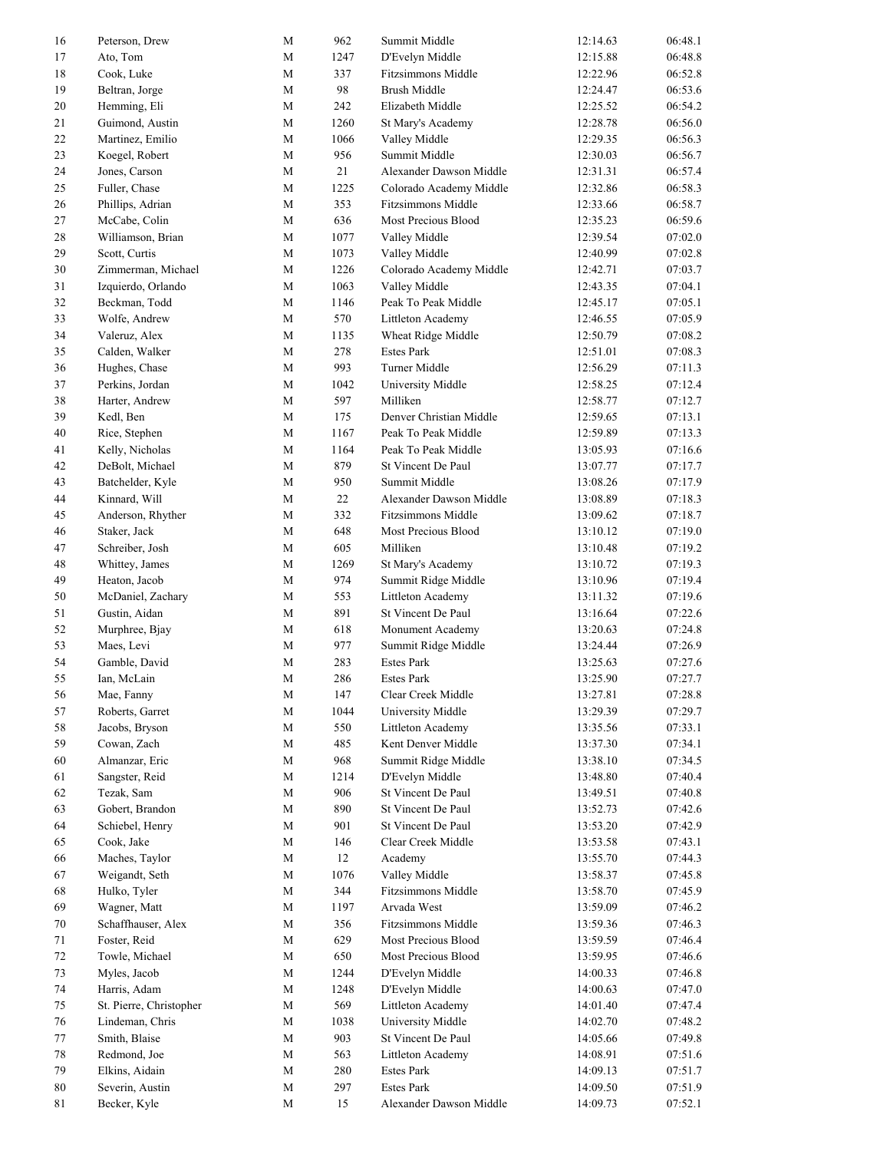| 16 | Peterson, Drew                 | M            | 962  | Summit Middle             | 12:14.63 | 06:48.1 |
|----|--------------------------------|--------------|------|---------------------------|----------|---------|
| 17 | Ato, Tom                       | $\mathbf M$  | 1247 | D'Evelyn Middle           | 12:15.88 | 06:48.8 |
| 18 | Cook, Luke                     | M            | 337  | <b>Fitzsimmons Middle</b> | 12:22.96 | 06:52.8 |
| 19 | Beltran, Jorge                 | M            | 98   | Brush Middle              | 12:24.47 | 06:53.6 |
| 20 | Hemming, Eli                   | M            | 242  | Elizabeth Middle          | 12:25.52 | 06:54.2 |
| 21 | Guimond, Austin                | $\mathbf M$  | 1260 | St Mary's Academy         | 12:28.78 | 06:56.0 |
| 22 | Martinez, Emilio               | $\mathbf{M}$ | 1066 | Valley Middle             | 12:29.35 | 06:56.3 |
| 23 | Koegel, Robert                 | $\mathbf{M}$ | 956  | Summit Middle             | 12:30.03 | 06:56.7 |
| 24 | Jones, Carson                  | M            | 21   | Alexander Dawson Middle   | 12:31.31 | 06:57.4 |
| 25 | Fuller, Chase                  | $\mathbf M$  | 1225 | Colorado Academy Middle   | 12:32.86 | 06:58.3 |
| 26 | Phillips, Adrian               | $\mathbf M$  | 353  | Fitzsimmons Middle        | 12:33.66 | 06:58.7 |
| 27 | McCabe, Colin                  | M            | 636  | Most Precious Blood       | 12:35.23 | 06:59.6 |
| 28 | Williamson, Brian              | $\mathbf M$  | 1077 | Valley Middle             | 12:39.54 | 07:02.0 |
| 29 | Scott, Curtis                  | $\mathbf{M}$ | 1073 | Valley Middle             | 12:40.99 | 07:02.8 |
| 30 | Zimmerman, Michael             | $\mathbf M$  | 1226 | Colorado Academy Middle   | 12:42.71 | 07:03.7 |
| 31 | Izquierdo, Orlando             | $\mathbf M$  | 1063 | Valley Middle             | 12:43.35 | 07:04.1 |
| 32 | Beckman, Todd                  | M            | 1146 | Peak To Peak Middle       | 12:45.17 | 07:05.1 |
| 33 |                                | $\mathbf M$  | 570  |                           |          | 07:05.9 |
|    | Wolfe, Andrew<br>Valeruz, Alex |              |      | Littleton Academy         | 12:46.55 |         |
| 34 |                                | $\mathbf{M}$ | 1135 | Wheat Ridge Middle        | 12:50.79 | 07:08.2 |
| 35 | Calden, Walker                 | $\mathbf M$  | 278  | <b>Estes Park</b>         | 12:51.01 | 07:08.3 |
| 36 | Hughes, Chase                  | $\mathbf M$  | 993  | Turner Middle             | 12:56.29 | 07:11.3 |
| 37 | Perkins, Jordan                | $\mathbf M$  | 1042 | University Middle         | 12:58.25 | 07:12.4 |
| 38 | Harter, Andrew                 | $\mathbf M$  | 597  | Milliken                  | 12:58.77 | 07:12.7 |
| 39 | Kedl, Ben                      | $\mathbf M$  | 175  | Denver Christian Middle   | 12:59.65 | 07:13.1 |
| 40 | Rice, Stephen                  | M            | 1167 | Peak To Peak Middle       | 12:59.89 | 07:13.3 |
| 41 | Kelly, Nicholas                | M            | 1164 | Peak To Peak Middle       | 13:05.93 | 07:16.6 |
| 42 | DeBolt, Michael                | $\mathbf{M}$ | 879  | St Vincent De Paul        | 13:07.77 | 07:17.7 |
| 43 | Batchelder, Kyle               | $\mathbf M$  | 950  | Summit Middle             | 13:08.26 | 07:17.9 |
| 44 | Kinnard, Will                  | M            | 22   | Alexander Dawson Middle   | 13:08.89 | 07:18.3 |
| 45 | Anderson, Rhyther              | $\mathbf M$  | 332  | Fitzsimmons Middle        | 13:09.62 | 07:18.7 |
| 46 | Staker, Jack                   | $\mathbf M$  | 648  | Most Precious Blood       | 13:10.12 | 07:19.0 |
| 47 | Schreiber, Josh                | $\mathbf M$  | 605  | Milliken                  | 13:10.48 | 07:19.2 |
| 48 | Whittey, James                 | M            | 1269 | St Mary's Academy         | 13:10.72 | 07:19.3 |
| 49 | Heaton, Jacob                  | $\mathbf M$  | 974  | Summit Ridge Middle       | 13:10.96 | 07:19.4 |
| 50 | McDaniel, Zachary              | $\mathbf M$  | 553  | Littleton Academy         | 13:11.32 | 07:19.6 |
| 51 | Gustin, Aidan                  | M            | 891  | St Vincent De Paul        | 13:16.64 | 07:22.6 |
| 52 | Murphree, Bjay                 | M            | 618  | Monument Academy          | 13:20.63 | 07:24.8 |
| 53 | Maes, Levi                     | $\mathbf M$  | 977  | Summit Ridge Middle       | 13:24.44 | 07:26.9 |
| 54 | Gamble, David                  | $\mathbf M$  | 283  | <b>Estes Park</b>         | 13:25.63 | 07:27.6 |
| 55 | Ian, McLain                    | M            | 286  | Estes Park                | 13:25.90 | 07:27.7 |
| 56 | Mae, Fanny                     | $\mathbf M$  | 147  | Clear Creek Middle        | 13:27.81 | 07:28.8 |
| 57 | Roberts, Garret                | $\mathbf M$  | 1044 | University Middle         | 13:29.39 | 07:29.7 |
| 58 | Jacobs, Bryson                 | $\mathbf M$  | 550  | Littleton Academy         | 13:35.56 | 07:33.1 |
| 59 | Cowan, Zach                    | $\mathbf M$  | 485  | Kent Denver Middle        | 13:37.30 | 07:34.1 |
| 60 | Almanzar, Eric                 | M            | 968  | Summit Ridge Middle       | 13:38.10 | 07:34.5 |
| 61 | Sangster, Reid                 | M            | 1214 | D'Evelyn Middle           | 13:48.80 | 07:40.4 |
|    |                                |              | 906  | St Vincent De Paul        |          |         |
| 62 | Tezak, Sam<br>Gobert, Brandon  | $\mathbf M$  |      |                           | 13:49.51 | 07:40.8 |
| 63 |                                | $\mathbf M$  | 890  | St Vincent De Paul        | 13:52.73 | 07:42.6 |
| 64 | Schiebel, Henry                | M            | 901  | St Vincent De Paul        | 13:53.20 | 07:42.9 |
| 65 | Cook, Jake                     | $\mathbf M$  | 146  | Clear Creek Middle        | 13:53.58 | 07:43.1 |
| 66 | Maches, Taylor                 | $\mathbf{M}$ | 12   | Academy                   | 13:55.70 | 07:44.3 |
| 67 | Weigandt, Seth                 | $\mathbf{M}$ | 1076 | Valley Middle             | 13:58.37 | 07:45.8 |
| 68 | Hulko, Tyler                   | $\mathbf M$  | 344  | Fitzsimmons Middle        | 13:58.70 | 07:45.9 |
| 69 | Wagner, Matt                   | $\mathbf M$  | 1197 | Arvada West               | 13:59.09 | 07:46.2 |
| 70 | Schaffhauser, Alex             | $\mathbf M$  | 356  | Fitzsimmons Middle        | 13:59.36 | 07:46.3 |
| 71 | Foster, Reid                   | $\mathbf M$  | 629  | Most Precious Blood       | 13:59.59 | 07:46.4 |
| 72 | Towle, Michael                 | $\mathbf{M}$ | 650  | Most Precious Blood       | 13:59.95 | 07:46.6 |
| 73 | Myles, Jacob                   | $\mathbf M$  | 1244 | D'Evelyn Middle           | 14:00.33 | 07:46.8 |
| 74 | Harris, Adam                   | $\mathbf M$  | 1248 | D'Evelyn Middle           | 14:00.63 | 07:47.0 |
| 75 | St. Pierre, Christopher        | $\mathbf M$  | 569  | Littleton Academy         | 14:01.40 | 07:47.4 |
| 76 | Lindeman, Chris                | M            | 1038 | University Middle         | 14:02.70 | 07:48.2 |
| 77 | Smith, Blaise                  | $\mathbf M$  | 903  | St Vincent De Paul        | 14:05.66 | 07:49.8 |
| 78 | Redmond, Joe                   | $\mathbf M$  | 563  | Littleton Academy         | 14:08.91 | 07:51.6 |
| 79 | Elkins, Aidain                 | $\mathbf M$  | 280  | Estes Park                | 14:09.13 | 07:51.7 |
| 80 | Severin, Austin                | $\mathbf{M}$ | 297  | <b>Estes Park</b>         | 14:09.50 | 07:51.9 |
| 81 | Becker, Kyle                   | $\mathbf M$  | 15   | Alexander Dawson Middle   | 14:09.73 | 07:52.1 |
|    |                                |              |      |                           |          |         |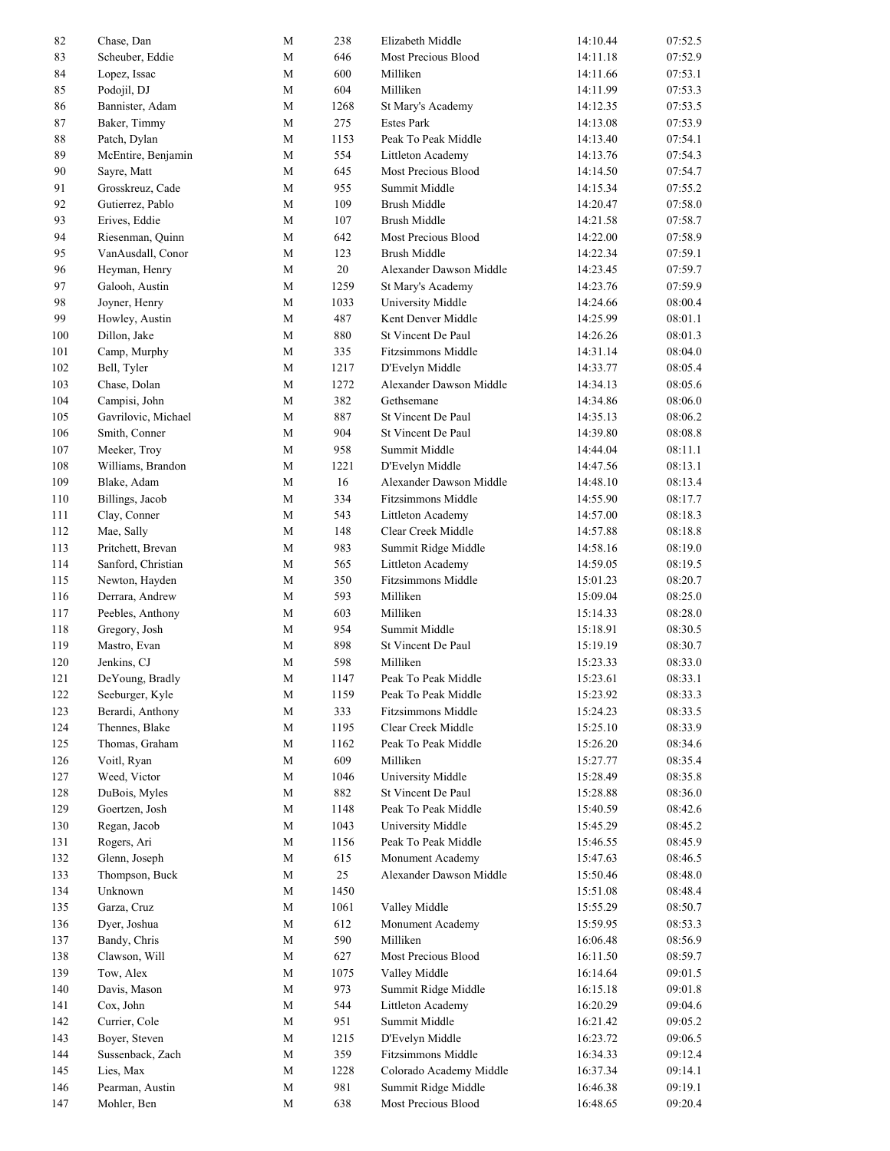| 82     | Chase, Dan          | M           | 238    | Elizabeth Middle          | 14:10.44 | 07:52.5 |
|--------|---------------------|-------------|--------|---------------------------|----------|---------|
| 83     | Scheuber, Eddie     | $\mathbf M$ | 646    | Most Precious Blood       | 14:11.18 | 07:52.9 |
| 84     | Lopez, Issac        | M           | 600    | Milliken                  | 14:11.66 | 07:53.1 |
| 85     | Podojil, DJ         | $\mathbf M$ | 604    | Milliken                  | 14:11.99 | 07:53.3 |
| 86     | Bannister, Adam     | M           | 1268   | St Mary's Academy         | 14:12.35 | 07:53.5 |
| 87     | Baker, Timmy        | $\mathbf M$ | 275    | <b>Estes Park</b>         | 14:13.08 | 07:53.9 |
| $88\,$ | Patch, Dylan        | $\mathbf M$ | 1153   | Peak To Peak Middle       | 14:13.40 | 07:54.1 |
| 89     | McEntire, Benjamin  | $\mathbf M$ | 554    | Littleton Academy         | 14:13.76 | 07:54.3 |
| 90     | Sayre, Matt         | M           | 645    | Most Precious Blood       | 14:14.50 | 07:54.7 |
| 91     | Grosskreuz, Cade    | $\mathbf M$ | 955    | Summit Middle             | 14:15.34 | 07:55.2 |
| 92     | Gutierrez, Pablo    | M           | 109    | <b>Brush Middle</b>       | 14:20.47 | 07:58.0 |
| 93     | Erives, Eddie       | M           | 107    | <b>Brush Middle</b>       | 14:21.58 | 07:58.7 |
| 94     | Riesenman, Quinn    | M           | 642    | Most Precious Blood       | 14:22.00 | 07:58.9 |
| 95     | VanAusdall, Conor   | $\mathbf M$ | 123    | <b>Brush Middle</b>       | 14:22.34 | 07:59.1 |
| 96     | Heyman, Henry       | $\mathbf M$ | $20\,$ | Alexander Dawson Middle   | 14:23.45 | 07:59.7 |
| 97     | Galooh, Austin      | $\mathbf M$ | 1259   | St Mary's Academy         | 14:23.76 | 07:59.9 |
| 98     |                     | M           | 1033   | University Middle         | 14:24.66 | 08:00.4 |
|        | Joyner, Henry       |             |        |                           |          |         |
| 99     | Howley, Austin      | $\mathbf M$ | 487    | Kent Denver Middle        | 14:25.99 | 08:01.1 |
| 100    | Dillon, Jake        | M           | 880    | St Vincent De Paul        | 14:26.26 | 08:01.3 |
| 101    | Camp, Murphy        | $\mathbf M$ | 335    | <b>Fitzsimmons Middle</b> | 14:31.14 | 08:04.0 |
| 102    | Bell, Tyler         | M           | 1217   | D'Evelyn Middle           | 14:33.77 | 08:05.4 |
| 103    | Chase, Dolan        | $\mathbf M$ | 1272   | Alexander Dawson Middle   | 14:34.13 | 08:05.6 |
| 104    | Campisi, John       | $\mathbf M$ | 382    | Gethsemane                | 14:34.86 | 08:06.0 |
| 105    | Gavrilovic, Michael | $\mathbf M$ | 887    | St Vincent De Paul        | 14:35.13 | 08:06.2 |
| 106    | Smith, Conner       | M           | 904    | St Vincent De Paul        | 14:39.80 | 08:08.8 |
| 107    | Meeker, Troy        | $\mathbf M$ | 958    | Summit Middle             | 14:44.04 | 08:11.1 |
| 108    | Williams, Brandon   | M           | 1221   | D'Evelyn Middle           | 14:47.56 | 08:13.1 |
| 109    | Blake, Adam         | M           | 16     | Alexander Dawson Middle   | 14:48.10 | 08:13.4 |
| 110    | Billings, Jacob     | M           | 334    | Fitzsimmons Middle        | 14:55.90 | 08:17.7 |
| 111    | Clay, Conner        | $\mathbf M$ | 543    | Littleton Academy         | 14:57.00 | 08:18.3 |
| 112    | Mae, Sally          | $\mathbf M$ | 148    | Clear Creek Middle        | 14:57.88 | 08:18.8 |
| 113    | Pritchett, Brevan   | $\mathbf M$ | 983    | Summit Ridge Middle       | 14:58.16 | 08:19.0 |
| 114    | Sanford, Christian  | M           | 565    | Littleton Academy         | 14:59.05 | 08:19.5 |
| 115    | Newton, Hayden      | M           | 350    | <b>Fitzsimmons Middle</b> | 15:01.23 | 08:20.7 |
| 116    | Derrara, Andrew     | M           | 593    | Milliken                  | 15:09.04 | 08:25.0 |
| 117    | Peebles, Anthony    | $\mathbf M$ | 603    | Milliken                  | 15:14.33 | 08:28.0 |
| 118    | Gregory, Josh       | M           | 954    | Summit Middle             | 15:18.91 | 08:30.5 |
| 119    | Mastro, Evan        | $\mathbf M$ | 898    | St Vincent De Paul        | 15:19.19 | 08:30.7 |
| 120    | Jenkins, CJ         | $\mathbf M$ | 598    | Milliken                  | 15:23.33 | 08:33.0 |
| 121    | DeYoung, Bradly     | M           | 1147   | Peak To Peak Middle       | 15:23.61 | 08:33.1 |
| 122    | Seeburger, Kyle     | $\mathbf M$ | 1159   | Peak To Peak Middle       | 15:23.92 | 08:33.3 |
| 123    | Berardi, Anthony    | $\mathbf M$ |        |                           |          |         |
|        |                     |             | 333    | Fitzsimmons Middle        | 15:24.23 | 08:33.5 |
| 124    | Thennes, Blake      | $\mathbf M$ | 1195   | Clear Creek Middle        | 15:25.10 | 08:33.9 |
| 125    | Thomas, Graham      | $\mathbf M$ | 1162   | Peak To Peak Middle       | 15:26.20 | 08:34.6 |
| 126    | Voitl, Ryan         | $\mathbf M$ | 609    | Milliken                  | 15:27.77 | 08:35.4 |
| 127    | Weed, Victor        | $\mathbf M$ | 1046   | University Middle         | 15:28.49 | 08:35.8 |
| 128    | DuBois, Myles       | $\mathbf M$ | 882    | St Vincent De Paul        | 15:28.88 | 08:36.0 |
| 129    | Goertzen, Josh      | $\mathbf M$ | 1148   | Peak To Peak Middle       | 15:40.59 | 08:42.6 |
| 130    | Regan, Jacob        | $\mathbf M$ | 1043   | University Middle         | 15:45.29 | 08:45.2 |
| 131    | Rogers, Ari         | M           | 1156   | Peak To Peak Middle       | 15:46.55 | 08:45.9 |
| 132    | Glenn, Joseph       | $\mathbf M$ | 615    | Monument Academy          | 15:47.63 | 08:46.5 |
| 133    | Thompson, Buck      | $\mathbf M$ | 25     | Alexander Dawson Middle   | 15:50.46 | 08:48.0 |
| 134    | Unknown             | $\mathbf M$ | 1450   |                           | 15:51.08 | 08:48.4 |
| 135    | Garza, Cruz         | $\mathbf M$ | 1061   | Valley Middle             | 15:55.29 | 08:50.7 |
| 136    | Dyer, Joshua        | $\mathbf M$ | 612    | Monument Academy          | 15:59.95 | 08:53.3 |
| 137    | Bandy, Chris        | $\mathbf M$ | 590    | Milliken                  | 16:06.48 | 08:56.9 |
| 138    | Clawson, Will       | $\mathbf M$ | 627    | Most Precious Blood       | 16:11.50 | 08:59.7 |
| 139    | Tow, Alex           | $\mathbf M$ | 1075   | Valley Middle             | 16:14.64 | 09:01.5 |
| 140    | Davis, Mason        | $\mathbf M$ | 973    | Summit Ridge Middle       | 16:15.18 | 09:01.8 |
| 141    | Cox, John           | $\mathbf M$ | 544    | Littleton Academy         | 16:20.29 | 09:04.6 |
| 142    | Currier, Cole       | $\mathbf M$ | 951    | Summit Middle             | 16:21.42 | 09:05.2 |
| 143    | Boyer, Steven       | $\mathbf M$ | 1215   | D'Evelyn Middle           | 16:23.72 | 09:06.5 |
| 144    | Sussenback, Zach    | $\mathbf M$ | 359    | Fitzsimmons Middle        | 16:34.33 | 09:12.4 |
| 145    | Lies, Max           | $\mathbf M$ | 1228   | Colorado Academy Middle   | 16:37.34 | 09:14.1 |
| 146    | Pearman, Austin     | $\mathbf M$ | 981    | Summit Ridge Middle       | 16:46.38 | 09:19.1 |
| 147    | Mohler, Ben         | $\mathbf M$ | 638    | Most Precious Blood       | 16:48.65 | 09:20.4 |
|        |                     |             |        |                           |          |         |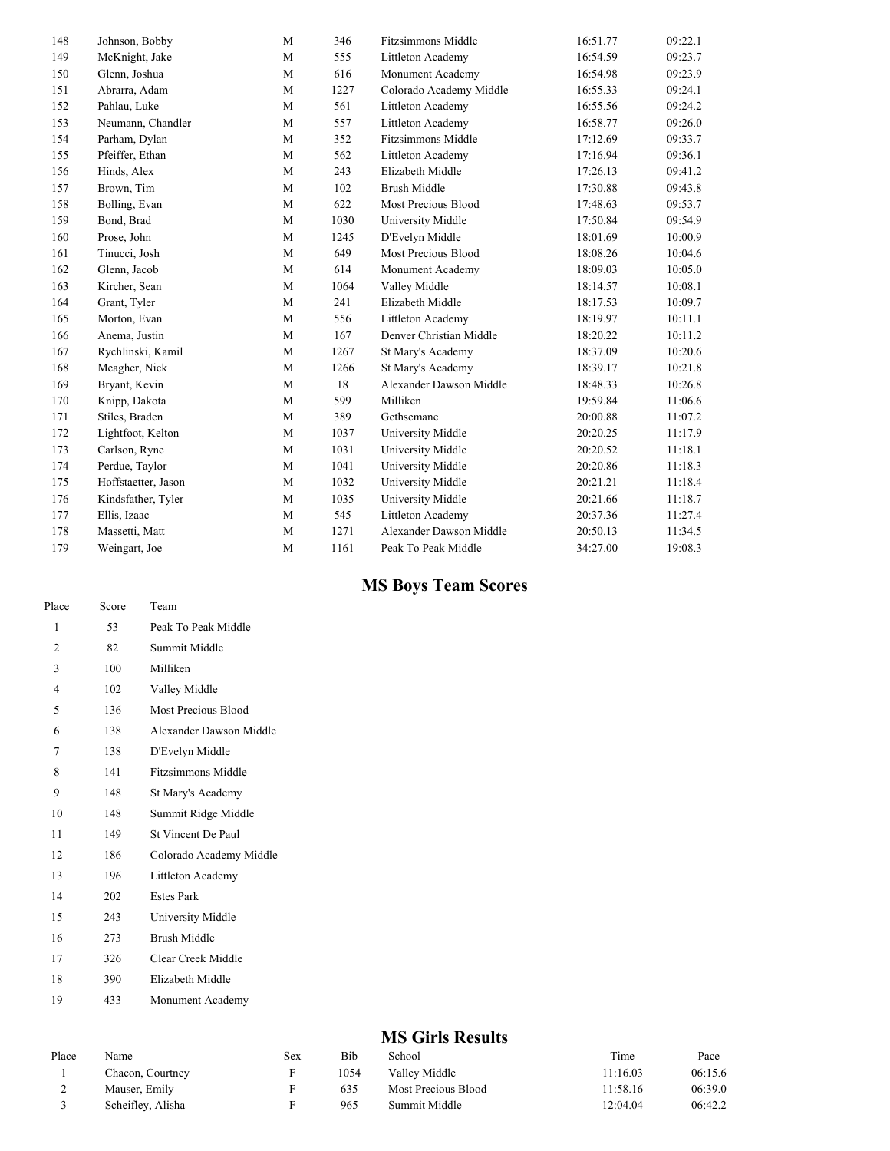| 148 | Johnson, Bobby      | M            | 346    | <b>Fitzsimmons Middle</b> | 16:51.77 | 09:22.1 |
|-----|---------------------|--------------|--------|---------------------------|----------|---------|
| 149 | McKnight, Jake      | M            | 555    | Littleton Academy         | 16:54.59 | 09:23.7 |
| 150 | Glenn, Joshua       | M            | 616    | Monument Academy          | 16:54.98 | 09:23.9 |
| 151 | Abrarra, Adam       | M            | 1227   | Colorado Academy Middle   | 16:55.33 | 09:24.1 |
| 152 | Pahlau, Luke        | M            | 561    | Littleton Academy         | 16:55.56 | 09:24.2 |
| 153 | Neumann, Chandler   | M            | 557    | Littleton Academy         | 16:58.77 | 09:26.0 |
| 154 | Parham, Dylan       | M            | 352    | <b>Fitzsimmons Middle</b> | 17:12.69 | 09:33.7 |
| 155 | Pfeiffer, Ethan     | M            | 562    | Littleton Academy         | 17:16.94 | 09:36.1 |
| 156 | Hinds, Alex         | M            | 243    | Elizabeth Middle          | 17:26.13 | 09:41.2 |
| 157 | Brown, Tim          | M            | 102    | <b>Brush Middle</b>       | 17:30.88 | 09:43.8 |
| 158 | Bolling, Evan       | M            | 622    | Most Precious Blood       | 17:48.63 | 09:53.7 |
| 159 | Bond, Brad          | M            | 1030   | University Middle         | 17:50.84 | 09:54.9 |
| 160 | Prose, John         | M            | 1245   | D'Evelyn Middle           | 18:01.69 | 10:00.9 |
| 161 | Tinucci, Josh       | M            | 649    | Most Precious Blood       | 18:08.26 | 10:04.6 |
| 162 | Glenn, Jacob        | M            | 614    | Monument Academy          | 18:09.03 | 10:05.0 |
| 163 | Kircher, Sean       | $\mathbf{M}$ | 1064   | Valley Middle             | 18:14.57 | 10:08.1 |
| 164 | Grant, Tyler        | M            | 241    | Elizabeth Middle          | 18:17.53 | 10:09.7 |
| 165 | Morton, Evan        | M            | 556    | Littleton Academy         | 18:19.97 | 10:11.1 |
| 166 | Anema, Justin       | M            | 167    | Denver Christian Middle   | 18:20.22 | 10:11.2 |
| 167 | Rychlinski, Kamil   | M            | 1267   | St Mary's Academy         | 18:37.09 | 10:20.6 |
| 168 | Meagher, Nick       | M            | 1266   | St Mary's Academy         | 18:39.17 | 10:21.8 |
| 169 | Bryant, Kevin       | M            | $18\,$ | Alexander Dawson Middle   | 18:48.33 | 10:26.8 |
| 170 | Knipp, Dakota       | M            | 599    | Milliken                  | 19:59.84 | 11:06.6 |
| 171 | Stiles, Braden      | M            | 389    | Gethsemane                | 20:00.88 | 11:07.2 |
| 172 | Lightfoot, Kelton   | M            | 1037   | University Middle         | 20:20.25 | 11:17.9 |
| 173 | Carlson, Ryne       | M            | 1031   | University Middle         | 20:20.52 | 11:18.1 |
| 174 | Perdue, Taylor      | M            | 1041   | University Middle         | 20:20.86 | 11:18.3 |
| 175 | Hoffstaetter, Jason | M            | 1032   | University Middle         | 20:21.21 | 11:18.4 |
| 176 | Kindsfather, Tyler  | M            | 1035   | University Middle         | 20:21.66 | 11:18.7 |
| 177 | Ellis, Izaac        | M            | 545    | Littleton Academy         | 20:37.36 | 11:27.4 |
| 178 | Massetti, Matt      | M            | 1271   | Alexander Dawson Middle   | 20:50.13 | 11:34.5 |
| 179 | Weingart, Joe       | M            | 1161   | Peak To Peak Middle       | 34:27.00 | 19:08.3 |

#### **MS Boys Team Scores**

| Place          | Score | Team                      |
|----------------|-------|---------------------------|
| 1              | 53    | Peak To Peak Middle       |
| $\overline{c}$ | 82    | Summit Middle             |
| 3              | 100   | Milliken                  |
| $\overline{4}$ | 102   | Valley Middle             |
| 5              | 136   | Most Precious Blood       |
| 6              | 138   | Alexander Dawson Middle   |
| 7              | 138   | D'Evelyn Middle           |
| 8              | 141   | Fitzsimmons Middle        |
| 9              | 148   | St Mary's Academy         |
| 10             | 148   | Summit Ridge Middle       |
| 11             | 149   | <b>St Vincent De Paul</b> |
| 12             | 186   | Colorado Academy Middle   |
| 13             | 196   | Littleton Academy         |
| 14             | 202   | <b>Estes Park</b>         |
| 15             | 243   | University Middle         |
| 16             | 273   | <b>Brush Middle</b>       |
| 17             | 326   | Clear Creek Middle        |
| 18             | 390   | Elizabeth Middle          |
| 19             | 433   | Monument Academy          |
|                |       |                           |

# **MS Girls Results**

| Place | Name              | Sex | Bib  | School              | Time     | Pace    |
|-------|-------------------|-----|------|---------------------|----------|---------|
|       | Chacon, Courtney  |     | 1054 | Valley Middle       | 11:16.03 | 06:15.6 |
|       | Mauser, Emily     |     | 635  | Most Precious Blood | 11:58.16 | 06:39.0 |
|       | Scheifley, Alisha |     | 965  | Summit Middle       | 12:04.04 | 06:42.2 |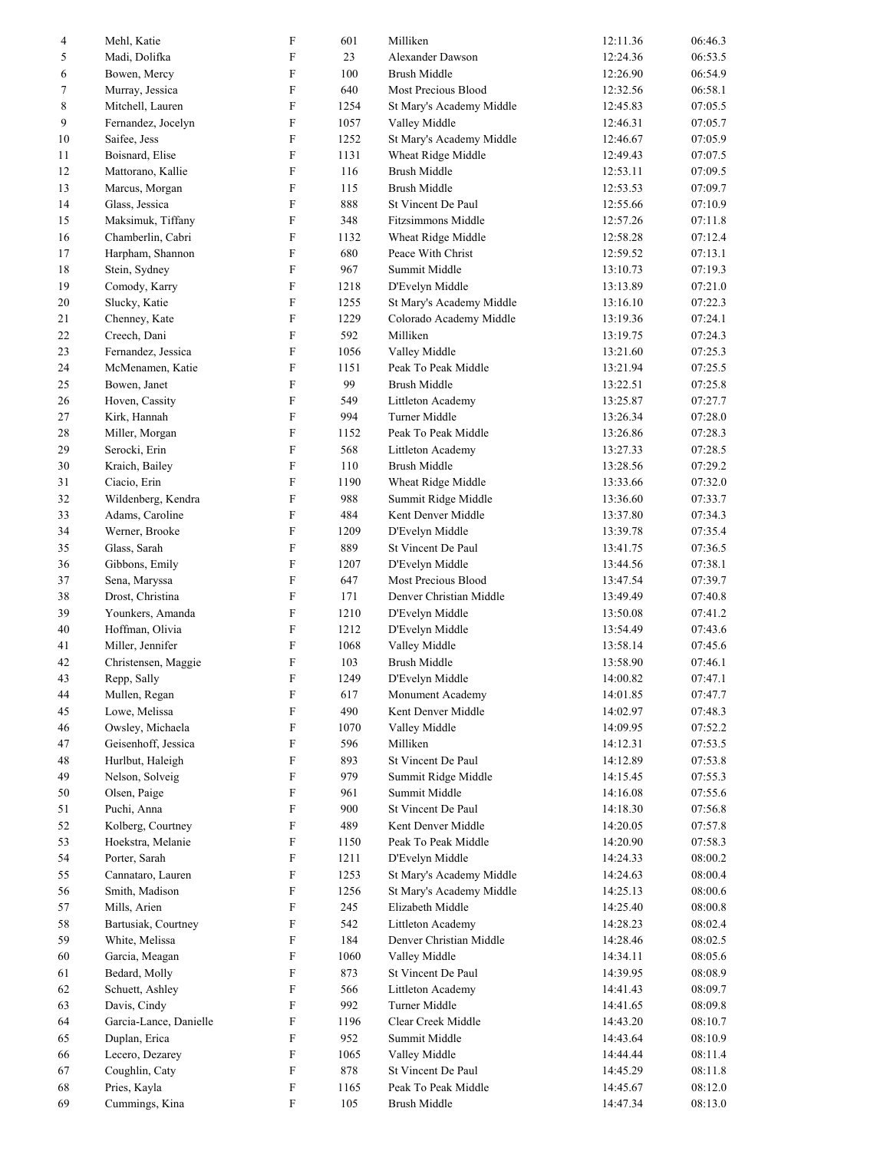| 4  | Mehl, Katie            | $\boldsymbol{\mathrm{F}}$ | 601  | Milliken                  | 12:11.36 | 06:46.3 |
|----|------------------------|---------------------------|------|---------------------------|----------|---------|
| 5  | Madi, Dolifka          | $\boldsymbol{\mathrm{F}}$ | 23   | Alexander Dawson          | 12:24.36 | 06:53.5 |
| 6  | Bowen, Mercy           | ${\rm F}$                 | 100  | <b>Brush Middle</b>       | 12:26.90 | 06:54.9 |
| 7  | Murray, Jessica        | $\boldsymbol{\mathrm{F}}$ | 640  | Most Precious Blood       | 12:32.56 | 06:58.1 |
| 8  | Mitchell, Lauren       | $\boldsymbol{\mathrm{F}}$ | 1254 | St Mary's Academy Middle  | 12:45.83 | 07:05.5 |
| 9  | Fernandez, Jocelyn     | ${\bf F}$                 | 1057 | Valley Middle             | 12:46.31 | 07:05.7 |
| 10 | Saifee, Jess           | ${\bf F}$                 | 1252 | St Mary's Academy Middle  | 12:46.67 | 07:05.9 |
| 11 | Boisnard, Elise        | $\boldsymbol{\mathrm{F}}$ | 1131 | Wheat Ridge Middle        | 12:49.43 | 07:07.5 |
| 12 | Mattorano, Kallie      | $\boldsymbol{\mathrm{F}}$ | 116  | <b>Brush Middle</b>       | 12:53.11 | 07:09.5 |
| 13 | Marcus, Morgan         | $\boldsymbol{\mathrm{F}}$ | 115  | <b>Brush Middle</b>       | 12:53.53 | 07:09.7 |
| 14 | Glass, Jessica         | F                         | 888  | St Vincent De Paul        | 12:55.66 | 07:10.9 |
| 15 | Maksimuk, Tiffany      | $\rm F$                   | 348  | <b>Fitzsimmons Middle</b> | 12:57.26 | 07:11.8 |
| 16 | Chamberlin, Cabri      | $\boldsymbol{\mathrm{F}}$ | 1132 | Wheat Ridge Middle        | 12:58.28 | 07:12.4 |
| 17 | Harpham, Shannon       | $\rm F$                   | 680  | Peace With Christ         | 12:59.52 | 07:13.1 |
| 18 | Stein, Sydney          | ${\rm F}$                 | 967  | Summit Middle             | 13:10.73 | 07:19.3 |
| 19 | Comody, Karry          | $\rm F$                   | 1218 | D'Evelyn Middle           | 13:13.89 | 07:21.0 |
| 20 | Slucky, Katie          | $\boldsymbol{\mathrm{F}}$ | 1255 | St Mary's Academy Middle  | 13:16.10 | 07:22.3 |
| 21 | Chenney, Kate          | ${\bf F}$                 | 1229 | Colorado Academy Middle   | 13:19.36 | 07:24.1 |
| 22 | Creech, Dani           | ${\rm F}$                 | 592  | Milliken                  | 13:19.75 | 07:24.3 |
| 23 | Fernandez, Jessica     | $\boldsymbol{\mathrm{F}}$ | 1056 | Valley Middle             | 13:21.60 | 07:25.3 |
| 24 | McMenamen, Katie       | $\boldsymbol{\mathrm{F}}$ | 1151 | Peak To Peak Middle       | 13:21.94 | 07:25.5 |
| 25 | Bowen, Janet           | ${\bf F}$                 | 99   | <b>Brush Middle</b>       | 13:22.51 | 07:25.8 |
| 26 | Hoven, Cassity         | ${\rm F}$                 | 549  | Littleton Academy         | 13:25.87 | 07:27.7 |
| 27 | Kirk, Hannah           | $\rm F$                   | 994  | Turner Middle             | 13:26.34 | 07:28.0 |
| 28 | Miller, Morgan         | $\boldsymbol{\mathrm{F}}$ | 1152 | Peak To Peak Middle       | 13:26.86 | 07:28.3 |
| 29 | Serocki, Erin          | $\boldsymbol{\mathrm{F}}$ | 568  | Littleton Academy         | 13:27.33 | 07:28.5 |
| 30 | Kraich, Bailey         | F                         | 110  | <b>Brush Middle</b>       | 13:28.56 | 07:29.2 |
| 31 |                        | $\boldsymbol{\mathrm{F}}$ | 1190 |                           | 13:33.66 | 07:32.0 |
|    | Ciacio, Erin           | $\boldsymbol{\mathrm{F}}$ |      | Wheat Ridge Middle        |          |         |
| 32 | Wildenberg, Kendra     | $\rm F$                   | 988  | Summit Ridge Middle       | 13:36.60 | 07:33.7 |
| 33 | Adams, Caroline        |                           | 484  | Kent Denver Middle        | 13:37.80 | 07:34.3 |
| 34 | Werner, Brooke         | ${\rm F}$                 | 1209 | D'Evelyn Middle           | 13:39.78 | 07:35.4 |
| 35 | Glass, Sarah           | $\rm F$                   | 889  | St Vincent De Paul        | 13:41.75 | 07:36.5 |
| 36 | Gibbons, Emily         | $\boldsymbol{\mathrm{F}}$ | 1207 | D'Evelyn Middle           | 13:44.56 | 07:38.1 |
| 37 | Sena, Maryssa          | $\mathbf F$               | 647  | Most Precious Blood       | 13:47.54 | 07:39.7 |
| 38 | Drost, Christina       | ${\rm F}$                 | 171  | Denver Christian Middle   | 13:49.49 | 07:40.8 |
| 39 | Younkers, Amanda       | $\rm F$                   | 1210 | D'Evelyn Middle           | 13:50.08 | 07:41.2 |
| 40 | Hoffman, Olivia        | $\rm F$                   | 1212 | D'Evelyn Middle           | 13:54.49 | 07:43.6 |
| 41 | Miller, Jennifer       | $\rm F$                   | 1068 | Valley Middle             | 13:58.14 | 07:45.6 |
| 42 | Christensen, Maggie    | $\boldsymbol{\mathrm{F}}$ | 103  | <b>Brush Middle</b>       | 13:58.90 | 07:46.1 |
| 43 | Repp, Sally            | F                         | 1249 | D'Evelyn Middle           | 14:00.82 | 07:47.1 |
| 44 | Mullen, Regan          | $\mathbf F$               | 617  | Monument Academy          | 14:01.85 | 07:47.7 |
| 45 | Lowe, Melissa          | $\boldsymbol{\mathrm{F}}$ | 490  | Kent Denver Middle        | 14:02.97 | 07:48.3 |
| 46 | Owsley, Michaela       | $\boldsymbol{\mathrm{F}}$ | 1070 | Valley Middle             | 14:09.95 | 07:52.2 |
| 47 | Geisenhoff, Jessica    | $\boldsymbol{\mathrm{F}}$ | 596  | Milliken                  | 14:12.31 | 07:53.5 |
| 48 | Hurlbut, Haleigh       | $\boldsymbol{\mathrm{F}}$ | 893  | St Vincent De Paul        | 14:12.89 | 07:53.8 |
| 49 | Nelson, Solveig        | $\boldsymbol{\mathrm{F}}$ | 979  | Summit Ridge Middle       | 14:15.45 | 07:55.3 |
| 50 | Olsen, Paige           | F                         | 961  | Summit Middle             | 14:16.08 | 07:55.6 |
| 51 | Puchi, Anna            | $\boldsymbol{\mathrm{F}}$ | 900  | St Vincent De Paul        | 14:18.30 | 07:56.8 |
| 52 | Kolberg, Courtney      | $\boldsymbol{\mathrm{F}}$ | 489  | Kent Denver Middle        | 14:20.05 | 07:57.8 |
| 53 | Hoekstra, Melanie      | F                         | 1150 | Peak To Peak Middle       | 14:20.90 | 07:58.3 |
| 54 | Porter, Sarah          | $\boldsymbol{\mathrm{F}}$ | 1211 | D'Evelyn Middle           | 14:24.33 | 08:00.2 |
| 55 | Cannataro, Lauren      | F                         | 1253 | St Mary's Academy Middle  | 14:24.63 | 08:00.4 |
| 56 | Smith, Madison         | $\mathbf F$               | 1256 | St Mary's Academy Middle  | 14:25.13 | 08:00.6 |
| 57 | Mills, Arien           | $\mathbf F$               | 245  | Elizabeth Middle          | 14:25.40 | 08:00.8 |
| 58 | Bartusiak, Courtney    | $\boldsymbol{\mathrm{F}}$ | 542  | Littleton Academy         | 14:28.23 | 08:02.4 |
| 59 | White, Melissa         | $\boldsymbol{\mathrm{F}}$ | 184  | Denver Christian Middle   | 14:28.46 | 08:02.5 |
| 60 | Garcia, Meagan         | $\boldsymbol{\mathrm{F}}$ | 1060 | Valley Middle             | 14:34.11 | 08:05.6 |
| 61 | Bedard, Molly          | $\boldsymbol{\mathrm{F}}$ | 873  | St Vincent De Paul        | 14:39.95 | 08:08.9 |
| 62 | Schuett, Ashley        | $\boldsymbol{\mathrm{F}}$ | 566  | Littleton Academy         | 14:41.43 | 08:09.7 |
| 63 | Davis, Cindy           | $\boldsymbol{\mathrm{F}}$ | 992  | Turner Middle             | 14:41.65 | 08:09.8 |
| 64 | Garcia-Lance, Danielle | F                         | 1196 | Clear Creek Middle        | 14:43.20 | 08:10.7 |
| 65 | Duplan, Erica          | $\boldsymbol{\mathrm{F}}$ | 952  | Summit Middle             | 14:43.64 | 08:10.9 |
| 66 | Lecero, Dezarey        | ${\bf F}$                 | 1065 | Valley Middle             | 14:44.44 | 08:11.4 |
| 67 | Coughlin, Caty         | $\boldsymbol{\mathrm{F}}$ | 878  | St Vincent De Paul        | 14:45.29 | 08:11.8 |
| 68 | Pries, Kayla           | F                         | 1165 | Peak To Peak Middle       | 14:45.67 | 08:12.0 |
| 69 | Cummings, Kina         | F                         | 105  | <b>Brush Middle</b>       | 14:47.34 | 08:13.0 |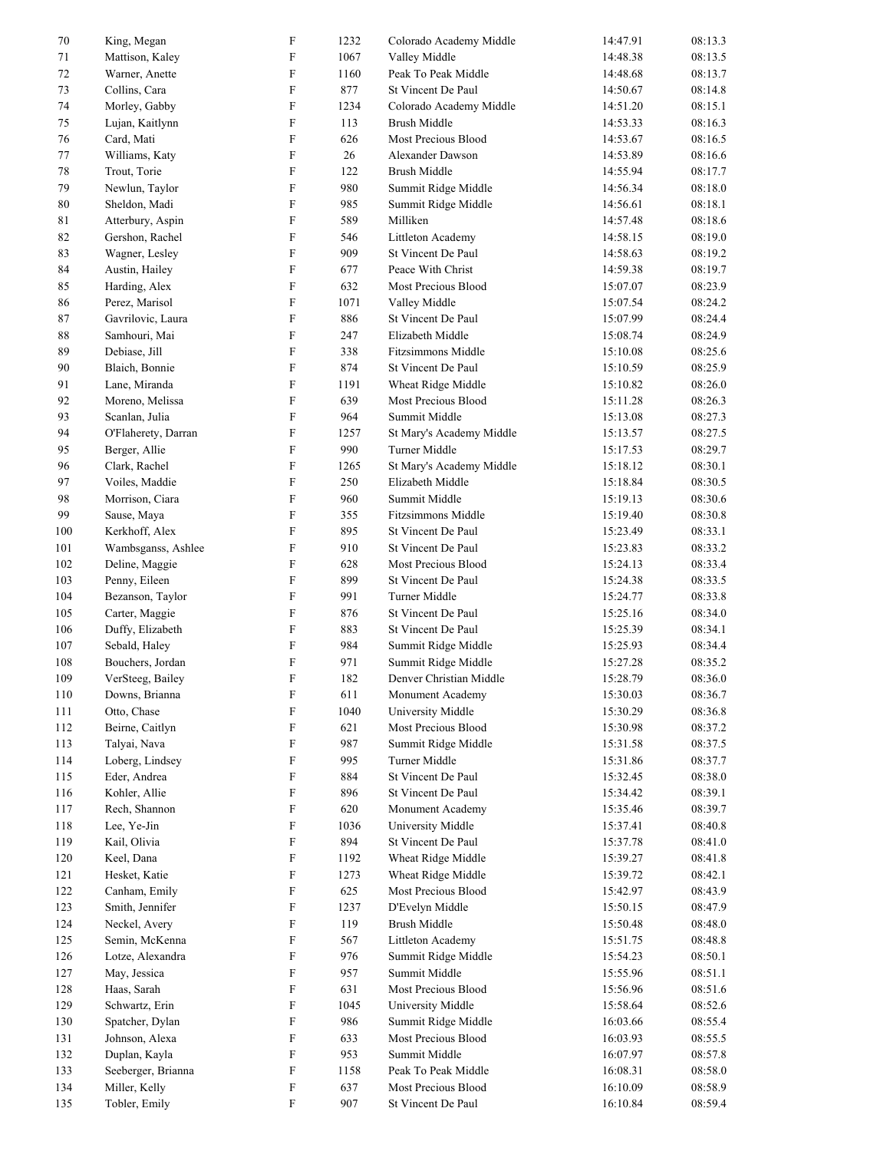| 70  | King, Megan         | $\boldsymbol{\mathrm{F}}$ | 1232 | Colorado Academy Middle   | 14:47.91 | 08:13.3 |
|-----|---------------------|---------------------------|------|---------------------------|----------|---------|
| 71  | Mattison, Kaley     | $\boldsymbol{\mathrm{F}}$ | 1067 | Valley Middle             | 14:48.38 | 08:13.5 |
| 72  | Warner, Anette      | $\boldsymbol{\mathrm{F}}$ | 1160 | Peak To Peak Middle       | 14:48.68 | 08:13.7 |
| 73  | Collins, Cara       | $\boldsymbol{\mathrm{F}}$ | 877  | St Vincent De Paul        | 14:50.67 | 08:14.8 |
| 74  | Morley, Gabby       | $\boldsymbol{\mathrm{F}}$ | 1234 | Colorado Academy Middle   | 14:51.20 | 08:15.1 |
| 75  | Lujan, Kaitlynn     | $\mathbf F$               | 113  | <b>Brush Middle</b>       | 14:53.33 | 08:16.3 |
| 76  | Card, Mati          | $\boldsymbol{\mathrm{F}}$ | 626  | Most Precious Blood       | 14:53.67 | 08:16.5 |
| 77  | Williams, Katy      | $\boldsymbol{\mathrm{F}}$ | 26   | Alexander Dawson          | 14:53.89 | 08:16.6 |
| 78  | Trout, Torie        | $\boldsymbol{\mathrm{F}}$ | 122  | Brush Middle              | 14:55.94 | 08:17.7 |
| 79  | Newlun, Taylor      | $\boldsymbol{\mathrm{F}}$ | 980  | Summit Ridge Middle       | 14:56.34 | 08:18.0 |
| 80  | Sheldon, Madi       | ${\bf F}$                 | 985  | Summit Ridge Middle       | 14:56.61 | 08:18.1 |
| 81  | Atterbury, Aspin    | $\boldsymbol{\mathrm{F}}$ | 589  | Milliken                  | 14:57.48 | 08:18.6 |
| 82  | Gershon, Rachel     | $\boldsymbol{\mathrm{F}}$ | 546  | Littleton Academy         | 14:58.15 | 08:19.0 |
| 83  | Wagner, Lesley      | $\rm F$                   | 909  | St Vincent De Paul        | 14:58.63 | 08:19.2 |
| 84  | Austin, Hailey      | $\boldsymbol{\mathrm{F}}$ | 677  | Peace With Christ         | 14:59.38 | 08:19.7 |
| 85  | Harding, Alex       | $\boldsymbol{\mathrm{F}}$ | 632  | Most Precious Blood       | 15:07.07 | 08:23.9 |
| 86  | Perez, Marisol      | $\boldsymbol{\mathrm{F}}$ | 1071 | Valley Middle             | 15:07.54 | 08:24.2 |
| 87  | Gavrilovic, Laura   | $\boldsymbol{\mathrm{F}}$ | 886  | St Vincent De Paul        | 15:07.99 | 08:24.4 |
| 88  | Samhouri, Mai       | $\boldsymbol{\mathrm{F}}$ | 247  | Elizabeth Middle          | 15:08.74 | 08:24.9 |
| 89  | Debiase, Jill       | $\boldsymbol{\mathrm{F}}$ | 338  | <b>Fitzsimmons Middle</b> | 15:10.08 | 08:25.6 |
| 90  | Blaich, Bonnie      | ${\rm F}$                 | 874  | St Vincent De Paul        | 15:10.59 | 08:25.9 |
| 91  | Lane, Miranda       | $\rm F$                   | 1191 | Wheat Ridge Middle        | 15:10.82 | 08:26.0 |
| 92  | Moreno, Melissa     | $\boldsymbol{\mathrm{F}}$ | 639  | Most Precious Blood       | 15:11.28 | 08:26.3 |
| 93  | Scanlan, Julia      | $\boldsymbol{\mathrm{F}}$ | 964  | Summit Middle             | 15:13.08 | 08:27.3 |
| 94  | O'Flaherety, Darran | F                         | 1257 | St Mary's Academy Middle  | 15:13.57 | 08:27.5 |
| 95  | Berger, Allie       | $\boldsymbol{\mathrm{F}}$ | 990  | Turner Middle             | 15:17.53 | 08:29.7 |
| 96  | Clark, Rachel       | $\boldsymbol{\mathrm{F}}$ | 1265 | St Mary's Academy Middle  | 15:18.12 | 08:30.1 |
| 97  | Voiles, Maddie      | $\boldsymbol{\mathrm{F}}$ | 250  | Elizabeth Middle          | 15:18.84 | 08:30.5 |
| 98  | Morrison, Ciara     | $\boldsymbol{\mathrm{F}}$ | 960  | Summit Middle             | 15:19.13 | 08:30.6 |
| 99  | Sause, Maya         | $\rm F$                   | 355  | <b>Fitzsimmons Middle</b> | 15:19.40 | 08:30.8 |
| 100 | Kerkhoff, Alex      | ${\rm F}$                 | 895  | St Vincent De Paul        | 15:23.49 | 08:33.1 |
| 101 | Wambsganss, Ashlee  | $\boldsymbol{\mathrm{F}}$ | 910  | St Vincent De Paul        | 15:23.83 | 08:33.2 |
| 102 | Deline, Maggie      | F                         | 628  | Most Precious Blood       | 15:24.13 | 08:33.4 |
| 103 | Penny, Eileen       | $\boldsymbol{\mathrm{F}}$ | 899  | St Vincent De Paul        | 15:24.38 | 08:33.5 |
| 104 | Bezanson, Taylor    | ${\bf F}$                 | 991  | Turner Middle             | 15:24.77 | 08:33.8 |
| 105 | Carter, Maggie      | F                         | 876  | St Vincent De Paul        | 15:25.16 | 08:34.0 |
| 106 | Duffy, Elizabeth    | $\boldsymbol{\mathrm{F}}$ | 883  | St Vincent De Paul        | 15:25.39 | 08:34.1 |
| 107 | Sebald, Haley       | ${\rm F}$                 | 984  | Summit Ridge Middle       | 15:25.93 | 08:34.4 |
| 108 | Bouchers, Jordan    | $\boldsymbol{\mathrm{F}}$ | 971  | Summit Ridge Middle       | 15:27.28 | 08:35.2 |
| 109 | VerSteeg, Bailey    | ${\bf F}$                 | 182  | Denver Christian Middle   | 15:28.79 | 08:36.0 |
| 110 | Downs, Brianna      | $\boldsymbol{\mathrm{F}}$ | 611  | Monument Academy          | 15:30.03 | 08:36.7 |
| 111 | Otto, Chase         | F                         | 1040 | University Middle         | 15:30.29 | 08:36.8 |
| 112 | Beirne, Caitlyn     | $\boldsymbol{\mathrm{F}}$ | 621  | Most Precious Blood       | 15:30.98 | 08:37.2 |
| 113 | Talyai, Nava        | F                         | 987  | Summit Ridge Middle       | 15:31.58 | 08:37.5 |
| 114 | Loberg, Lindsey     | $\boldsymbol{\mathrm{F}}$ | 995  | Turner Middle             | 15:31.86 | 08:37.7 |
| 115 | Eder, Andrea        | $\boldsymbol{\mathrm{F}}$ | 884  | St Vincent De Paul        | 15:32.45 | 08:38.0 |
| 116 | Kohler, Allie       | $\boldsymbol{\mathrm{F}}$ | 896  | St Vincent De Paul        | 15:34.42 | 08:39.1 |
| 117 | Rech, Shannon       | ${\bf F}$                 | 620  | Monument Academy          | 15:35.46 | 08:39.7 |
| 118 | Lee, Ye-Jin         | F                         | 1036 | University Middle         | 15:37.41 | 08:40.8 |
| 119 | Kail, Olivia        | F                         | 894  | St Vincent De Paul        | 15:37.78 | 08:41.0 |
| 120 | Keel, Dana          | F                         | 1192 | Wheat Ridge Middle        | 15:39.27 | 08:41.8 |
| 121 | Hesket, Katie       | F                         | 1273 | Wheat Ridge Middle        | 15:39.72 | 08:42.1 |
| 122 | Canham, Emily       | F                         | 625  | Most Precious Blood       | 15:42.97 | 08:43.9 |
| 123 | Smith, Jennifer     | F                         | 1237 | D'Evelyn Middle           | 15:50.15 | 08:47.9 |
| 124 | Neckel, Avery       | ${\bf F}$                 | 119  | <b>Brush Middle</b>       | 15:50.48 | 08:48.0 |
| 125 | Semin, McKenna      | $\boldsymbol{\mathrm{F}}$ | 567  | Littleton Academy         | 15:51.75 | 08:48.8 |
| 126 | Lotze, Alexandra    | $\boldsymbol{\mathrm{F}}$ | 976  | Summit Ridge Middle       | 15:54.23 | 08:50.1 |
| 127 | May, Jessica        | $\boldsymbol{\mathrm{F}}$ | 957  | Summit Middle             | 15:55.96 | 08:51.1 |
| 128 | Haas, Sarah         | $\boldsymbol{\mathrm{F}}$ | 631  | Most Precious Blood       | 15:56.96 | 08:51.6 |
| 129 | Schwartz, Erin      | F                         | 1045 | University Middle         | 15:58.64 | 08:52.6 |
| 130 | Spatcher, Dylan     | F                         | 986  | Summit Ridge Middle       | 16:03.66 | 08:55.4 |
| 131 | Johnson, Alexa      | $\boldsymbol{\mathrm{F}}$ | 633  | Most Precious Blood       | 16:03.93 | 08:55.5 |
| 132 | Duplan, Kayla       | ${\bf F}$                 | 953  | Summit Middle             | 16:07.97 | 08:57.8 |
| 133 | Seeberger, Brianna  | F                         | 1158 | Peak To Peak Middle       | 16:08.31 | 08:58.0 |
| 134 | Miller, Kelly       | $\boldsymbol{\mathrm{F}}$ | 637  | Most Precious Blood       | 16:10.09 | 08:58.9 |
| 135 | Tobler, Emily       | F                         | 907  | St Vincent De Paul        | 16:10.84 | 08:59.4 |
|     |                     |                           |      |                           |          |         |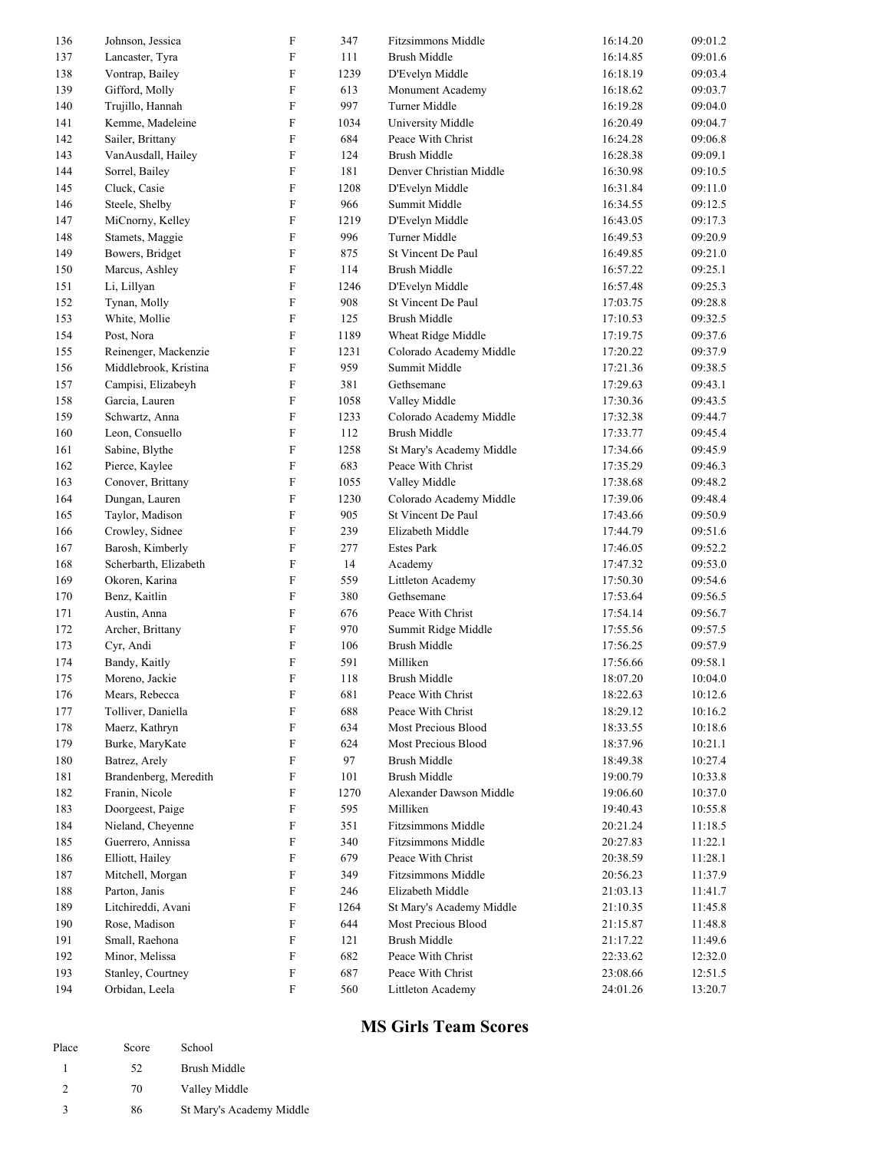| 136 | Johnson, Jessica      | $\boldsymbol{\mathrm{F}}$ | 347  | <b>Fitzsimmons Middle</b>                  | 16:14.20 | 09:01.2 |
|-----|-----------------------|---------------------------|------|--------------------------------------------|----------|---------|
| 137 | Lancaster, Tyra       | F                         | 111  | <b>Brush Middle</b>                        | 16:14.85 | 09:01.6 |
| 138 | Vontrap, Bailey       | F                         | 1239 | D'Evelyn Middle                            | 16:18.19 | 09:03.4 |
| 139 | Gifford, Molly        | F                         | 613  | Monument Academy                           | 16:18.62 | 09:03.7 |
| 140 | Trujillo, Hannah      | F                         | 997  | Turner Middle                              | 16:19.28 | 09:04.0 |
| 141 | Kemme, Madeleine      | $\boldsymbol{\mathrm{F}}$ | 1034 | University Middle                          | 16:20.49 | 09:04.7 |
| 142 | Sailer, Brittany      | F                         | 684  | Peace With Christ                          | 16:24.28 | 09:06.8 |
| 143 | VanAusdall, Hailey    | F                         | 124  | <b>Brush Middle</b>                        | 16:28.38 | 09:09.1 |
| 144 | Sorrel, Bailey        | F                         | 181  | Denver Christian Middle                    | 16:30.98 | 09:10.5 |
| 145 | Cluck, Casie          | F                         | 1208 | D'Evelyn Middle                            | 16:31.84 | 09:11.0 |
| 146 | Steele, Shelby        | F                         | 966  | Summit Middle                              | 16:34.55 | 09:12.5 |
| 147 | MiCnorny, Kelley      | F                         | 1219 | D'Evelyn Middle                            | 16:43.05 | 09:17.3 |
| 148 | Stamets, Maggie       | $\boldsymbol{\mathrm{F}}$ | 996  | Turner Middle                              | 16:49.53 | 09:20.9 |
| 149 | Bowers, Bridget       | $\boldsymbol{\mathrm{F}}$ | 875  | St Vincent De Paul                         | 16:49.85 | 09:21.0 |
| 150 | Marcus, Ashley        | ${\bf F}$                 | 114  | <b>Brush Middle</b>                        | 16:57.22 | 09:25.1 |
| 151 | Li, Lillyan           | F                         | 1246 | D'Evelyn Middle                            | 16:57.48 | 09:25.3 |
| 152 | Tynan, Molly          | F                         | 908  | St Vincent De Paul                         | 17:03.75 | 09:28.8 |
| 153 | White, Mollie         | F                         | 125  | <b>Brush Middle</b>                        | 17:10.53 | 09:32.5 |
| 154 | Post, Nora            | F                         | 1189 | Wheat Ridge Middle                         | 17:19.75 | 09:37.6 |
| 155 | Reinenger, Mackenzie  | F                         | 1231 | Colorado Academy Middle                    | 17:20.22 | 09:37.9 |
| 156 | Middlebrook, Kristina | F                         | 959  | Summit Middle                              | 17:21.36 | 09:38.5 |
| 157 | Campisi, Elizabeyh    | $\boldsymbol{\mathrm{F}}$ | 381  | Gethsemane                                 | 17:29.63 | 09:43.1 |
| 158 | Garcia, Lauren        | F                         | 1058 | Valley Middle                              | 17:30.36 | 09:43.5 |
| 159 | Schwartz, Anna        | F                         | 1233 | Colorado Academy Middle                    | 17:32.38 | 09:44.7 |
| 160 | Leon, Consuello       | F                         | 112  | <b>Brush Middle</b>                        | 17:33.77 | 09:45.4 |
| 161 | Sabine, Blythe        | F                         | 1258 | St Mary's Academy Middle                   | 17:34.66 | 09:45.9 |
| 162 | Pierce, Kaylee        | F                         | 683  | Peace With Christ                          | 17:35.29 | 09:46.3 |
| 163 | Conover, Brittany     | F                         | 1055 | Valley Middle                              | 17:38.68 | 09:48.2 |
| 164 | Dungan, Lauren        | $\boldsymbol{\mathrm{F}}$ | 1230 | Colorado Academy Middle                    | 17:39.06 | 09:48.4 |
| 165 | Taylor, Madison       | $\boldsymbol{\mathrm{F}}$ | 905  | St Vincent De Paul                         | 17:43.66 | 09:50.9 |
| 166 | Crowley, Sidnee       | F                         | 239  | Elizabeth Middle                           | 17:44.79 | 09:51.6 |
| 167 | Barosh, Kimberly      | ${\bf F}$                 | 277  | <b>Estes Park</b>                          | 17:46.05 | 09:52.2 |
| 168 | Scherbarth, Elizabeth | F                         | 14   | Academy                                    | 17:47.32 | 09:53.0 |
| 169 | Okoren, Karina        | F                         | 559  | Littleton Academy                          | 17:50.30 | 09:54.6 |
| 170 |                       | F                         | 380  | Gethsemane                                 | 17:53.64 | 09:56.5 |
| 171 | Benz, Kaitlin         | F                         | 676  | Peace With Christ                          | 17:54.14 | 09:56.7 |
|     | Austin, Anna          |                           |      |                                            |          |         |
| 172 | Archer, Brittany      | F                         | 970  | Summit Ridge Middle<br><b>Brush Middle</b> | 17:55.56 | 09:57.5 |
| 173 | Cyr, Andi             | ${\bf F}$                 | 106  |                                            | 17:56.25 | 09:57.9 |
| 174 | Bandy, Kaitly         | ${\bf F}$                 | 591  | Milliken                                   | 17:56.66 | 09:58.1 |
| 175 | Moreno, Jackie        | F                         | 118  | Brush Middle                               | 18:07.20 | 10:04.0 |
| 176 | Mears, Rebecca        | F                         | 681  | Peace With Christ                          | 18:22.63 | 10:12.6 |
| 177 | Tolliver, Daniella    | F                         | 688  | Peace With Christ                          | 18:29.12 | 10:16.2 |
| 178 | Maerz, Kathryn        | F                         | 634  | Most Precious Blood                        | 18:33.55 | 10:18.6 |
| 179 | Burke, MaryKate       | F                         | 624  | Most Precious Blood                        | 18:37.96 | 10:21.1 |
| 180 | Batrez, Arely         | F                         | 97   | <b>Brush Middle</b>                        | 18:49.38 | 10:27.4 |
| 181 | Brandenberg, Meredith | F                         | 101  | <b>Brush Middle</b>                        | 19:00.79 | 10:33.8 |
| 182 | Franin, Nicole        | F                         | 1270 | Alexander Dawson Middle                    | 19:06.60 | 10:37.0 |
| 183 | Doorgeest, Paige      | F                         | 595  | Milliken                                   | 19:40.43 | 10:55.8 |
| 184 | Nieland, Chevenne     | F                         | 351  | Fitzsimmons Middle                         | 20:21.24 | 11:18.5 |
| 185 | Guerrero, Annissa     | F                         | 340  | Fitzsimmons Middle                         | 20:27.83 | 11:22.1 |
| 186 | Elliott, Hailey       | F                         | 679  | Peace With Christ                          | 20:38.59 | 11:28.1 |
| 187 | Mitchell, Morgan      | F                         | 349  | Fitzsimmons Middle                         | 20:56.23 | 11:37.9 |
| 188 | Parton, Janis         | F                         | 246  | Elizabeth Middle                           | 21:03.13 | 11:41.7 |
| 189 | Litchireddi, Avani    | $\boldsymbol{\mathrm{F}}$ | 1264 | St Mary's Academy Middle                   | 21:10.35 | 11:45.8 |
| 190 | Rose, Madison         | F                         | 644  | Most Precious Blood                        | 21:15.87 | 11:48.8 |
| 191 | Small, Raehona        | F                         | 121  | <b>Brush Middle</b>                        | 21:17.22 | 11:49.6 |
| 192 | Minor, Melissa        | F                         | 682  | Peace With Christ                          | 22:33.62 | 12:32.0 |
| 193 | Stanley, Courtney     | F                         | 687  | Peace With Christ                          | 23:08.66 | 12:51.5 |
| 194 | Orbidan, Leela        | F                         | 560  | Littleton Academy                          | 24:01.26 | 13:20.7 |

### **MS Girls Team Scores**

| Place | Score | School                   |
|-------|-------|--------------------------|
| 1     | 52    | Brush Middle             |
| 2     | 70    | Valley Middle            |
| ٩     | 86    | St Mary's Academy Middle |
|       |       |                          |